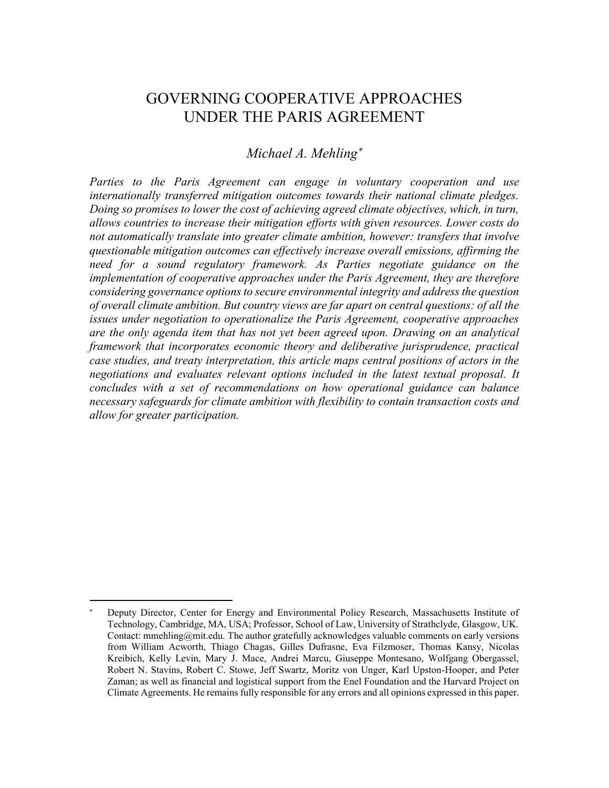# GOVERNING COOPERATIVE APPROACHES UNDER THE PARIS AGREEMENT

# *Michael A. Mehling*

*Parties to the Paris Agreement can engage in voluntary cooperation and use internationally transferred mitigation outcomes towards their national climate pledges. Doing so promises to lower the cost of achieving agreed climate objectives, which, in turn, allows countries to increase their mitigation efforts with given resources. Lower costs do not automatically translate into greater climate ambition, however: transfers that involve questionable mitigation outcomes can effectively increase overall emissions, affirming the need for a sound regulatory framework. As Parties negotiate guidance on the implementation of cooperative approaches under the Paris Agreement, they are therefore considering governance options to secure environmental integrity and address the question of overall climate ambition. But country views are far apart on central questions: of all the issues under negotiation to operationalize the Paris Agreement, cooperative approaches are the only agenda item that has not yet been agreed upon. Drawing on an analytical framework that incorporates economic theory and deliberative jurisprudence, practical case studies, and treaty interpretation, this article maps central positions of actors in the negotiations and evaluates relevant options included in the latest textual proposal. It concludes with a set of recommendations on how operational guidance can balance necessary safeguards for climate ambition with flexibility to contain transaction costs and allow for greater participation.*

Deputy Director, Center for Energy and Environmental Policy Research, Massachusetts Institute of Technology, Cambridge, MA, USA; Professor, School of Law, University of Strathclyde, Glasgow, UK. Contact: mmehling@mit.edu. The author gratefully acknowledges valuable comments on early versions from William Acworth, Thiago Chagas, Gilles Dufrasne, Eva Filzmoser, Thomas Kansy, Nicolas Kreibich, Kelly Levin, Mary J. Mace, Andrei Marcu, Giuseppe Montesano, Wolfgang Obergassel, Robert N. Stavins, Robert C. Stowe, Jeff Swartz, Moritz von Unger, Karl Upston-Hooper, and Peter Zaman; as well as financial and logistical support from the Enel Foundation and the Harvard Project on Climate Agreements. He remains fully responsible for any errors and all opinions expressed in this paper.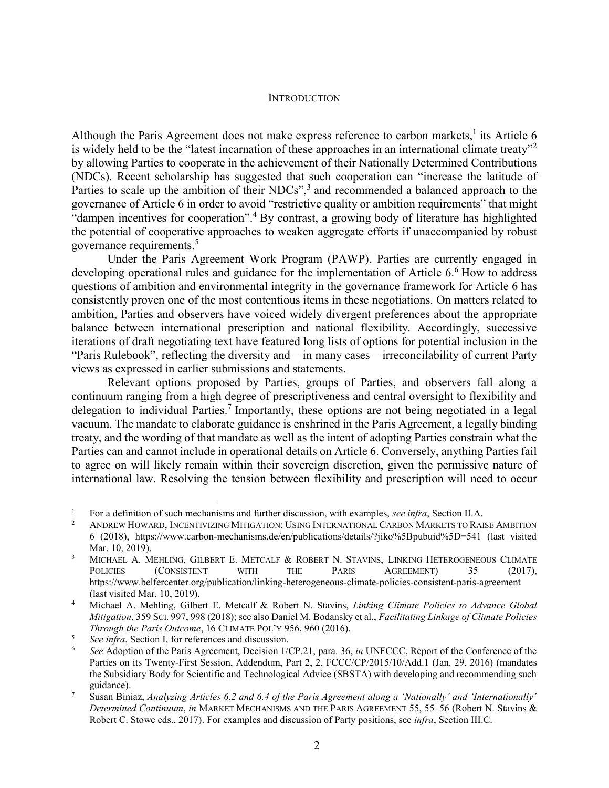#### <span id="page-1-0"></span>**INTRODUCTION**

Although the Paris Agreement does not make express reference to carbon markets,<sup>1</sup> its Article  $6$ is widely held to be the "latest incarnation of these approaches in an international climate treaty"<sup>2</sup> by allowing Parties to cooperate in the achievement of their Nationally Determined Contributions (NDCs). Recent scholarship has suggested that such cooperation can "increase the latitude of Parties to scale up the ambition of their NDCs",<sup>3</sup> and recommended a balanced approach to the governance of Article 6 in order to avoid "restrictive quality or ambition requirements" that might "dampen incentives for cooperation". <sup>4</sup> By contrast, a growing body of literature has highlighted the potential of cooperative approaches to weaken aggregate efforts if unaccompanied by robust governance requirements. 5

Under the Paris Agreement Work Program (PAWP), Parties are currently engaged in developing operational rules and guidance for the implementation of Article 6.<sup>6</sup> How to address questions of ambition and environmental integrity in the governance framework for Article 6 has consistently proven one of the most contentious items in these negotiations. On matters related to ambition, Parties and observers have voiced widely divergent preferences about the appropriate balance between international prescription and national flexibility. Accordingly, successive iterations of draft negotiating text have featured long lists of options for potential inclusion in the "Paris Rulebook", reflecting the diversity and – in many cases – irreconcilability of current Party views as expressed in earlier submissions and statements.

Relevant options proposed by Parties, groups of Parties, and observers fall along a continuum ranging from a high degree of prescriptiveness and central oversight to flexibility and delegation to individual Parties.<sup>7</sup> Importantly, these options are not being negotiated in a legal vacuum. The mandate to elaborate guidance is enshrined in the Paris Agreement, a legally binding treaty, and the wording of that mandate as well as the intent of adopting Parties constrain what the Parties can and cannot include in operational details on Article 6. Conversely, anything Parties fail to agree on will likely remain within their sovereign discretion, given the permissive nature of international law. Resolving the tension between flexibility and prescription will need to occur

<sup>&</sup>lt;sup>1</sup> For a definition of such mechanisms and further discussion, with examples, *see infra*, Section [II.](#page-6-0)[A.](#page-6-1)<br><sup>2</sup> ANDREW HOWARD, INCENTIVIZING MITIGATION: USING INTERNATIONAL GARDON MARKETS TO BALL

<sup>2</sup> ANDREW HOWARD, INCENTIVIZING MITIGATION: USING INTERNATIONAL CARBON MARKETS TO RAISE AMBITION 6 (2018), https://www.carbon-mechanisms.de/en/publications/details/?jiko%5Bpubuid%5D=541 (last visited Mar. 10, 2019).

<sup>&</sup>lt;sup>3</sup> MICHAEL A. MEHLING, GILBERT E. METCALF & ROBERT N. STAVINS, LINKING HETEROGENEOUS CLIMATE POLICIES (CONSISTENT WITH THE PARIS AGREEMENT) 35 (2017), https://www.belfercenter.org/publication/linking-heterogeneous-climate-policies-consistent-paris-agreement (last visited Mar. 10, 2019).

<sup>4</sup> Michael A. Mehling, Gilbert E. Metcalf & Robert N. Stavins, *Linking Climate Policies to Advance Global Mitigation*, 359 SCI. 997, 998 (2018); see also Daniel M. Bodansky et al., *Facilitating Linkage of Climate Policies Through the Paris Outcome*, 16 CLIMATE POL'Y 956, 960 (2016).

<sup>5</sup> *See infra*, Section [I,](#page-2-0) for references and discussion.

<sup>6</sup> *See* Adoption of the Paris Agreement, Decision 1/CP.21, para. 36, *in* UNFCCC, Report of the Conference of the Parties on its Twenty-First Session, Addendum, Part 2, 2, FCCC/CP/2015/10/Add.1 (Jan. 29, 2016) (mandates the Subsidiary Body for Scientific and Technological Advice (SBSTA) with developing and recommending such guidance).

<sup>7</sup> Susan Biniaz, *Analyzing Articles 6.2 and 6.4 of the Paris Agreement along a 'Nationally' and 'Internationally' Determined Continuum*, *in* MARKET MECHANISMS AND THE PARIS AGREEMENT 55, 55–56 (Robert N. Stavins & Robert C. Stowe eds., 2017). For examples and discussion of Party positions, see *infra*, Section III.C.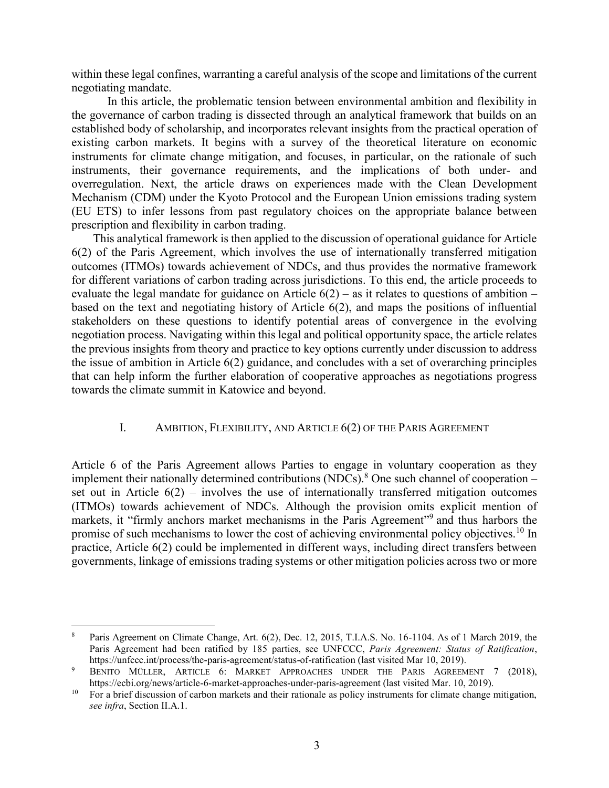within these legal confines, warranting a careful analysis of the scope and limitations of the current negotiating mandate.

In this article, the problematic tension between environmental ambition and flexibility in the governance of carbon trading is dissected through an analytical framework that builds on an established body of scholarship, and incorporates relevant insights from the practical operation of existing carbon markets. It begins with a survey of the theoretical literature on economic instruments for climate change mitigation, and focuses, in particular, on the rationale of such instruments, their governance requirements, and the implications of both under- and overregulation. Next, the article draws on experiences made with the Clean Development Mechanism (CDM) under the Kyoto Protocol and the European Union emissions trading system (EU ETS) to infer lessons from past regulatory choices on the appropriate balance between prescription and flexibility in carbon trading.

This analytical framework is then applied to the discussion of operational guidance for Article 6(2) of the Paris Agreement, which involves the use of internationally transferred mitigation outcomes (ITMOs) towards achievement of NDCs, and thus provides the normative framework for different variations of carbon trading across jurisdictions. To this end, the article proceeds to evaluate the legal mandate for guidance on Article  $6(2)$  – as it relates to questions of ambition – based on the text and negotiating history of Article 6(2), and maps the positions of influential stakeholders on these questions to identify potential areas of convergence in the evolving negotiation process. Navigating within this legal and political opportunity space, the article relates the previous insights from theory and practice to key options currently under discussion to address the issue of ambition in Article 6(2) guidance, and concludes with a set of overarching principles that can help inform the further elaboration of cooperative approaches as negotiations progress towards the climate summit in Katowice and beyond.

# <span id="page-2-1"></span><span id="page-2-0"></span>I. AMBITION, FLEXIBILITY, AND ARTICLE 6(2) OF THE PARIS AGREEMENT

Article 6 of the Paris Agreement allows Parties to engage in voluntary cooperation as they implement their nationally determined contributions  $(NDCs)$ .<sup>8</sup> One such channel of cooperation – set out in Article  $6(2)$  – involves the use of internationally transferred mitigation outcomes (ITMOs) towards achievement of NDCs. Although the provision omits explicit mention of markets, it "firmly anchors market mechanisms in the Paris Agreement"<sup>9</sup> and thus harbors the promise of such mechanisms to lower the cost of achieving environmental policy objectives.<sup>10</sup> In practice, Article 6(2) could be implemented in different ways, including direct transfers between governments, linkage of emissions trading systems or other mitigation policies across two or more

 $\overline{a}$ <sup>8</sup> Paris Agreement on Climate Change, Art. 6(2), Dec. 12, 2015, T.I.A.S. No. 16-1104. As of 1 March 2019, the Paris Agreement had been ratified by 185 parties, see UNFCCC, *Paris Agreement: Status of Ratification*, https://unfccc.int/process/the-paris-agreement/status-of-ratification (last visited Mar 10, 2019).

<sup>&</sup>lt;sup>9</sup> BENITO MÜLLER, ARTICLE 6: MARKET APPROACHES UNDER THE PARIS AGREEMENT 7 (2018), https://ecbi.org/news/article-6-market-approaches-under-paris-agreement (last visited Mar. 10, 2019).

<sup>&</sup>lt;sup>10</sup> For a brief discussion of carbon markets and their rationale as policy instruments for climate change mitigation, *see infra*, Section [II](#page-6-0)[.A.](#page-6-1)[1.](#page-6-2)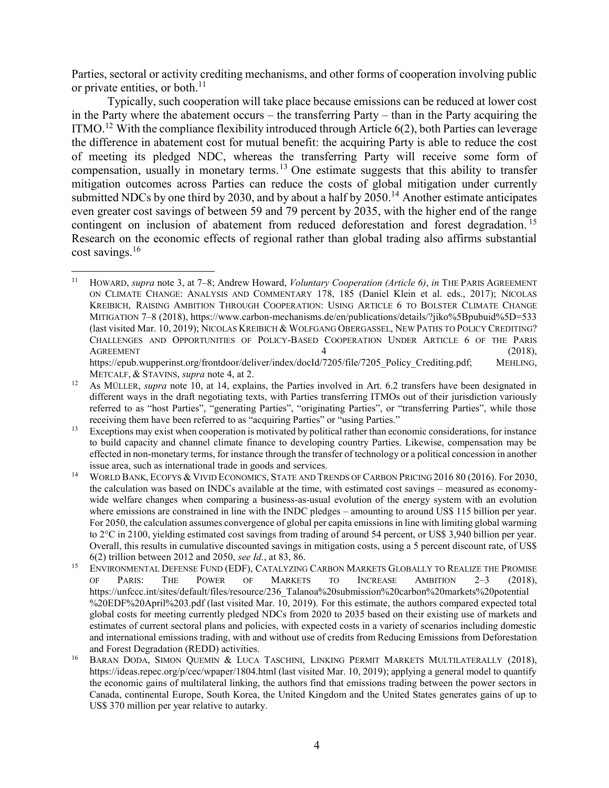Parties, sectoral or activity crediting mechanisms, and other forms of cooperation involving public or private entities, or both. $^{11}$ 

<span id="page-3-0"></span>Typically, such cooperation will take place because emissions can be reduced at lower cost in the Party where the abatement occurs – the transferring Party – than in the Party acquiring the ITMO.<sup>12</sup> With the compliance flexibility introduced through Article  $6(2)$ , both Parties can leverage the difference in abatement cost for mutual benefit: the acquiring Party is able to reduce the cost of meeting its pledged NDC, whereas the transferring Party will receive some form of compensation, usually in monetary terms.<sup>13</sup> One estimate suggests that this ability to transfer mitigation outcomes across Parties can reduce the costs of global mitigation under currently submitted NDCs by one third by 2030, and by about a half by 2050.<sup>14</sup> Another estimate anticipates even greater cost savings of between 59 and 79 percent by 2035, with the higher end of the range contingent on inclusion of abatement from reduced deforestation and forest degradation.<sup>15</sup> Research on the economic effects of regional rather than global trading also affirms substantial cost savings.<sup>16</sup>

<sup>11</sup> HOWARD, *supra* note 3, at 7–8; Andrew Howard, *Voluntary Cooperation (Article 6)*, *in* THE PARIS AGREEMENT ON CLIMATE CHANGE: ANALYSIS AND COMMENTARY 178, 185 (Daniel Klein et al. eds., 2017); NICOLAS KREIBICH, RAISING AMBITION THROUGH COOPERATION: USING ARTICLE 6 TO BOLSTER CLIMATE CHANGE MITIGATION 7–8 (2018), https://www.carbon-mechanisms.de/en/publications/details/?jiko%5Bpubuid%5D=533 (last visited Mar. 10, 2019); NICOLAS KREIBICH & WOLFGANG OBERGASSEL, NEW PATHS TO POLICY CREDITING? CHALLENGES AND OPPORTUNITIES OF POLICY-BASED COOPERATION UNDER ARTICLE 6 OF THE PARIS  $\overline{A}$ GREEMENT (2018), (2018), https://epub.wupperinst.org/frontdoor/deliver/index/docId/7205/file/7205\_Policy\_Crediting.pdf; MEHLING, METCALF, & STAVINS, *supra* note 4, at 2.

<sup>&</sup>lt;sup>12</sup> As MÜLLER, *supra* note 10, at 14, explains, the Parties involved in Art. 6.2 transfers have been designated in different ways in the draft negotiating texts, with Parties transferring ITMOs out of their jurisdiction variously referred to as "host Parties", "generating Parties", "originating Parties", or "transferring Parties", while those receiving them have been referred to as "acquiring Parties" or "using Parties."

<sup>&</sup>lt;sup>13</sup> Exceptions may exist when cooperation is motivated by political rather than economic considerations, for instance to build capacity and channel climate finance to developing country Parties. Likewise, compensation may be effected in non-monetary terms, for instance through the transfer of technology or a political concession in another issue area, such as international trade in goods and services.

<sup>&</sup>lt;sup>14</sup> WORLD BANK, ECOFYS & VIVID ECONOMICS, STATE AND TRENDS OF CARBON PRICING 2016 80 (2016). For 2030, the calculation was based on INDCs available at the time, with estimated cost savings – measured as economywide welfare changes when comparing a business-as-usual evolution of the energy system with an evolution where emissions are constrained in line with the INDC pledges – amounting to around US\$ 115 billion per year. For 2050, the calculation assumes convergence of global per capita emissions in line with limiting global warming to 2°C in 2100, yielding estimated cost savings from trading of around 54 percent, or US\$ 3,940 billion per year. Overall, this results in cumulative discounted savings in mitigation costs, using a 5 percent discount rate, of US\$ 6(2) trillion between 2012 and 2050, *see Id.*, at 83, 86.

<sup>&</sup>lt;sup>15</sup> ENVIRONMENTAL DEFENSE FUND (EDF), CATALYZING CARBON MARKETS GLOBALLY TO REALIZE THE PROMISE OF PARIS: THE POWER OF MARKETS TO INCREASE AMBITION 2–3 (2018), https://unfccc.int/sites/default/files/resource/236\_Talanoa%20submission%20carbon%20markets%20potential %20EDF%20April%203.pdf (last visited Mar. 10, 2019). For this estimate, the authors compared expected total global costs for meeting currently pledged NDCs from 2020 to 2035 based on their existing use of markets and estimates of current sectoral plans and policies, with expected costs in a variety of scenarios including domestic and international emissions trading, with and without use of credits from Reducing Emissions from Deforestation and Forest Degradation (REDD) activities.

<sup>&</sup>lt;sup>16</sup> BARAN DODA, SIMON QUEMIN & LUCA TASCHINI, LINKING PERMIT MARKETS MULTILATERALLY (2018), https://ideas.repec.org/p/cec/wpaper/1804.html (last visited Mar. 10, 2019); applying a general model to quantify the economic gains of multilateral linking, the authors find that emissions trading between the power sectors in Canada, continental Europe, South Korea, the United Kingdom and the United States generates gains of up to US\$ 370 million per year relative to autarky.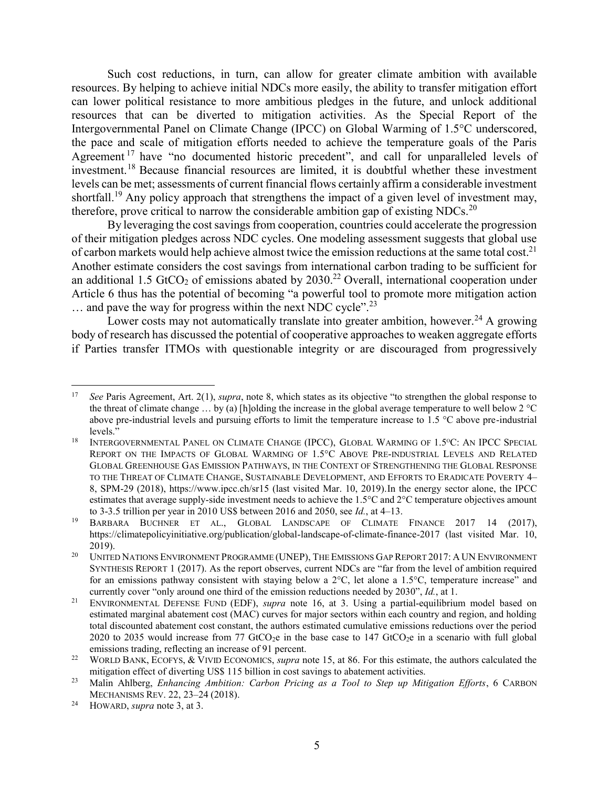Such cost reductions, in turn, can allow for greater climate ambition with available resources. By helping to achieve initial NDCs more easily, the ability to transfer mitigation effort can lower political resistance to more ambitious pledges in the future, and unlock additional resources that can be diverted to mitigation activities. As the Special Report of the Intergovernmental Panel on Climate Change (IPCC) on Global Warming of 1.5°C underscored, the pace and scale of mitigation efforts needed to achieve the temperature goals of the Paris Agreement<sup>17</sup> have "no documented historic precedent", and call for unparalleled levels of investment.<sup>18</sup> Because financial resources are limited, it is doubtful whether these investment levels can be met; assessments of current financial flows certainly affirm a considerable investment shortfall.<sup>19</sup> Any policy approach that strengthens the impact of a given level of investment may, therefore, prove critical to narrow the considerable ambition gap of existing NDCs.<sup>20</sup>

By leveraging the cost savings from cooperation, countries could accelerate the progression of their mitigation pledges across NDC cycles. One modeling assessment suggests that global use of carbon markets would help achieve almost twice the emission reductions at the same total cost.<sup>21</sup> Another estimate considers the cost savings from international carbon trading to be sufficient for an additional 1.5 GtCO<sub>2</sub> of emissions abated by  $2030<sup>22</sup>$  Overall, international cooperation under Article 6 thus has the potential of becoming "a powerful tool to promote more mitigation action ... and pave the way for progress within the next NDC cycle".<sup>23</sup>

Lower costs may not automatically translate into greater ambition, however.<sup>24</sup> A growing body of research has discussed the potential of cooperative approaches to weaken aggregate efforts if Parties transfer ITMOs with questionable integrity or are discouraged from progressively

<sup>17</sup> *See* Paris Agreement, Art. 2(1), *supra*, note [8,](#page-2-1) which states as its objective "to strengthen the global response to the threat of climate change  $\ldots$  by (a) [h]olding the increase in the global average temperature to well below 2 °C above pre-industrial levels and pursuing efforts to limit the temperature increase to 1.5 °C above pre-industrial levels."

<sup>&</sup>lt;sup>18</sup> INTERGOVERNMENTAL PANEL ON CLIMATE CHANGE (IPCC), GLOBAL WARMING OF 1.5°C: AN IPCC SPECIAL REPORT ON THE IMPACTS OF GLOBAL WARMING OF 1.5°C ABOVE PRE-INDUSTRIAL LEVELS AND RELATED GLOBAL GREENHOUSE GAS EMISSION PATHWAYS, IN THE CONTEXT OF STRENGTHENING THE GLOBAL RESPONSE TO THE THREAT OF CLIMATE CHANGE, SUSTAINABLE DEVELOPMENT, AND EFFORTS TO ERADICATE POVERTY 4– 8, SPM-29 (2018), https://www.ipcc.ch/sr15 (last visited Mar. 10, 2019).In the energy sector alone, the IPCC estimates that average supply-side investment needs to achieve the 1.5°C and 2°C temperature objectives amount to 3-3.5 trillion per year in 2010 US\$ between 2016 and 2050, see *Id.*, at 4–13.

BARBARA BUCHNER ET AL., GLOBAL LANDSCAPE OF CLIMATE FINANCE 2017 14 (2017), https://climatepolicyinitiative.org/publication/global-landscape-of-climate-finance-2017 (last visited Mar. 10, 2019).

<sup>&</sup>lt;sup>20</sup> UNITED NATIONS ENVIRONMENT PROGRAMME (UNEP), THE EMISSIONS GAP REPORT 2017: A UN ENVIRONMENT SYNTHESIS REPORT 1 (2017). As the report observes, current NDCs are "far from the level of ambition required for an emissions pathway consistent with staying below a 2°C, let alone a 1.5°C, temperature increase" and currently cover "only around one third of the emission reductions needed by 2030", *Id.*, at 1.

<sup>21</sup> ENVIRONMENTAL DEFENSE FUND (EDF), *supra* note 16, at 3. Using a partial-equilibrium model based on estimated marginal abatement cost (MAC) curves for major sectors within each country and region, and holding total discounted abatement cost constant, the authors estimated cumulative emissions reductions over the period 2020 to 2035 would increase from 77 GtCO<sub>2</sub>e in the base case to 147 GtCO<sub>2</sub>e in a scenario with full global emissions trading, reflecting an increase of 91 percent.

<sup>&</sup>lt;sup>22</sup> WORLD BANK, ECOFYS, & VIVID ECONOMICS, *supra* note 15, at 86. For this estimate, the authors calculated the mitigation effect of diverting US\$ 115 billion in cost savings to abatement activities.

<sup>23</sup> Malin Ahlberg, *Enhancing Ambition: Carbon Pricing as a Tool to Step up Mitigation Efforts*, 6 CARBON MECHANISMS REV. 22, 23–24 (2018).

<sup>24</sup> HOWARD, *supra* note 3, at 3.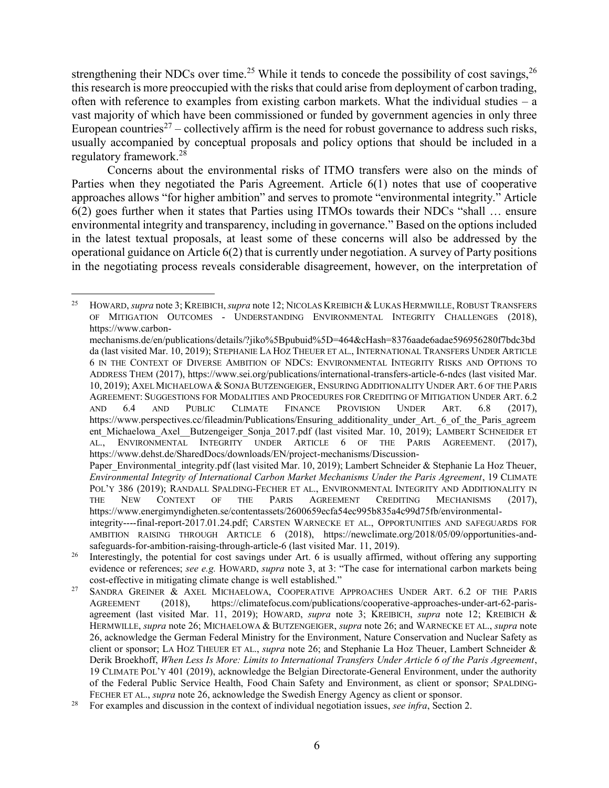strengthening their NDCs over time.<sup>25</sup> While it tends to concede the possibility of cost savings,<sup>26</sup> this research is more preoccupied with the risks that could arise from deployment of carbon trading, often with reference to examples from existing carbon markets. What the individual studies – a vast majority of which have been commissioned or funded by government agencies in only three European countries<sup>27</sup> – collectively affirm is the need for robust governance to address such risks, usually accompanied by conceptual proposals and policy options that should be included in a regulatory framework.<sup>28</sup>

<span id="page-5-0"></span>Concerns about the environmental risks of ITMO transfers were also on the minds of Parties when they negotiated the Paris Agreement. Article 6(1) notes that use of cooperative approaches allows "for higher ambition" and serves to promote "environmental integrity." Article 6(2) goes further when it states that Parties using ITMOs towards their NDCs "shall … ensure environmental integrity and transparency, including in governance." Based on the options included in the latest textual proposals, at least some of these concerns will also be addressed by the operational guidance on Article 6(2) that is currently under negotiation. A survey of Party positions in the negotiating process reveals considerable disagreement, however, on the interpretation of

 $\overline{a}$ <sup>25</sup> HOWARD, *supra* note 3; KREIBICH, *supra* note 12; NICOLAS KREIBICH & LUKAS HERMWILLE, ROBUST TRANSFERS OF MITIGATION OUTCOMES - UNDERSTANDING ENVIRONMENTAL INTEGRITY CHALLENGES (2018), https://www.carbon-

mechanisms.de/en/publications/details/?jiko%5Bpubuid%5D=464&cHash=8376aade6adae596956280f7bdc3bd da (last visited Mar. 10, 2019); STEPHANIE LA HOZ THEUER ET AL., INTERNATIONAL TRANSFERS UNDER ARTICLE 6 IN THE CONTEXT OF DIVERSE AMBITION OF NDCS: ENVIRONMENTAL INTEGRITY RISKS AND OPTIONS TO ADDRESS THEM (2017), https://www.sei.org/publications/international-transfers-article-6-ndcs (last visited Mar. 10, 2019); AXEL MICHAELOWA &SONJA BUTZENGEIGER, ENSURING ADDITIONALITY UNDER ART. 6 OF THE PARIS AGREEMENT: SUGGESTIONS FOR MODALITIES AND PROCEDURES FOR CREDITING OF MITIGATION UNDER ART. 6.2 AND 6.4 AND PUBLIC CLIMATE FINANCE PROVISION UNDER ART. 6.8 (2017), https://www.perspectives.cc/fileadmin/Publications/Ensuring\_additionality\_under\_Art.\_6\_of\_the\_Paris\_agreem ent Michaelowa Axel\_Butzengeiger Sonja 2017.pdf (last visited Mar. 10, 2019); LAMBERT SCHNEIDER ET AL., ENVIRONMENTAL INTEGRITY UNDER ARTICLE 6 OF THE PARIS AGREEMENT. (2017), https://www.dehst.de/SharedDocs/downloads/EN/project-mechanisms/Discussion-

Paper\_Environmental\_integrity.pdf (last visited Mar. 10, 2019); Lambert Schneider & Stephanie La Hoz Theuer, *Environmental Integrity of International Carbon Market Mechanisms Under the Paris Agreement*, 19 CLIMATE POL'Y 386 (2019); RANDALL SPALDING-FECHER ET AL., ENVIRONMENTAL INTEGRITY AND ADDITIONALITY IN THE NEW CONTEXT OF THE PARIS AGREEMENT CREDITING MECHANISMS (2017), https://www.energimyndigheten.se/contentassets/2600659ecfa54ec995b835a4c99d75fb/environmental-

integrity----final-report-2017.01.24.pdf; CARSTEN WARNECKE ET AL., OPPORTUNITIES AND SAFEGUARDS FOR AMBITION RAISING THROUGH ARTICLE 6 (2018), https://newclimate.org/2018/05/09/opportunities-andsafeguards-for-ambition-raising-through-article-6 (last visited Mar. 11, 2019).

<sup>&</sup>lt;sup>26</sup> Interestingly, the potential for cost savings under Art. 6 is usually affirmed, without offering any supporting evidence or references; *see e.g.* HOWARD, *supra* note 3, at 3: "The case for international carbon markets being cost-effective in mitigating climate change is well established."

<sup>&</sup>lt;sup>27</sup> SANDRA GREINER & AXEL MICHAELOWA, COOPERATIVE APPROACHES UNDER ART. 6.2 OF THE PARIS AGREEMENT (2018), https://climatefocus.com/publications/cooperative-approaches-under-art-62-parisagreement (last visited Mar. 11, 2019); HOWARD, *supra* note 3; KREIBICH, *supra* note 12; KREIBICH & HERMWILLE, *supra* note 26; MICHAELOWA & BUTZENGEIGER, *supra* note 26; and WARNECKE ET AL., *supra* note 26, acknowledge the German Federal Ministry for the Environment, Nature Conservation and Nuclear Safety as client or sponsor; LA HOZ THEUER ET AL., *supra* note 26; and Stephanie La Hoz Theuer, Lambert Schneider & Derik Broekhoff, *When Less Is More: Limits to International Transfers Under Article 6 of the Paris Agreement*, 19 CLIMATE POL'Y 401 (2019), acknowledge the Belgian Directorate-General Environment, under the authority of the Federal Public Service Health, Food Chain Safety and Environment, as client or sponsor; SPALDING-FECHER ET AL., *supra* note 26, acknowledge the Swedish Energy Agency as client or sponsor.

<sup>28</sup> For examples and discussion in the context of individual negotiation issues, *see infra*, Section [2.](#page-36-0)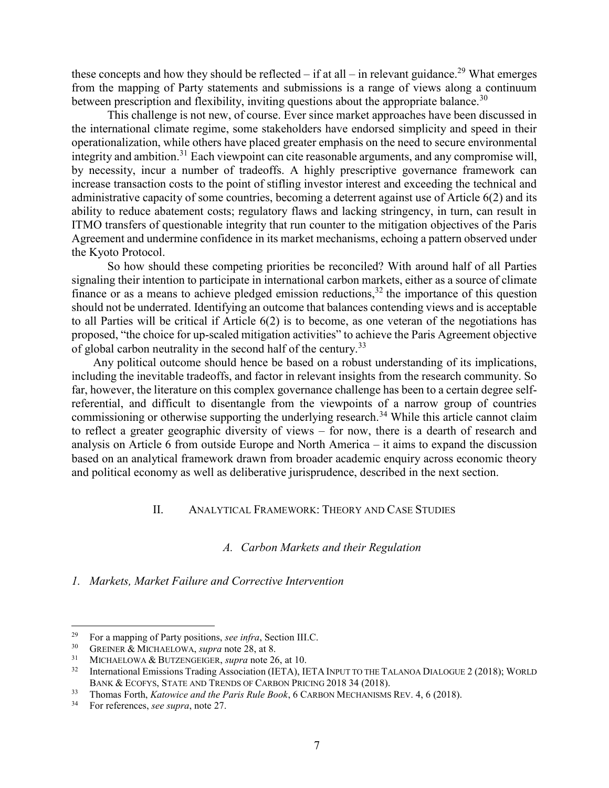these concepts and how they should be reflected – if at all – in relevant guidance.<sup>29</sup> What emerges from the mapping of Party statements and submissions is a range of views along a continuum between prescription and flexibility, inviting questions about the appropriate balance.<sup>30</sup>

This challenge is not new, of course. Ever since market approaches have been discussed in the international climate regime, some stakeholders have endorsed simplicity and speed in their operationalization, while others have placed greater emphasis on the need to secure environmental integrity and ambition.<sup>31</sup> Each viewpoint can cite reasonable arguments, and any compromise will, by necessity, incur a number of tradeoffs. A highly prescriptive governance framework can increase transaction costs to the point of stifling investor interest and exceeding the technical and administrative capacity of some countries, becoming a deterrent against use of Article 6(2) and its ability to reduce abatement costs; regulatory flaws and lacking stringency, in turn, can result in ITMO transfers of questionable integrity that run counter to the mitigation objectives of the Paris Agreement and undermine confidence in its market mechanisms, echoing a pattern observed under the Kyoto Protocol.

So how should these competing priorities be reconciled? With around half of all Parties signaling their intention to participate in international carbon markets, either as a source of climate finance or as a means to achieve pledged emission reductions,  $32$  the importance of this question should not be underrated. Identifying an outcome that balances contending views and is acceptable to all Parties will be critical if Article 6(2) is to become, as one veteran of the negotiations has proposed, "the choice for up-scaled mitigation activities" to achieve the Paris Agreement objective of global carbon neutrality in the second half of the century.<sup>33</sup>

Any political outcome should hence be based on a robust understanding of its implications, including the inevitable tradeoffs, and factor in relevant insights from the research community. So far, however, the literature on this complex governance challenge has been to a certain degree selfreferential, and difficult to disentangle from the viewpoints of a narrow group of countries commissioning or otherwise supporting the underlying research.<sup>34</sup> While this article cannot claim to reflect a greater geographic diversity of views – for now, there is a dearth of research and analysis on Article 6 from outside Europe and North America – it aims to expand the discussion based on an analytical framework drawn from broader academic enquiry across economic theory and political economy as well as deliberative jurisprudence, described in the next section.

# <span id="page-6-0"></span>II. ANALYTICAL FRAMEWORK: THEORY AND CASE STUDIES

# <span id="page-6-3"></span>*A. Carbon Markets and their Regulation*

<span id="page-6-2"></span><span id="page-6-1"></span>*1. Markets, Market Failure and Corrective Intervention*

<sup>&</sup>lt;sup>29</sup> For a mapping of Party positions, *see infra*, Section [III.](#page-23-0)[C.](#page-33-0)<br><sup>30</sup> GRENER & MICHAELOWA, suppo poto 28, et 8

<sup>&</sup>lt;sup>30</sup> GREINER & MICHAELOWA, *supra* note 28, at 8.<br><sup>31</sup> MICHAELOWA & BUTZENCEICER, supra note 26

<sup>31</sup> MICHAELOWA & BUTZENGEIGER, *supra* note 26, at 10.

<sup>&</sup>lt;sup>32</sup> International Emissions Trading Association (IETA), IETA INPUT TO THE TALANOA DIALOGUE 2 (2018); WORLD BANK & ECOFYS, STATE AND TRENDS OF CARBON PRICING 2018 34 (2018).

<sup>&</sup>lt;sup>33</sup> Thomas Forth, *Katowice and the Paris Rule Book*, 6 CARBON MECHANISMS REV. 4, 6 (2018).

<sup>34</sup> For references, *see supra*, note [27.](#page-5-0)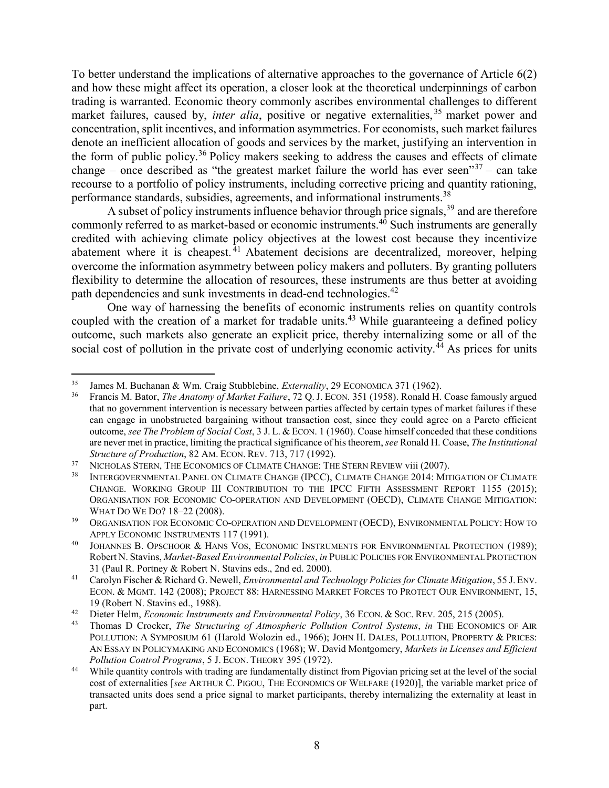To better understand the implications of alternative approaches to the governance of Article 6(2) and how these might affect its operation, a closer look at the theoretical underpinnings of carbon trading is warranted. Economic theory commonly ascribes environmental challenges to different market failures, caused by, *inter alia*, positive or negative externalities,<sup>35</sup> market power and concentration, split incentives, and information asymmetries. For economists, such market failures denote an inefficient allocation of goods and services by the market, justifying an intervention in the form of public policy.<sup>36</sup> Policy makers seeking to address the causes and effects of climate change – once described as "the greatest market failure the world has ever seen" $37$  – can take recourse to a portfolio of policy instruments, including corrective pricing and quantity rationing, performance standards, subsidies, agreements, and informational instruments.<sup>38</sup>

A subset of policy instruments influence behavior through price signals,<sup>39</sup> and are therefore commonly referred to as market-based or economic instruments.<sup>40</sup> Such instruments are generally credited with achieving climate policy objectives at the lowest cost because they incentivize abatement where it is cheapest.<sup>41</sup> Abatement decisions are decentralized, moreover, helping overcome the information asymmetry between policy makers and polluters. By granting polluters flexibility to determine the allocation of resources, these instruments are thus better at avoiding path dependencies and sunk investments in dead-end technologies.<sup>42</sup>

One way of harnessing the benefits of economic instruments relies on quantity controls coupled with the creation of a market for tradable units.<sup>43</sup> While guaranteeing a defined policy outcome, such markets also generate an explicit price, thereby internalizing some or all of the social cost of pollution in the private cost of underlying economic activity.<sup> $\overline{4}$ </sup> As prices for units

 $\overline{a}$ <sup>35</sup> James M. Buchanan & Wm. Craig Stubblebine, *Externality*, 29 ECONOMICA 371 (1962).<br><sup>36</sup> Francis M. Bator *The Angtomy of Market Egilure* 72 O. J. ECON 351 (1958). Ronald H.

<sup>36</sup> Francis M. Bator, *The Anatomy of Market Failure*, 72 Q.J. ECON. 351 (1958). Ronald H. Coase famously argued that no government intervention is necessary between parties affected by certain types of market failures if these can engage in unobstructed bargaining without transaction cost, since they could agree on a Pareto efficient outcome, *see The Problem of Social Cost*, 3 J. L. & ECON. 1 (1960). Coase himself conceded that these conditions are never met in practice, limiting the practical significance of his theorem, *see* Ronald H. Coase, *The Institutional Structure of Production*, 82 AM. ECON. REV. 713, 717 (1992).

<sup>&</sup>lt;sup>37</sup> NICHOLAS STERN, THE ECONOMICS OF CLIMATE CHANGE: THE STERN REVIEW viii (2007).<br><sup>38</sup> INTERGOVERNMENTAL PANEL ON CLIMATE CHANGE (IPCC), CLIMATE CHANGE 2014: MIT

<sup>38</sup> INTERGOVERNMENTAL PANEL ON CLIMATE CHANGE (IPCC), CLIMATE CHANGE 2014: MITIGATION OF CLIMATE CHANGE. WORKING GROUP III CONTRIBUTION TO THE IPCC FIFTH ASSESSMENT REPORT 1155 (2015); ORGANISATION FOR ECONOMIC CO-OPERATION AND DEVELOPMENT (OECD), CLIMATE CHANGE MITIGATION: WHAT DO WE DO? 18–22 (2008).

<sup>39</sup> ORGANISATION FOR ECONOMIC CO-OPERATION AND DEVELOPMENT (OECD), ENVIRONMENTAL POLICY: HOW TO APPLY ECONOMIC INSTRUMENTS 117 (1991).

<sup>40</sup> JOHANNES B. OPSCHOOR & HANS VOS, ECONOMIC INSTRUMENTS FOR ENVIRONMENTAL PROTECTION (1989); Robert N. Stavins, *Market-Based Environmental Policies*, *in* PUBLIC POLICIES FOR ENVIRONMENTAL PROTECTION 31 (Paul R. Portney & Robert N. Stavins eds., 2nd ed. 2000).

<sup>41</sup> Carolyn Fischer & Richard G. Newell, *Environmental and Technology Policies for Climate Mitigation*, 55 J. ENV. ECON. & MGMT. 142 (2008); PROJECT 88: HARNESSING MARKET FORCES TO PROTECT OUR ENVIRONMENT, 15, 19 (Robert N. Stavins ed., 1988).

<sup>42</sup> Dieter Helm, *Economic Instruments and Environmental Policy*, 36 ECON. & SOC. REV. 205, 215 (2005).<br><sup>43</sup> Thomas D. Crocker. *The Structuring of Atmospheric Pollution Control Systems, in THE ECONOMICS* 

<sup>43</sup> Thomas D Crocker, *The Structuring of Atmospheric Pollution Control Systems*, *in* THE ECONOMICS OF AIR POLLUTION: A SYMPOSIUM 61 (Harold Wolozin ed., 1966); JOHN H. DALES, POLLUTION, PROPERTY & PRICES: AN ESSAY IN POLICYMAKING AND ECONOMICS (1968); W. David Montgomery, *Markets in Licenses and Efficient Pollution Control Programs*, 5 J. ECON. THEORY 395 (1972).

<sup>&</sup>lt;sup>44</sup> While quantity controls with trading are fundamentally distinct from Pigovian pricing set at the level of the social cost of externalities [*see* ARTHUR C. PIGOU, THE ECONOMICS OF WELFARE (1920)], the variable market price of transacted units does send a price signal to market participants, thereby internalizing the externality at least in part.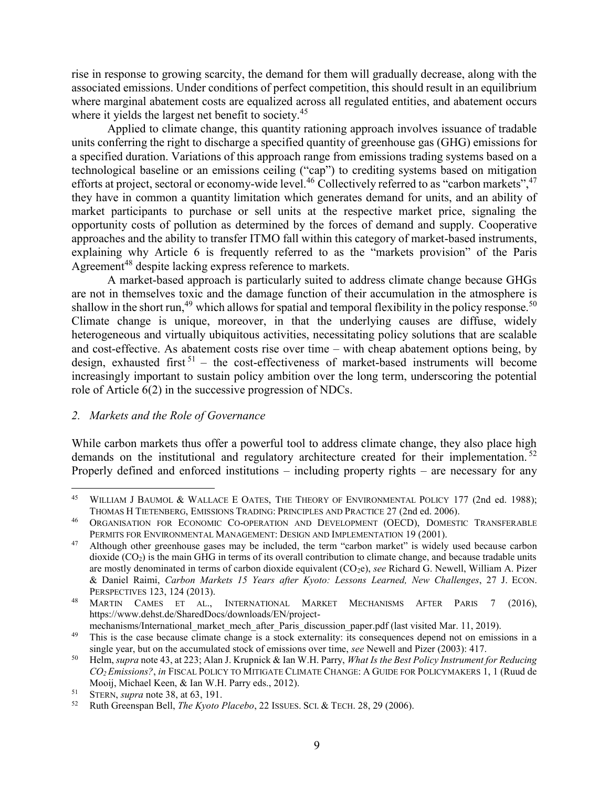rise in response to growing scarcity, the demand for them will gradually decrease, along with the associated emissions. Under conditions of perfect competition, this should result in an equilibrium where marginal abatement costs are equalized across all regulated entities, and abatement occurs where it yields the largest net benefit to society.<sup>45</sup>

Applied to climate change, this quantity rationing approach involves issuance of tradable units conferring the right to discharge a specified quantity of greenhouse gas (GHG) emissions for a specified duration. Variations of this approach range from emissions trading systems based on a technological baseline or an emissions ceiling ("cap") to crediting systems based on mitigation efforts at project, sectoral or economy-wide level.<sup>46</sup> Collectively referred to as "carbon markets",<sup>47</sup> they have in common a quantity limitation which generates demand for units, and an ability of market participants to purchase or sell units at the respective market price, signaling the opportunity costs of pollution as determined by the forces of demand and supply. Cooperative approaches and the ability to transfer ITMO fall within this category of market-based instruments, explaining why Article 6 is frequently referred to as the "markets provision" of the Paris Agreement<sup>48</sup> despite lacking express reference to markets.

A market-based approach is particularly suited to address climate change because GHGs are not in themselves toxic and the damage function of their accumulation in the atmosphere is shallow in the short run,<sup>49</sup> which allows for spatial and temporal flexibility in the policy response.<sup>50</sup> Climate change is unique, moreover, in that the underlying causes are diffuse, widely heterogeneous and virtually ubiquitous activities, necessitating policy solutions that are scalable and cost-effective. As abatement costs rise over time – with cheap abatement options being, by design, exhausted first  $51$  – the cost-effectiveness of market-based instruments will become increasingly important to sustain policy ambition over the long term, underscoring the potential role of Article 6(2) in the successive progression of NDCs.

### *2. Markets and the Role of Governance*

 $\overline{a}$ 

While carbon markets thus offer a powerful tool to address climate change, they also place high demands on the institutional and regulatory architecture created for their implementation.<sup>52</sup> Properly defined and enforced institutions – including property rights – are necessary for any

<sup>&</sup>lt;sup>45</sup> WILLIAM J BAUMOL & WALLACE E OATES, THE THEORY OF ENVIRONMENTAL POLICY 177 (2nd ed. 1988); THOMAS H TIETENBERG, EMISSIONS TRADING: PRINCIPLES AND PRACTICE 27 (2nd ed. 2006).

<sup>46</sup> ORGANISATION FOR ECONOMIC CO-OPERATION AND DEVELOPMENT (OECD), DOMESTIC TRANSFERABLE PERMITS FOR ENVIRONMENTAL MANAGEMENT: DESIGN AND IMPLEMENTATION 19 (2001).

<sup>&</sup>lt;sup>47</sup> Although other greenhouse gases may be included, the term "carbon market" is widely used because carbon dioxide  $(CO<sub>2</sub>)$  is the main GHG in terms of its overall contribution to climate change, and because tradable units are mostly denominated in terms of carbon dioxide equivalent (CO2e), *see* Richard G. Newell, William A. Pizer & Daniel Raimi, *Carbon Markets 15 Years after Kyoto: Lessons Learned, New Challenges*, 27 J. ECON. PERSPECTIVES 123, 124 (2013).

<sup>48</sup> MARTIN CAMES ET AL., INTERNATIONAL MARKET MECHANISMS AFTER PARIS 7 (2016), https://www.dehst.de/SharedDocs/downloads/EN/project-

mechanisms/International\_market\_mech\_after\_Paris\_discussion\_paper.pdf (last visited Mar. 11, 2019).

<sup>&</sup>lt;sup>49</sup> This is the case because climate change is a stock externality: its consequences depend not on emissions in a single year, but on the accumulated stock of emissions over time, *see* Newell and Pizer (2003): 417.

<sup>50</sup> Helm, *supra* note 43, at 223; Alan J. Krupnick & Ian W.H. Parry, *What Is the Best Policy Instrument for Reducing CO2 Emissions?*, *in* FISCAL POLICY TO MITIGATE CLIMATE CHANGE: A GUIDE FOR POLICYMAKERS 1, 1 (Ruud de Mooij, Michael Keen, & Ian W.H. Parry eds., 2012).

<sup>&</sup>lt;sup>51</sup> STERN, *supra* note 38, at 63, 191.

<sup>52</sup> Ruth Greenspan Bell, *The Kyoto Placebo*, 22 ISSUES. SCI. & TECH. 28, 29 (2006).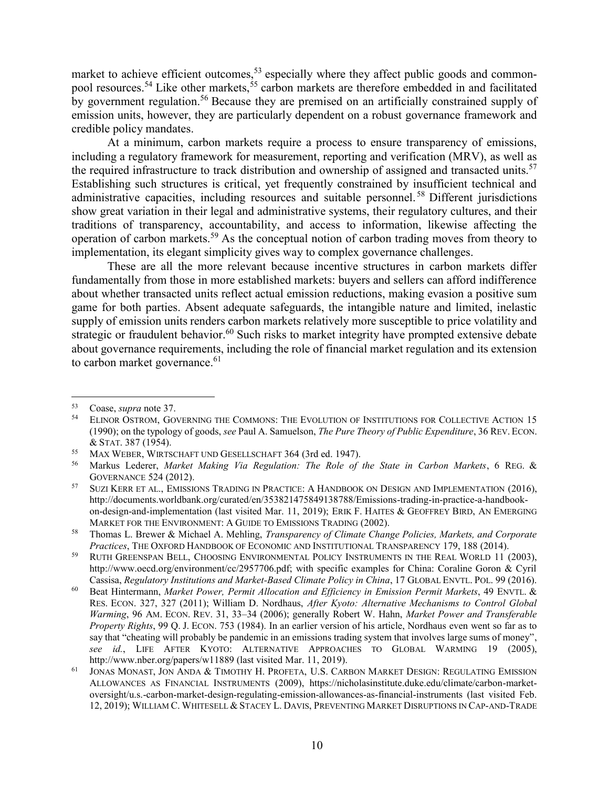market to achieve efficient outcomes,<sup>53</sup> especially where they affect public goods and commonpool resources.<sup>54</sup> Like other markets,<sup>55</sup> carbon markets are therefore embedded in and facilitated by government regulation.<sup>56</sup> Because they are premised on an artificially constrained supply of emission units, however, they are particularly dependent on a robust governance framework and credible policy mandates.

At a minimum, carbon markets require a process to ensure transparency of emissions, including a regulatory framework for measurement, reporting and verification (MRV), as well as the required infrastructure to track distribution and ownership of assigned and transacted units.<sup>57</sup> Establishing such structures is critical, yet frequently constrained by insufficient technical and administrative capacities, including resources and suitable personnel.<sup>58</sup> Different jurisdictions show great variation in their legal and administrative systems, their regulatory cultures, and their traditions of transparency, accountability, and access to information, likewise affecting the operation of carbon markets.<sup>59</sup> As the conceptual notion of carbon trading moves from theory to implementation, its elegant simplicity gives way to complex governance challenges.

These are all the more relevant because incentive structures in carbon markets differ fundamentally from those in more established markets: buyers and sellers can afford indifference about whether transacted units reflect actual emission reductions, making evasion a positive sum game for both parties. Absent adequate safeguards, the intangible nature and limited, inelastic supply of emission units renders carbon markets relatively more susceptible to price volatility and strategic or fraudulent behavior.<sup>60</sup> Such risks to market integrity have prompted extensive debate about governance requirements, including the role of financial market regulation and its extension to carbon market governance.<sup>61</sup>

<sup>&</sup>lt;sup>53</sup> Coase, *supra* note 37.<br><sup>54</sup> ELINOR OSTROM GOV

<sup>54</sup> ELINOR OSTROM, GOVERNING THE COMMONS: THE EVOLUTION OF INSTITUTIONS FOR COLLECTIVE ACTION 15 (1990); on the typology of goods, *see* Paul A. Samuelson, *The Pure Theory of Public Expenditure*, 36 REV. ECON. & STAT. 387 (1954).

<sup>&</sup>lt;sup>55</sup> MAX WEBER, WIRTSCHAFT UND GESELLSCHAFT 364 (3rd ed. 1947).<br><sup>56</sup> Markus I ederer *Market Making Via Regulation: The Role of* 

<sup>56</sup> Markus Lederer, *Market Making Via Regulation: The Role of the State in Carbon Markets*, 6 REG. & GOVERNANCE 524 (2012).

<sup>&</sup>lt;sup>57</sup> SUZI KERR ET AL., EMISSIONS TRADING IN PRACTICE: A HANDBOOK ON DESIGN AND IMPLEMENTATION (2016), http://documents.worldbank.org/curated/en/353821475849138788/Emissions-trading-in-practice-a-handbookon-design-and-implementation (last visited Mar. 11, 2019); ERIK F. HAITES & GEOFFREY BIRD, AN EMERGING MARKET FOR THE ENVIRONMENT: A GUIDE TO EMISSIONS TRADING (2002).

<sup>58</sup> Thomas L. Brewer & Michael A. Mehling, *Transparency of Climate Change Policies, Markets, and Corporate Practices*, THE OXFORD HANDBOOK OF ECONOMIC AND INSTITUTIONAL TRANSPARENCY 179, 188 (2014).

<sup>&</sup>lt;sup>59</sup> RUTH GREENSPAN BELL, CHOOSING ENVIRONMENTAL POLICY INSTRUMENTS IN THE REAL WORLD 11 (2003), http://www.oecd.org/environment/cc/2957706.pdf; with specific examples for China: Coraline Goron & Cyril Cassisa, *Regulatory Institutions and Market-Based Climate Policy in China*, 17 GLOBAL ENVTL. POL. 99 (2016).

<sup>60</sup> Beat Hintermann, *Market Power, Permit Allocation and Efficiency in Emission Permit Markets*, 49 ENVTL. & RES. ECON. 327, 327 (2011); William D. Nordhaus, *After Kyoto: Alternative Mechanisms to Control Global Warming*, 96 AM. ECON. REV. 31, 33–34 (2006); generally Robert W. Hahn, *Market Power and Transferable Property Rights*, 99 Q. J. ECON. 753 (1984). In an earlier version of his article, Nordhaus even went so far as to say that "cheating will probably be pandemic in an emissions trading system that involves large sums of money", *see id.*, LIFE AFTER KYOTO: ALTERNATIVE APPROACHES TO GLOBAL WARMING 19 (2005), http://www.nber.org/papers/w11889 (last visited Mar. 11, 2019).

JONAS MONAST, JON ANDA & TIMOTHY H. PROFETA, U.S. CARBON MARKET DESIGN: REGULATING EMISSION ALLOWANCES AS FINANCIAL INSTRUMENTS (2009), https://nicholasinstitute.duke.edu/climate/carbon-marketoversight/u.s.-carbon-market-design-regulating-emission-allowances-as-financial-instruments (last visited Feb. 12, 2019); WILLIAM C. WHITESELL & STACEY L. DAVIS, PREVENTING MARKET DISRUPTIONS IN CAP-AND-TRADE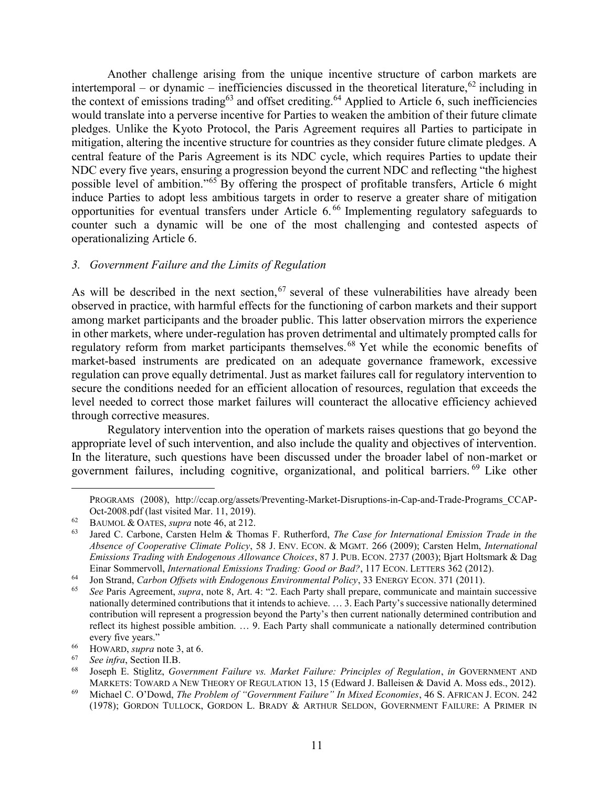Another challenge arising from the unique incentive structure of carbon markets are intertemporal – or dynamic – inefficiencies discussed in the theoretical literature,  $62$  including in the context of emissions trading<sup>63</sup> and offset crediting.<sup>64</sup> Applied to Article 6, such inefficiencies would translate into a perverse incentive for Parties to weaken the ambition of their future climate pledges. Unlike the Kyoto Protocol, the Paris Agreement requires all Parties to participate in mitigation, altering the incentive structure for countries as they consider future climate pledges. A central feature of the Paris Agreement is its NDC cycle, which requires Parties to update their NDC every five years, ensuring a progression beyond the current NDC and reflecting "the highest possible level of ambition."<sup>65</sup> By offering the prospect of profitable transfers, Article 6 might induce Parties to adopt less ambitious targets in order to reserve a greater share of mitigation opportunities for eventual transfers under Article 6. <sup>66</sup> Implementing regulatory safeguards to counter such a dynamic will be one of the most challenging and contested aspects of operationalizing Article 6.

### <span id="page-10-0"></span>*3. Government Failure and the Limits of Regulation*

As will be described in the next section,  $67$  several of these vulnerabilities have already been observed in practice, with harmful effects for the functioning of carbon markets and their support among market participants and the broader public. This latter observation mirrors the experience in other markets, where under-regulation has proven detrimental and ultimately prompted calls for regulatory reform from market participants themselves. <sup>68</sup> Yet while the economic benefits of market-based instruments are predicated on an adequate governance framework, excessive regulation can prove equally detrimental. Just as market failures call for regulatory intervention to secure the conditions needed for an efficient allocation of resources, regulation that exceeds the level needed to correct those market failures will counteract the allocative efficiency achieved through corrective measures.

Regulatory intervention into the operation of markets raises questions that go beyond the appropriate level of such intervention, and also include the quality and objectives of intervention. In the literature, such questions have been discussed under the broader label of non-market or government failures, including cognitive, organizational, and political barriers. <sup>69</sup> Like other

PROGRAMS (2008), http://ccap.org/assets/Preventing-Market-Disruptions-in-Cap-and-Trade-Programs\_CCAP-Oct-2008.pdf (last visited Mar. 11, 2019).

<sup>62</sup> BAUMOL & OATES, *supra* note 46, at 212.

<sup>63</sup> Jared C. Carbone, Carsten Helm & Thomas F. Rutherford, *The Case for International Emission Trade in the Absence of Cooperative Climate Policy*, 58 J. ENV. ECON. & MGMT. 266 (2009); Carsten Helm, *International Emissions Trading with Endogenous Allowance Choices*, 87 J. PUB. ECON. 2737 (2003); Bjart Holtsmark & Dag Einar Sommervoll, *International Emissions Trading: Good or Bad?*, 117 ECON. LETTERS 362 (2012).

<sup>64</sup> Jon Strand, *Carbon Offsets with Endogenous Environmental Policy*, 33 ENERGY ECON. 371 (2011).

<sup>65</sup> *See* Paris Agreement, *supra*, note [8,](#page-2-1) Art. 4: "2. Each Party shall prepare, communicate and maintain successive nationally determined contributions that it intends to achieve. … 3. Each Party's successive nationally determined contribution will represent a progression beyond the Party's then current nationally determined contribution and reflect its highest possible ambition. … 9. Each Party shall communicate a nationally determined contribution every five years."

<sup>66</sup> HOWARD, *supra* note 3, at 6.

<sup>67</sup> *See infra*, Section [II](#page-6-0)[.B.](#page-12-0)

<sup>68</sup> Joseph E. Stiglitz, *Government Failure vs. Market Failure: Principles of Regulation*, *in* GOVERNMENT AND MARKETS: TOWARD A NEW THEORY OF REGULATION 13, 15 (Edward J. Balleisen & David A. Moss eds., 2012).

<sup>69</sup> Michael C. O'Dowd, *The Problem of "Government Failure" In Mixed Economies*, 46 S. AFRICAN J. ECON. 242 (1978); GORDON TULLOCK, GORDON L. BRADY & ARTHUR SELDON, GOVERNMENT FAILURE: A PRIMER IN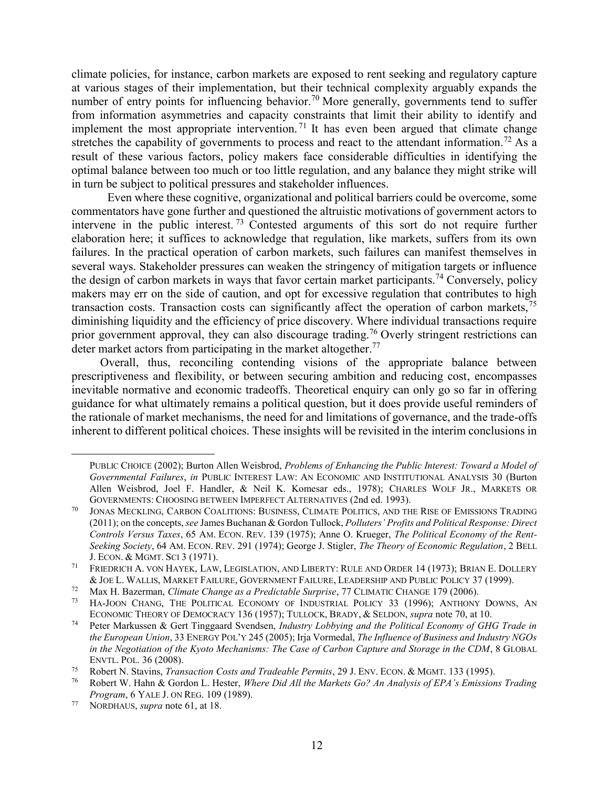climate policies, for instance, carbon markets are exposed to rent seeking and regulatory capture at various stages of their implementation, but their technical complexity arguably expands the number of entry points for influencing behavior.<sup>70</sup> More generally, governments tend to suffer from information asymmetries and capacity constraints that limit their ability to identify and implement the most appropriate intervention.<sup>71</sup> It has even been argued that climate change stretches the capability of governments to process and react to the attendant information.<sup>72</sup> As a result of these various factors, policy makers face considerable difficulties in identifying the optimal balance between too much or too little regulation, and any balance they might strike will in turn be subject to political pressures and stakeholder influences.

Even where these cognitive, organizational and political barriers could be overcome, some commentators have gone further and questioned the altruistic motivations of government actors to intervene in the public interest.<sup>73</sup> Contested arguments of this sort do not require further elaboration here; it suffices to acknowledge that regulation, like markets, suffers from its own failures. In the practical operation of carbon markets, such failures can manifest themselves in several ways. Stakeholder pressures can weaken the stringency of mitigation targets or influence the design of carbon markets in ways that favor certain market participants.<sup>74</sup> Conversely, policy makers may err on the side of caution, and opt for excessive regulation that contributes to high transaction costs. Transaction costs can significantly affect the operation of carbon markets,<sup>75</sup> diminishing liquidity and the efficiency of price discovery. Where individual transactions require prior government approval, they can also discourage trading.<sup>76</sup> Overly stringent restrictions can deter market actors from participating in the market altogether.<sup>77</sup>

Overall, thus, reconciling contending visions of the appropriate balance between prescriptiveness and flexibility, or between securing ambition and reducing cost, encompasses inevitable normative and economic tradeoffs. Theoretical enquiry can only go so far in offering guidance for what ultimately remains a political question, but it does provide useful reminders of the rationale of market mechanisms, the need for and limitations of governance, and the trade-offs inherent to different political choices. These insights will be revisited in the interim conclusions in

PUBLIC CHOICE (2002); Burton Allen Weisbrod, *Problems of Enhancing the Public Interest: Toward a Model of Governmental Failures*, *in* PUBLIC INTEREST LAW: AN ECONOMIC AND INSTITUTIONAL ANALYSIS 30 (Burton Allen Weisbrod, Joel F. Handler, & Neil K. Komesar eds., 1978); CHARLES WOLF JR., MARKETS OR GOVERNMENTS: CHOOSING BETWEEN IMPERFECT ALTERNATIVES (2nd ed. 1993).

<sup>70</sup> JONAS MECKLING, CARBON COALITIONS: BUSINESS, CLIMATE POLITICS, AND THE RISE OF EMISSIONS TRADING (2011); on the concepts, *see* James Buchanan & Gordon Tullock, *Polluters' Profits and Political Response: Direct Controls Versus Taxes*, 65 AM. ECON. REV. 139 (1975); Anne O. Krueger, *The Political Economy of the Rent-Seeking Society*, 64 AM. ECON. REV. 291 (1974); George J. Stigler, *The Theory of Economic Regulation*, 2 BELL J. ECON. & MGMT. SCI 3 (1971).

<sup>71</sup> FRIEDRICH A. VON HAYEK, LAW, LEGISLATION, AND LIBERTY: RULE AND ORDER 14 (1973); BRIAN E. DOLLERY & JOE L. WALLIS, MARKET FAILURE, GOVERNMENT FAILURE, LEADERSHIP AND PUBLIC POLICY 37 (1999).

<sup>72</sup> Max H. Bazerman, *Climate Change as a Predictable Surprise*, 77 CLIMATIC CHANGE 179 (2006).

HA-JOON CHANG, THE POLITICAL ECONOMY OF INDUSTRIAL POLICY 33 (1996); ANTHONY DOWNS, AN ECONOMIC THEORY OF DEMOCRACY 136 (1957); TULLOCK, BRADY, & SELDON, *supra* note 70, at 10.

<sup>74</sup> Peter Markussen & Gert Tinggaard Svendsen, *Industry Lobbying and the Political Economy of GHG Trade in the European Union*, 33 ENERGY POL'Y 245 (2005); Irja Vormedal, *The Influence of Business and Industry NGOs in the Negotiation of the Kyoto Mechanisms: The Case of Carbon Capture and Storage in the CDM*, 8 GLOBAL ENVTL. POL. 36 (2008).

<sup>75</sup> Robert N. Stavins, *Transaction Costs and Tradeable Permits*, 29 J. ENV. ECON. & MGMT. 133 (1995).

<sup>76</sup> Robert W. Hahn & Gordon L. Hester, *Where Did All the Markets Go? An Analysis of EPA's Emissions Trading Program*, 6 YALE J. ON REG. 109 (1989).

<sup>77</sup> NORDHAUS, *supra* note 61, at 18.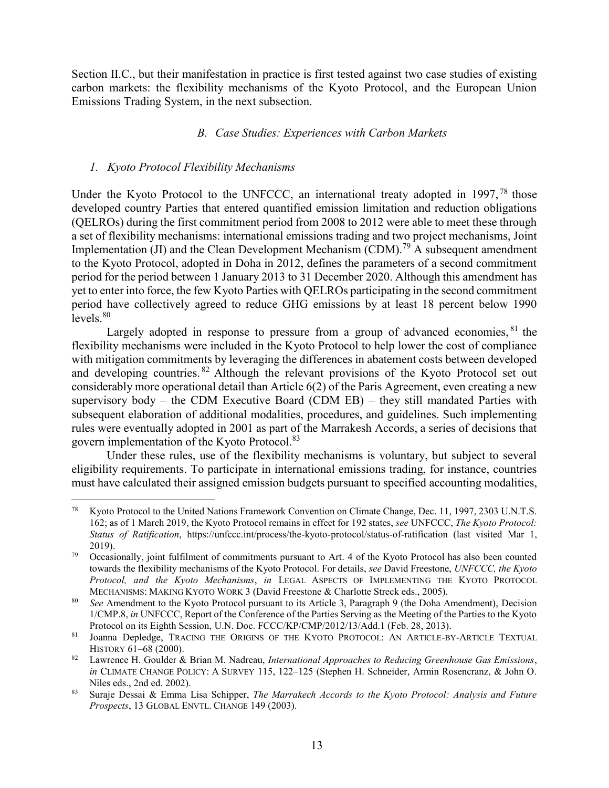<span id="page-12-0"></span>Section [II](#page-6-0)[.C.](#page-21-0), but their manifestation in practice is first tested against two case studies of existing carbon markets: the flexibility mechanisms of the Kyoto Protocol, and the European Union Emissions Trading System, in the next subsection.

# *B. Case Studies: Experiences with Carbon Markets*

# <span id="page-12-1"></span>*1. Kyoto Protocol Flexibility Mechanisms*

Under the Kyoto Protocol to the UNFCCC, an international treaty adopted in 1997,<sup>78</sup> those developed country Parties that entered quantified emission limitation and reduction obligations (QELROs) during the first commitment period from 2008 to 2012 were able to meet these through a set of flexibility mechanisms: international emissions trading and two project mechanisms, Joint Implementation (JI) and the Clean Development Mechanism (CDM).<sup>79</sup> A subsequent amendment to the Kyoto Protocol, adopted in Doha in 2012, defines the parameters of a second commitment period for the period between 1 January 2013 to 31 December 2020. Although this amendment has yet to enter into force, the few Kyoto Parties with QELROs participating in the second commitment period have collectively agreed to reduce GHG emissions by at least 18 percent below 1990  $levels<sup>80</sup>$ 

Largely adopted in response to pressure from a group of advanced economies, <sup>81</sup> the flexibility mechanisms were included in the Kyoto Protocol to help lower the cost of compliance with mitigation commitments by leveraging the differences in abatement costs between developed and developing countries. <sup>82</sup> Although the relevant provisions of the Kyoto Protocol set out considerably more operational detail than Article 6(2) of the Paris Agreement, even creating a new supervisory body – the CDM Executive Board (CDM  $EB$ ) – they still mandated Parties with subsequent elaboration of additional modalities, procedures, and guidelines. Such implementing rules were eventually adopted in 2001 as part of the Marrakesh Accords, a series of decisions that govern implementation of the Kyoto Protocol.<sup>83</sup>

Under these rules, use of the flexibility mechanisms is voluntary, but subject to several eligibility requirements. To participate in international emissions trading, for instance, countries must have calculated their assigned emission budgets pursuant to specified accounting modalities,

 $78\,$ Kyoto Protocol to the United Nations Framework Convention on Climate Change, Dec. 11, 1997, 2303 U.N.T.S. 162; as of 1 March 2019, the Kyoto Protocol remains in effect for 192 states, *see* UNFCCC, *The Kyoto Protocol: Status of Ratification*, https://unfccc.int/process/the-kyoto-protocol/status-of-ratification (last visited Mar 1, 2019).

<sup>&</sup>lt;sup>79</sup> Occasionally, joint fulfilment of commitments pursuant to Art. 4 of the Kyoto Protocol has also been counted towards the flexibility mechanisms of the Kyoto Protocol. For details, *see* David Freestone, *UNFCCC, the Kyoto Protocol, and the Kyoto Mechanisms*, *in* LEGAL ASPECTS OF IMPLEMENTING THE KYOTO PROTOCOL MECHANISMS: MAKING KYOTO WORK 3 (David Freestone & Charlotte Streck eds., 2005).

<sup>80</sup> *See* Amendment to the Kyoto Protocol pursuant to its Article 3, Paragraph 9 (the Doha Amendment), Decision 1/CMP.8, *in* UNFCCC, Report of the Conference of the Parties Serving as the Meeting of the Parties to the Kyoto Protocol on its Eighth Session, U.N. Doc. FCCC/KP/CMP/2012/13/Add.1 (Feb. 28, 2013).

<sup>81</sup> Joanna Depledge, TRACING THE ORIGINS OF THE KYOTO PROTOCOL: AN ARTICLE-BY-ARTICLE TEXTUAL HISTORY 61–68 (2000).

<sup>82</sup> Lawrence H. Goulder & Brian M. Nadreau, *International Approaches to Reducing Greenhouse Gas Emissions*, *in* CLIMATE CHANGE POLICY: A SURVEY 115, 122–125 (Stephen H. Schneider, Armin Rosencranz, & John O. Niles eds., 2nd ed. 2002).

<sup>83</sup> Suraje Dessai & Emma Lisa Schipper, *The Marrakech Accords to the Kyoto Protocol: Analysis and Future Prospects*, 13 GLOBAL ENVTL. CHANGE 149 (2003).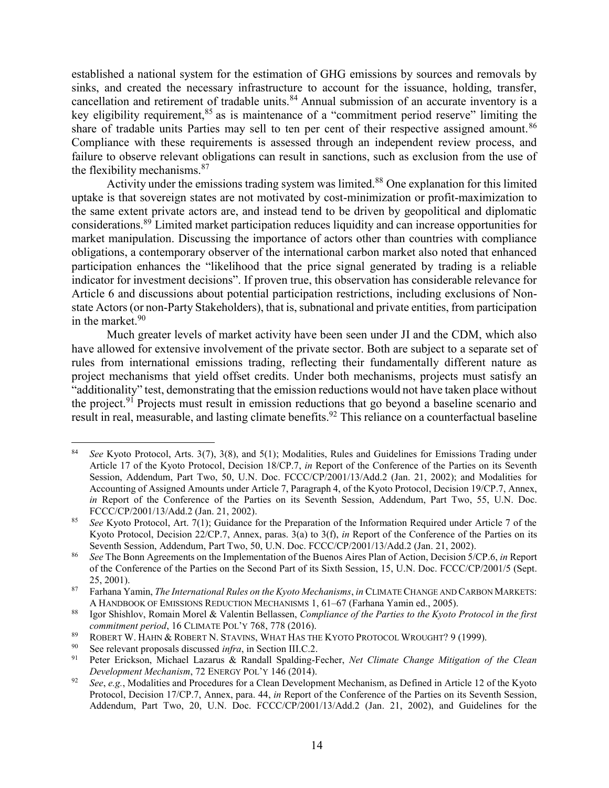established a national system for the estimation of GHG emissions by sources and removals by sinks, and created the necessary infrastructure to account for the issuance, holding, transfer, cancellation and retirement of tradable units.<sup>84</sup> Annual submission of an accurate inventory is a key eligibility requirement,<sup>85</sup> as is maintenance of a "commitment period reserve" limiting the share of tradable units Parties may sell to ten per cent of their respective assigned amount.<sup>86</sup> Compliance with these requirements is assessed through an independent review process, and failure to observe relevant obligations can result in sanctions, such as exclusion from the use of the flexibility mechanisms.<sup>87</sup>

Activity under the emissions trading system was limited.<sup>88</sup> One explanation for this limited uptake is that sovereign states are not motivated by cost-minimization or profit-maximization to the same extent private actors are, and instead tend to be driven by geopolitical and diplomatic considerations.<sup>89</sup> Limited market participation reduces liquidity and can increase opportunities for market manipulation. Discussing the importance of actors other than countries with compliance obligations, a contemporary observer of the international carbon market also noted that enhanced participation enhances the "likelihood that the price signal generated by trading is a reliable indicator for investment decisions". If proven true, this observation has considerable relevance for Article 6 and discussions about potential participation restrictions, including exclusions of Nonstate Actors (or non-Party Stakeholders), that is, subnational and private entities, from participation in the market. 90

Much greater levels of market activity have been seen under JI and the CDM, which also have allowed for extensive involvement of the private sector. Both are subject to a separate set of rules from international emissions trading, reflecting their fundamentally different nature as project mechanisms that yield offset credits. Under both mechanisms, projects must satisfy an "additionality" test, demonstrating that the emission reductions would not have taken place without the project.<sup>91</sup> Projects must result in emission reductions that go beyond a baseline scenario and result in real, measurable, and lasting climate benefits.<sup>92</sup> This reliance on a counterfactual baseline

<span id="page-13-0"></span><sup>84</sup> *See* Kyoto Protocol, Arts. 3(7), 3(8), and 5(1); Modalities, Rules and Guidelines for Emissions Trading under Article 17 of the Kyoto Protocol, Decision 18/CP.7, *in* Report of the Conference of the Parties on its Seventh Session, Addendum, Part Two, 50, U.N. Doc. FCCC/CP/2001/13/Add.2 (Jan. 21, 2002); and Modalities for Accounting of Assigned Amounts under Article 7, Paragraph 4, of the Kyoto Protocol, Decision 19/CP.7, Annex, *in* Report of the Conference of the Parties on its Seventh Session, Addendum, Part Two, 55, U.N. Doc. FCCC/CP/2001/13/Add.2 (Jan. 21, 2002).

<sup>85</sup> *See* Kyoto Protocol, Art. 7(1); Guidance for the Preparation of the Information Required under Article 7 of the Kyoto Protocol, Decision 22/CP.7, Annex, paras. 3(a) to 3(f), *in* Report of the Conference of the Parties on its Seventh Session, Addendum, Part Two, 50, U.N. Doc. FCCC/CP/2001/13/Add.2 (Jan. 21, 2002).

<sup>86</sup> *See* The Bonn Agreements on the Implementation of the Buenos Aires Plan of Action, Decision 5/CP.6, *in* Report of the Conference of the Parties on the Second Part of its Sixth Session, 15, U.N. Doc. FCCC/CP/2001/5 (Sept. 25, 2001).

<sup>87</sup> Farhana Yamin, *The International Rules on the Kyoto Mechanisms*, *in* CLIMATE CHANGE AND CARBON MARKETS: A HANDBOOK OF EMISSIONS REDUCTION MECHANISMS 1, 61–67 (Farhana Yamin ed., 2005).

<sup>88</sup> Igor Shishlov, Romain Morel & Valentin Bellassen, *Compliance of the Parties to the Kyoto Protocol in the first commitment period*, 16 CLIMATE POL'Y 768, 778 (2016).

<sup>89</sup> ROBERT W. HAHN & ROBERT N. STAVINS, WHAT HAS THE KYOTO PROTOCOL WROUGHT? 9 (1999).

<sup>90</sup> See relevant proposals discussed *infra*, in Section [III.](#page-23-0)[C.](#page-33-0)[2.](#page-36-0)

<sup>91</sup> Peter Erickson, Michael Lazarus & Randall Spalding-Fecher, *Net Climate Change Mitigation of the Clean Development Mechanism*, 72 ENERGY POL'Y 146 (2014).

<sup>92</sup> *See*, *e.g.*, Modalities and Procedures for a Clean Development Mechanism, as Defined in Article 12 of the Kyoto Protocol, Decision 17/CP.7, Annex, para. 44, *in* Report of the Conference of the Parties on its Seventh Session, Addendum, Part Two, 20, U.N. Doc. FCCC/CP/2001/13/Add.2 (Jan. 21, 2002), and Guidelines for the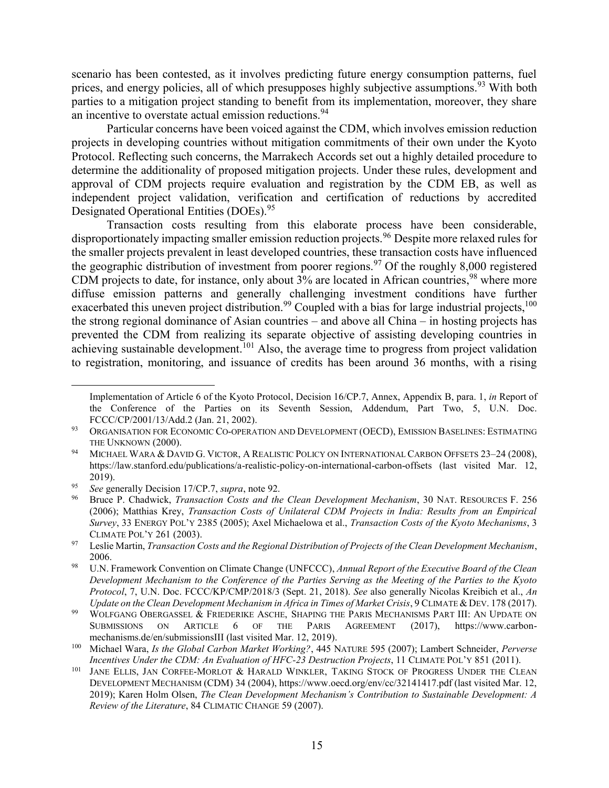scenario has been contested, as it involves predicting future energy consumption patterns, fuel prices, and energy policies, all of which presupposes highly subjective assumptions.<sup>93</sup> With both parties to a mitigation project standing to benefit from its implementation, moreover, they share an incentive to overstate actual emission reductions.<sup>94</sup>

Particular concerns have been voiced against the CDM, which involves emission reduction projects in developing countries without mitigation commitments of their own under the Kyoto Protocol. Reflecting such concerns, the Marrakech Accords set out a highly detailed procedure to determine the additionality of proposed mitigation projects. Under these rules, development and approval of CDM projects require evaluation and registration by the CDM EB, as well as independent project validation, verification and certification of reductions by accredited Designated Operational Entities (DOEs).<sup>95</sup>

Transaction costs resulting from this elaborate process have been considerable, disproportionately impacting smaller emission reduction projects.<sup>96</sup> Despite more relaxed rules for the smaller projects prevalent in least developed countries, these transaction costs have influenced the geographic distribution of investment from poorer regions.<sup>97</sup> Of the roughly 8,000 registered CDM projects to date, for instance, only about 3% are located in African countries,<sup>98</sup> where more diffuse emission patterns and generally challenging investment conditions have further exacerbated this uneven project distribution.<sup>99</sup> Coupled with a bias for large industrial projects,<sup>100</sup> the strong regional dominance of Asian countries – and above all China – in hosting projects has prevented the CDM from realizing its separate objective of assisting developing countries in achieving sustainable development.<sup>101</sup> Also, the average time to progress from project validation to registration, monitoring, and issuance of credits has been around 36 months, with a rising

Implementation of Article 6 of the Kyoto Protocol, Decision 16/CP.7, Annex, Appendix B, para. 1, *in* Report of the Conference of the Parties on its Seventh Session, Addendum, Part Two, 5, U.N. Doc. FCCC/CP/2001/13/Add.2 (Jan. 21, 2002).

<sup>&</sup>lt;sup>93</sup> ORGANISATION FOR ECONOMIC CO-OPERATION AND DEVELOPMENT (OECD), EMISSION BASELINES: ESTIMATING THE UNKNOWN (2000).

<sup>&</sup>lt;sup>94</sup> MICHAEL WARA & DAVID G. VICTOR, A REALISTIC POLICY ON INTERNATIONAL CARBON OFFSETS 23-24 (2008), https://law.stanford.edu/publications/a-realistic-policy-on-international-carbon-offsets (last visited Mar. 12, 2019).

<sup>95</sup> *See* generally Decision 17/CP.7, *supra*, note [92.](#page-13-0)

<sup>96</sup> Bruce P. Chadwick, *Transaction Costs and the Clean Development Mechanism*, 30 NAT. RESOURCES F. 256 (2006); Matthias Krey, *Transaction Costs of Unilateral CDM Projects in India: Results from an Empirical Survey*, 33 ENERGY POL'Y 2385 (2005); Axel Michaelowa et al., *Transaction Costs of the Kyoto Mechanisms*, 3 CLIMATE POL'Y 261 (2003).

<sup>97</sup> Leslie Martin, *Transaction Costs and the Regional Distribution of Projects of the Clean Development Mechanism*, 2006.

<sup>98</sup> U.N. Framework Convention on Climate Change (UNFCCC), *Annual Report of the Executive Board of the Clean Development Mechanism to the Conference of the Parties Serving as the Meeting of the Parties to the Kyoto Protocol*, 7, U.N. Doc. FCCC/KP/CMP/2018/3 (Sept. 21, 2018). *See* also generally Nicolas Kreibich et al., *An Update on the Clean Development Mechanism in Africa in Times of Market Crisis*, 9 CLIMATE & DEV. 178 (2017).

<sup>&</sup>lt;sup>99</sup> WOLFGANG OBERGASSEL & FRIEDERIKE ASCHE, SHAPING THE PARIS MECHANISMS PART III: AN UPDATE ON SUBMISSIONS ON ARTICLE 6 OF THE PARIS AGREEMENT (2017), https://www.carbonmechanisms.de/en/submissionsIII (last visited Mar. 12, 2019).

<sup>100</sup> Michael Wara, *Is the Global Carbon Market Working?*, 445 NATURE 595 (2007); Lambert Schneider, *Perverse Incentives Under the CDM: An Evaluation of HFC-23 Destruction Projects*, 11 CLIMATE POL'Y 851 (2011).

<sup>&</sup>lt;sup>101</sup> JANE ELLIS, JAN CORFEE-MORLOT & HARALD WINKLER, TAKING STOCK OF PROGRESS UNDER THE CLEAN DEVELOPMENT MECHANISM (CDM) 34 (2004), https://www.oecd.org/env/cc/32141417.pdf (last visited Mar. 12, 2019); Karen Holm Olsen, *The Clean Development Mechanism's Contribution to Sustainable Development: A Review of the Literature*, 84 CLIMATIC CHANGE 59 (2007).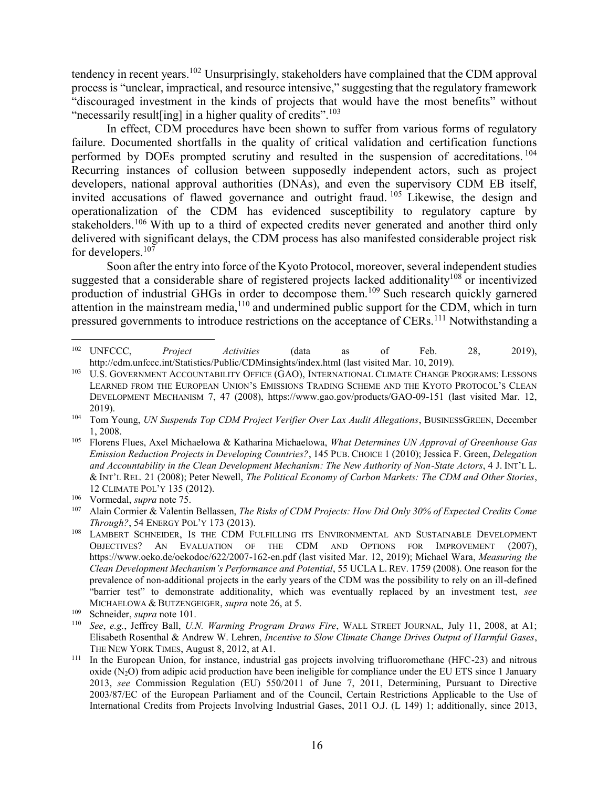tendency in recent years.<sup>102</sup> Unsurprisingly, stakeholders have complained that the CDM approval process is "unclear, impractical, and resource intensive," suggesting that the regulatory framework "discouraged investment in the kinds of projects that would have the most benefits" without "necessarily result [ing] in a higher quality of credits".<sup>103</sup>

In effect, CDM procedures have been shown to suffer from various forms of regulatory failure. Documented shortfalls in the quality of critical validation and certification functions performed by DOEs prompted scrutiny and resulted in the suspension of accreditations.<sup>104</sup> Recurring instances of collusion between supposedly independent actors, such as project developers, national approval authorities (DNAs), and even the supervisory CDM EB itself, invited accusations of flawed governance and outright fraud. <sup>105</sup> Likewise, the design and operationalization of the CDM has evidenced susceptibility to regulatory capture by stakeholders.<sup>106</sup> With up to a third of expected credits never generated and another third only delivered with significant delays, the CDM process has also manifested considerable project risk for developers.<sup>107</sup>

Soon after the entry into force of the Kyoto Protocol, moreover, several independent studies suggested that a considerable share of registered projects lacked additionality<sup>108</sup> or incentivized production of industrial GHGs in order to decompose them.<sup>109</sup> Such research quickly garnered attention in the mainstream media,<sup>110</sup> and undermined public support for the CDM, which in turn pressured governments to introduce restrictions on the acceptance of CERs.<sup>111</sup> Notwithstanding a

 $\overline{a}$ <sup>102</sup> UNFCCC, *Project Activities* (data as of Feb. 28, 2019), http://cdm.unfccc.int/Statistics/Public/CDMinsights/index.html (last visited Mar. 10, 2019).

<sup>&</sup>lt;sup>103</sup> U.S. GOVERNMENT ACCOUNTABILITY OFFICE (GAO), INTERNATIONAL CLIMATE CHANGE PROGRAMS: LESSONS LEARNED FROM THE EUROPEAN UNION'S EMISSIONS TRADING SCHEME AND THE KYOTO PROTOCOL'S CLEAN DEVELOPMENT MECHANISM 7, 47 (2008), https://www.gao.gov/products/GAO-09-151 (last visited Mar. 12, 2019).

<sup>104</sup> Tom Young, *UN Suspends Top CDM Project Verifier Over Lax Audit Allegations*, BUSINESSGREEN, December 1, 2008.

<sup>105</sup> Florens Flues, Axel Michaelowa & Katharina Michaelowa, *What Determines UN Approval of Greenhouse Gas Emission Reduction Projects in Developing Countries?*, 145 PUB. CHOICE 1 (2010); Jessica F. Green, *Delegation and Accountability in the Clean Development Mechanism: The New Authority of Non-State Actors*, 4 J. INT'L L. & INT'L REL. 21 (2008); Peter Newell, *The Political Economy of Carbon Markets: The CDM and Other Stories*, 12 CLIMATE POL'Y 135 (2012).

<sup>106</sup> Vormedal, *supra* note 75.

<sup>107</sup> Alain Cormier & Valentin Bellassen, *The Risks of CDM Projects: How Did Only 30% of Expected Credits Come Through?*, 54 ENERGY POL'Y 173 (2013).

<sup>&</sup>lt;sup>108</sup> LAMBERT SCHNEIDER, IS THE CDM FULFILLING ITS ENVIRONMENTAL AND SUSTAINABLE DEVELOPMENT OBJECTIVES? AN EVALUATION OF THE CDM AND OPTIONS FOR IMPROVEMENT (2007), https://www.oeko.de/oekodoc/622/2007-162-en.pdf (last visited Mar. 12, 2019); Michael Wara, *Measuring the Clean Development Mechanism's Performance and Potential*, 55 UCLA L. REV. 1759 (2008). One reason for the prevalence of non-additional projects in the early years of the CDM was the possibility to rely on an ill-defined "barrier test" to demonstrate additionality, which was eventually replaced by an investment test, *see* MICHAELOWA & BUTZENGEIGER, *supra* note 26, at 5.

<sup>109</sup> Schneider, *supra* note 101.

<sup>110</sup> *See*, *e.g.*, Jeffrey Ball, *U.N. Warming Program Draws Fire*, WALL STREET JOURNAL, July 11, 2008, at A1; Elisabeth Rosenthal & Andrew W. Lehren, *Incentive to Slow Climate Change Drives Output of Harmful Gases*, THE NEW YORK TIMES, August 8, 2012, at A1.

<sup>&</sup>lt;sup>111</sup> In the European Union, for instance, industrial gas projects involving trifluoromethane (HFC-23) and nitrous oxide  $(N_2O)$  from adipic acid production have been ineligible for compliance under the EU ETS since 1 January 2013, *see* Commission Regulation (EU) 550/2011 of June 7, 2011, Determining, Pursuant to Directive 2003/87/EC of the European Parliament and of the Council, Certain Restrictions Applicable to the Use of International Credits from Projects Involving Industrial Gases, 2011 O.J. (L 149) 1; additionally, since 2013,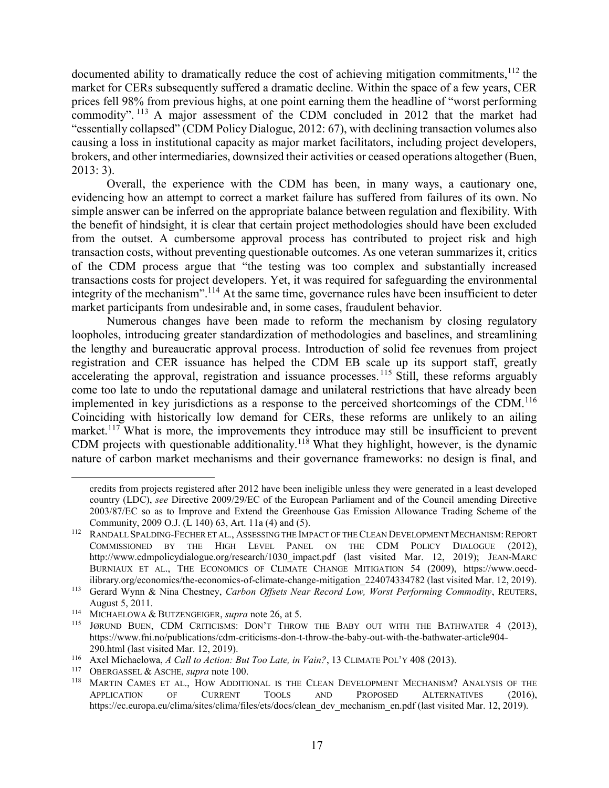documented ability to dramatically reduce the cost of achieving mitigation commitments,<sup>112</sup> the market for CERs subsequently suffered a dramatic decline. Within the space of a few years, CER prices fell 98% from previous highs, at one point earning them the headline of "worst performing commodity". <sup>113</sup> A major assessment of the CDM concluded in 2012 that the market had "essentially collapsed" (CDM Policy Dialogue, 2012: 67), with declining transaction volumes also causing a loss in institutional capacity as major market facilitators, including project developers, brokers, and other intermediaries, downsized their activities or ceased operations altogether (Buen, 2013: 3).

Overall, the experience with the CDM has been, in many ways, a cautionary one, evidencing how an attempt to correct a market failure has suffered from failures of its own. No simple answer can be inferred on the appropriate balance between regulation and flexibility. With the benefit of hindsight, it is clear that certain project methodologies should have been excluded from the outset. A cumbersome approval process has contributed to project risk and high transaction costs, without preventing questionable outcomes. As one veteran summarizes it, critics of the CDM process argue that "the testing was too complex and substantially increased transactions costs for project developers. Yet, it was required for safeguarding the environmental integrity of the mechanism".<sup>114</sup> At the same time, governance rules have been insufficient to deter market participants from undesirable and, in some cases, fraudulent behavior.

Numerous changes have been made to reform the mechanism by closing regulatory loopholes, introducing greater standardization of methodologies and baselines, and streamlining the lengthy and bureaucratic approval process. Introduction of solid fee revenues from project registration and CER issuance has helped the CDM EB scale up its support staff, greatly accelerating the approval, registration and issuance processes.<sup>115</sup> Still, these reforms arguably come too late to undo the reputational damage and unilateral restrictions that have already been implemented in key jurisdictions as a response to the perceived shortcomings of the CDM.<sup>116</sup> Coinciding with historically low demand for CERs, these reforms are unlikely to an ailing market.<sup>117</sup> What is more, the improvements they introduce may still be insufficient to prevent CDM projects with questionable additionality.<sup>118</sup> What they highlight, however, is the dynamic nature of carbon market mechanisms and their governance frameworks: no design is final, and

credits from projects registered after 2012 have been ineligible unless they were generated in a least developed country (LDC), *see* Directive 2009/29/EC of the European Parliament and of the Council amending Directive 2003/87/EC so as to Improve and Extend the Greenhouse Gas Emission Allowance Trading Scheme of the Community, 2009 O.J. (L 140) 63, Art. 11a (4) and (5).

<sup>&</sup>lt;sup>112</sup> RANDALL SPALDING-FECHER ET AL., ASSESSING THE IMPACT OF THE CLEAN DEVELOPMENT MECHANISM: REPORT COMMISSIONED BY THE HIGH LEVEL PANEL ON THE CDM POLICY DIALOGUE (2012), http://www.cdmpolicydialogue.org/research/1030\_impact.pdf (last visited Mar. 12, 2019); JEAN-MARC BURNIAUX ET AL., THE ECONOMICS OF CLIMATE CHANGE MITIGATION 54 (2009), https://www.oecdilibrary.org/economics/the-economics-of-climate-change-mitigation\_224074334782 (last visited Mar. 12, 2019).

<sup>113</sup> Gerard Wynn & Nina Chestney, *Carbon Offsets Near Record Low, Worst Performing Commodity*, REUTERS, August 5, 2011.

<sup>114</sup> MICHAELOWA & BUTZENGEIGER, *supra* note 26, at 5.

<sup>&</sup>lt;sup>115</sup> JØRUND BUEN, CDM CRITICISMS: DON'T THROW THE BABY OUT WITH THE BATHWATER 4 (2013), https://www.fni.no/publications/cdm-criticisms-don-t-throw-the-baby-out-with-the-bathwater-article904- 290.html (last visited Mar. 12, 2019).

<sup>116</sup> Axel Michaelowa, *A Call to Action: But Too Late, in Vain?*, 13 CLIMATE POL'Y 408 (2013).

<sup>&</sup>lt;sup>117</sup> OBERGASSEL & ASCHE, *supra* note 100.

MARTIN CAMES ET AL., HOW ADDITIONAL IS THE CLEAN DEVELOPMENT MECHANISM? ANALYSIS OF THE APPLICATION OF CURRENT TOOLS AND PROPOSED ALTERNATIVES (2016), https://ec.europa.eu/clima/sites/clima/files/ets/docs/clean\_dev\_mechanism\_en.pdf (last visited Mar. 12, 2019).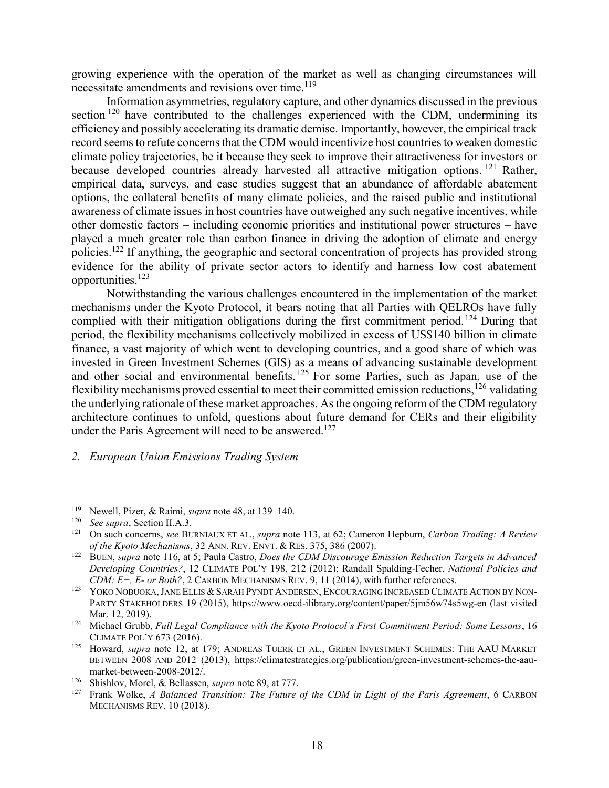growing experience with the operation of the market as well as changing circumstances will necessitate amendments and revisions over time.<sup>119</sup>

Information asymmetries, regulatory capture, and other dynamics discussed in the previous section  $120$  have contributed to the challenges experienced with the CDM, undermining its efficiency and possibly accelerating its dramatic demise. Importantly, however, the empirical track record seems to refute concerns that the CDM would incentivize host countries to weaken domestic climate policy trajectories, be it because they seek to improve their attractiveness for investors or because developed countries already harvested all attractive mitigation options.<sup>121</sup> Rather, empirical data, surveys, and case studies suggest that an abundance of affordable abatement options, the collateral benefits of many climate policies, and the raised public and institutional awareness of climate issues in host countries have outweighed any such negative incentives, while other domestic factors – including economic priorities and institutional power structures – have played a much greater role than carbon finance in driving the adoption of climate and energy policies.<sup>122</sup> If anything, the geographic and sectoral concentration of projects has provided strong evidence for the ability of private sector actors to identify and harness low cost abatement opportunities.<sup>123</sup>

Notwithstanding the various challenges encountered in the implementation of the market mechanisms under the Kyoto Protocol, it bears noting that all Parties with QELROs have fully complied with their mitigation obligations during the first commitment period. <sup>124</sup> During that period, the flexibility mechanisms collectively mobilized in excess of US\$140 billion in climate finance, a vast majority of which went to developing countries, and a good share of which was invested in Green Investment Schemes (GIS) as a means of advancing sustainable development and other social and environmental benefits.<sup>125</sup> For some Parties, such as Japan, use of the flexibility mechanisms proved essential to meet their committed emission reductions,  $126$  validating the underlying rationale of these market approaches. As the ongoing reform of the CDM regulatory architecture continues to unfold, questions about future demand for CERs and their eligibility under the Paris Agreement will need to be answered.<sup>127</sup>

### *2. European Union Emissions Trading System*

<sup>&</sup>lt;sup>119</sup> Newell, Pizer, & Raimi, *supra* note 48, at 139–140.<br><sup>120</sup> See supra Section II A 3

<sup>120</sup> *See supra*, Sectio[n II.](#page-6-3)[A](#page-6-1)[.3.](#page-10-0)

<sup>121</sup> On such concerns, *see* BURNIAUX ET AL., *supra* note 113, at 62; Cameron Hepburn, *Carbon Trading: A Review of the Kyoto Mechanisms*, 32 ANN. REV. ENVT. & RES. 375, 386 (2007).

<sup>122</sup> BUEN, *supra* note 116, at 5; Paula Castro, *Does the CDM Discourage Emission Reduction Targets in Advanced Developing Countries?*, 12 CLIMATE POL'Y 198, 212 (2012); Randall Spalding-Fecher, *National Policies and CDM: E+, E- or Both?*, 2 CARBON MECHANISMS REV. 9, 11 (2014), with further references.

<sup>&</sup>lt;sup>123</sup> YOKO NOBUOKA, JANE ELLIS & SARAH PYNDT ANDERSEN, ENCOURAGING INCREASED CLIMATE ACTION BY NON-PARTY STAKEHOLDERS 19 (2015), https://www.oecd-ilibrary.org/content/paper/5jm56w74s5wg-en (last visited Mar. 12, 2019).

<sup>124</sup> Michael Grubb, *Full Legal Compliance with the Kyoto Protocol's First Commitment Period: Some Lessons*, 16 CLIMATE POL'Y 673 (2016).

<sup>125</sup> Howard, *supra* note 12, at 179; ANDREAS TUERK ET AL., GREEN INVESTMENT SCHEMES: THE AAU MARKET BETWEEN 2008 AND 2012 (2013), https://climatestrategies.org/publication/green-investment-schemes-the-aaumarket-between-2008-2012/.

<sup>126</sup> Shishlov, Morel, & Bellassen, *supra* note 89, at 777.

<sup>127</sup> Frank Wolke, *A Balanced Transition: The Future of the CDM in Light of the Paris Agreement*, 6 CARBON MECHANISMS REV. 10 (2018).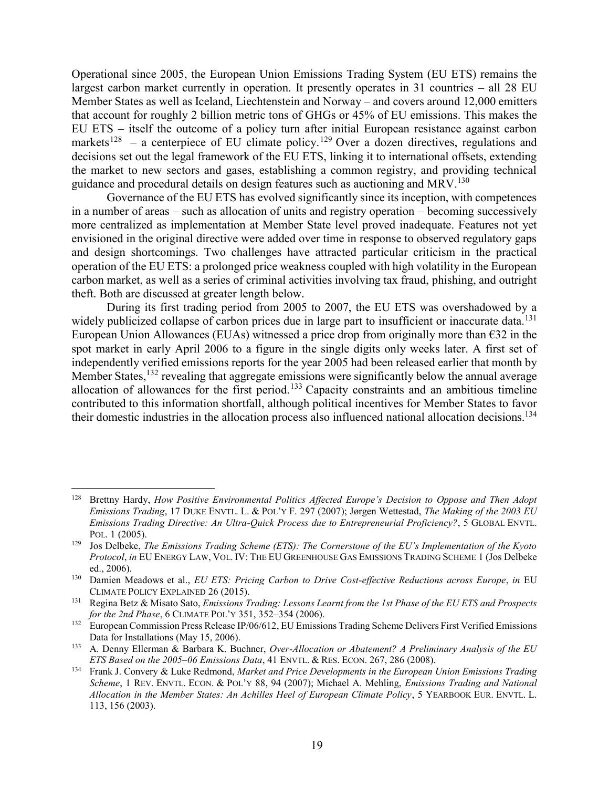Operational since 2005, the European Union Emissions Trading System (EU ETS) remains the largest carbon market currently in operation. It presently operates in 31 countries – all 28 EU Member States as well as Iceland, Liechtenstein and Norway – and covers around 12,000 emitters that account for roughly 2 billion metric tons of GHGs or 45% of EU emissions. This makes the EU ETS – itself the outcome of a policy turn after initial European resistance against carbon markets<sup>128</sup> – a centerpiece of EU climate policy.<sup>129</sup> Over a dozen directives, regulations and decisions set out the legal framework of the EU ETS, linking it to international offsets, extending the market to new sectors and gases, establishing a common registry, and providing technical guidance and procedural details on design features such as auctioning and MRV.<sup>130</sup>

Governance of the EU ETS has evolved significantly since its inception, with competences in a number of areas – such as allocation of units and registry operation – becoming successively more centralized as implementation at Member State level proved inadequate. Features not yet envisioned in the original directive were added over time in response to observed regulatory gaps and design shortcomings. Two challenges have attracted particular criticism in the practical operation of the EU ETS: a prolonged price weakness coupled with high volatility in the European carbon market, as well as a series of criminal activities involving tax fraud, phishing, and outright theft. Both are discussed at greater length below.

During its first trading period from 2005 to 2007, the EU ETS was overshadowed by a widely publicized collapse of carbon prices due in large part to insufficient or inaccurate data.<sup>131</sup> European Union Allowances (EUAs) witnessed a price drop from originally more than  $\epsilon$ 32 in the spot market in early April 2006 to a figure in the single digits only weeks later. A first set of independently verified emissions reports for the year 2005 had been released earlier that month by Member States,<sup>132</sup> revealing that aggregate emissions were significantly below the annual average allocation of allowances for the first period.<sup>133</sup> Capacity constraints and an ambitious timeline contributed to this information shortfall, although political incentives for Member States to favor their domestic industries in the allocation process also influenced national allocation decisions.<sup>134</sup>

<sup>128</sup> Brettny Hardy, *How Positive Environmental Politics Affected Europe's Decision to Oppose and Then Adopt Emissions Trading*, 17 DUKE ENVTL. L. & POL'Y F. 297 (2007); Jørgen Wettestad, *The Making of the 2003 EU Emissions Trading Directive: An Ultra-Quick Process due to Entrepreneurial Proficiency?*, 5 GLOBAL ENVTL. POL. 1 (2005).

<sup>129</sup> Jos Delbeke, *The Emissions Trading Scheme (ETS): The Cornerstone of the EU's Implementation of the Kyoto Protocol*, *in* EU ENERGY LAW, VOL. IV: THE EU GREENHOUSE GAS EMISSIONS TRADING SCHEME 1 (Jos Delbeke ed., 2006).

<sup>130</sup> Damien Meadows et al., *EU ETS: Pricing Carbon to Drive Cost-effective Reductions across Europe*, *in* EU CLIMATE POLICY EXPLAINED 26 (2015).

<sup>131</sup> Regina Betz & Misato Sato, *Emissions Trading: Lessons Learnt from the 1st Phase of the EU ETS and Prospects for the 2nd Phase*, 6 CLIMATE POL'Y 351, 352–354 (2006).

<sup>&</sup>lt;sup>132</sup> European Commission Press Release IP/06/612, EU Emissions Trading Scheme Delivers First Verified Emissions Data for Installations (May 15, 2006).

<sup>133</sup> A. Denny Ellerman & Barbara K. Buchner, *Over-Allocation or Abatement? A Preliminary Analysis of the EU ETS Based on the 2005–06 Emissions Data*, 41 ENVTL. & RES. ECON. 267, 286 (2008).

<sup>134</sup> Frank J. Convery & Luke Redmond, *Market and Price Developments in the European Union Emissions Trading Scheme*, 1 REV. ENVTL. ECON. & POL'Y 88, 94 (2007); Michael A. Mehling, *Emissions Trading and National Allocation in the Member States: An Achilles Heel of European Climate Policy*, 5 YEARBOOK EUR. ENVTL. L. 113, 156 (2003).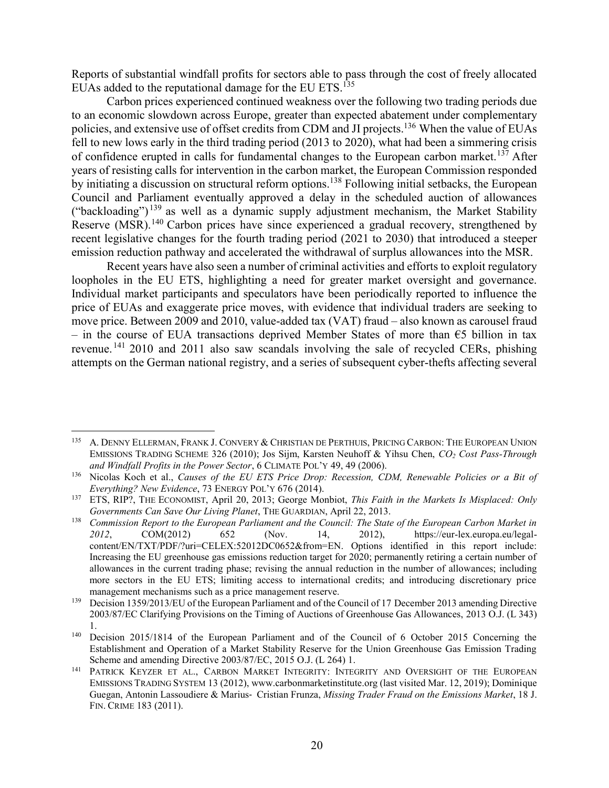Reports of substantial windfall profits for sectors able to pass through the cost of freely allocated EUAs added to the reputational damage for the EU ETS.<sup>135</sup>

Carbon prices experienced continued weakness over the following two trading periods due to an economic slowdown across Europe, greater than expected abatement under complementary policies, and extensive use of offset credits from CDM and JI projects.<sup>136</sup> When the value of EUAs fell to new lows early in the third trading period (2013 to 2020), what had been a simmering crisis of confidence erupted in calls for fundamental changes to the European carbon market.<sup>137</sup> After years of resisting calls for intervention in the carbon market, the European Commission responded by initiating a discussion on structural reform options.<sup>138</sup> Following initial setbacks, the European Council and Parliament eventually approved a delay in the scheduled auction of allowances ("backloading")<sup>139</sup> as well as a dynamic supply adjustment mechanism, the Market Stability Reserve (MSR).<sup>140</sup> Carbon prices have since experienced a gradual recovery, strengthened by recent legislative changes for the fourth trading period (2021 to 2030) that introduced a steeper emission reduction pathway and accelerated the withdrawal of surplus allowances into the MSR.

Recent years have also seen a number of criminal activities and efforts to exploit regulatory loopholes in the EU ETS, highlighting a need for greater market oversight and governance. Individual market participants and speculators have been periodically reported to influence the price of EUAs and exaggerate price moves, with evidence that individual traders are seeking to move price. Between 2009 and 2010, value-added tax (VAT) fraud – also known as carousel fraud – in the course of EUA transactions deprived Member States of more than  $\epsilon$ 5 billion in tax revenue.<sup>141</sup> 2010 and 2011 also saw scandals involving the sale of recycled CERs, phishing attempts on the German national registry, and a series of subsequent cyber-thefts affecting several

<sup>135</sup> A. DENNY ELLERMAN, FRANK J. CONVERY & CHRISTIAN DE PERTHUIS, PRICING CARBON: THE EUROPEAN UNION EMISSIONS TRADING SCHEME 326 (2010); Jos Sijm, Karsten Neuhoff & Yihsu Chen, *CO<sup>2</sup> Cost Pass-Through and Windfall Profits in the Power Sector*, 6 CLIMATE POL'Y 49, 49 (2006).

<sup>136</sup> Nicolas Koch et al., *Causes of the EU ETS Price Drop: Recession, CDM, Renewable Policies or a Bit of Everything? New Evidence*, 73 ENERGY POL'Y 676 (2014).

<sup>137</sup> ETS, RIP?, THE ECONOMIST, April 20, 2013; George Monbiot, *This Faith in the Markets Is Misplaced: Only Governments Can Save Our Living Planet*, THE GUARDIAN, April 22, 2013.

<sup>138</sup> *Commission Report to the European Parliament and the Council: The State of the European Carbon Market in 2012*, COM(2012) 652 (Nov. 14, 2012), https://eur-lex.europa.eu/legalcontent/EN/TXT/PDF/?uri=CELEX:52012DC0652&from=EN. Options identified in this report include: Increasing the EU greenhouse gas emissions reduction target for 2020; permanently retiring a certain number of allowances in the current trading phase; revising the annual reduction in the number of allowances; including more sectors in the EU ETS; limiting access to international credits; and introducing discretionary price management mechanisms such as a price management reserve.

<sup>&</sup>lt;sup>139</sup> Decision 1359/2013/EU of the European Parliament and of the Council of 17 December 2013 amending Directive 2003/87/EC Clarifying Provisions on the Timing of Auctions of Greenhouse Gas Allowances, 2013 O.J. (L 343) 1.

<sup>140</sup> Decision 2015/1814 of the European Parliament and of the Council of 6 October 2015 Concerning the Establishment and Operation of a Market Stability Reserve for the Union Greenhouse Gas Emission Trading Scheme and amending Directive 2003/87/EC, 2015 O.J. (L 264) 1.

<sup>&</sup>lt;sup>141</sup> PATRICK KEYZER ET AL., CARBON MARKET INTEGRITY: INTEGRITY AND OVERSIGHT OF THE EUROPEAN EMISSIONS TRADING SYSTEM 13 (2012), www.carbonmarketinstitute.org (last visited Mar. 12, 2019); Dominique Guegan, Antonin Lassoudiere & Marius‐ Cristian Frunza, *Missing Trader Fraud on the Emissions Market*, 18 J. FIN. CRIME 183 (2011).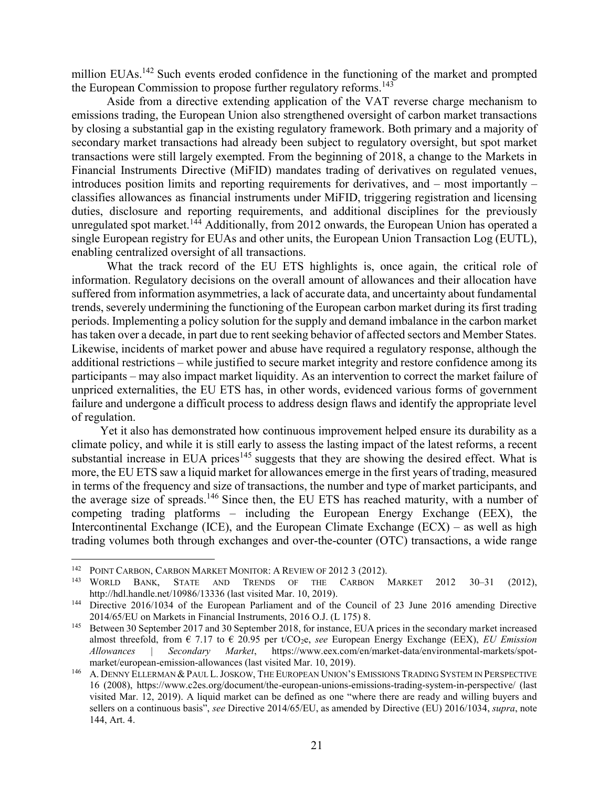million EUAs.<sup>142</sup> Such events eroded confidence in the functioning of the market and prompted the European Commission to propose further regulatory reforms.<sup>143</sup>

Aside from a directive extending application of the VAT reverse charge mechanism to emissions trading, the European Union also strengthened oversight of carbon market transactions by closing a substantial gap in the existing regulatory framework. Both primary and a majority of secondary market transactions had already been subject to regulatory oversight, but spot market transactions were still largely exempted. From the beginning of 2018, a change to the Markets in Financial Instruments Directive (MiFID) mandates trading of derivatives on regulated venues, introduces position limits and reporting requirements for derivatives, and – most importantly – classifies allowances as financial instruments under MiFID, triggering registration and licensing duties, disclosure and reporting requirements, and additional disciplines for the previously unregulated spot market.<sup>144</sup> Additionally, from 2012 onwards, the European Union has operated a single European registry for EUAs and other units, the European Union Transaction Log (EUTL), enabling centralized oversight of all transactions.

<span id="page-20-0"></span>What the track record of the EU ETS highlights is, once again, the critical role of information. Regulatory decisions on the overall amount of allowances and their allocation have suffered from information asymmetries, a lack of accurate data, and uncertainty about fundamental trends, severely undermining the functioning of the European carbon market during its first trading periods. Implementing a policy solution for the supply and demand imbalance in the carbon market has taken over a decade, in part due to rent seeking behavior of affected sectors and Member States. Likewise, incidents of market power and abuse have required a regulatory response, although the additional restrictions – while justified to secure market integrity and restore confidence among its participants – may also impact market liquidity. As an intervention to correct the market failure of unpriced externalities, the EU ETS has, in other words, evidenced various forms of government failure and undergone a difficult process to address design flaws and identify the appropriate level of regulation.

Yet it also has demonstrated how continuous improvement helped ensure its durability as a climate policy, and while it is still early to assess the lasting impact of the latest reforms, a recent substantial increase in EUA prices<sup>145</sup> suggests that they are showing the desired effect. What is more, the EU ETS saw a liquid market for allowances emerge in the first years of trading, measured in terms of the frequency and size of transactions, the number and type of market participants, and the average size of spreads.<sup>146</sup> Since then, the EU ETS has reached maturity, with a number of competing trading platforms – including the European Energy Exchange (EEX), the Intercontinental Exchange (ICE), and the European Climate Exchange  $(ECX)$  – as well as high trading volumes both through exchanges and over-the-counter (OTC) transactions, a wide range

<sup>&</sup>lt;sup>142</sup> POINT CARBON, CARBON MARKET MONITOR: A REVIEW OF 2012 3 (2012).<br><sup>143</sup> WORLD BANK STATE AND TRENDS OF THE CARBON 1

WORLD BANK, STATE AND TRENDS OF THE CARBON MARKET 2012 30-31 (2012), http://hdl.handle.net/10986/13336 (last visited Mar. 10, 2019).

<sup>&</sup>lt;sup>144</sup> Directive 2016/1034 of the European Parliament and of the Council of 23 June 2016 amending Directive 2014/65/EU on Markets in Financial Instruments, 2016 O.J. (L 175) 8.

<sup>145</sup> Between 30 September 2017 and 30 September 2018, for instance, EUA prices in the secondary market increased almost threefold, from € 7.17 to € 20.95 per t/CO2e, *see* European Energy Exchange (EEX), *EU Emission Allowances | Secondary Market*, https://www.eex.com/en/market-data/environmental-markets/spotmarket/european-emission-allowances (last visited Mar. 10, 2019).

<sup>&</sup>lt;sup>146</sup> A. DENNY ELLERMAN & PAUL L. JOSKOW, THE EUROPEAN UNION'S EMISSIONS TRADING SYSTEM IN PERSPECTIVE 16 (2008), https://www.c2es.org/document/the-european-unions-emissions-trading-system-in-perspective/ (last visited Mar. 12, 2019). A liquid market can be defined as one "where there are ready and willing buyers and sellers on a continuous basis", *see* Directive 2014/65/EU, as amended by Directive (EU) 2016/1034, *supra*, note [144,](#page-20-0) Art. 4.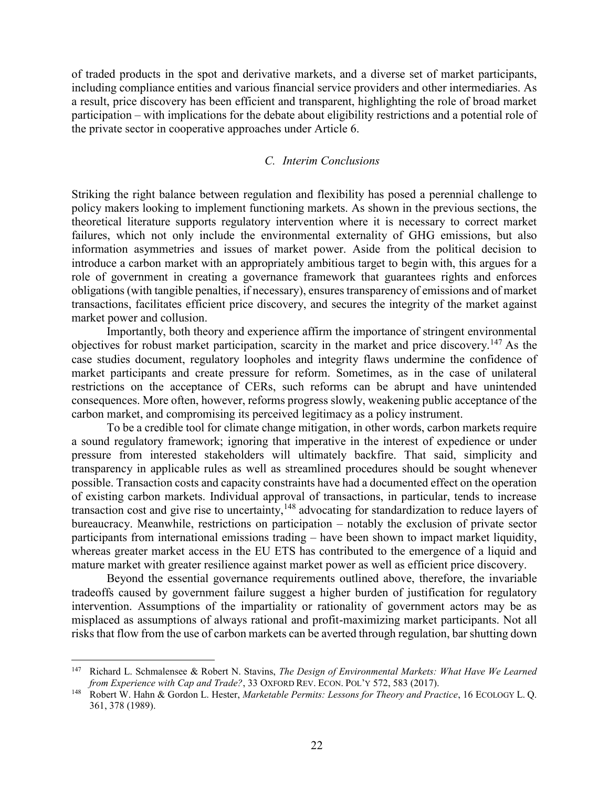of traded products in the spot and derivative markets, and a diverse set of market participants, including compliance entities and various financial service providers and other intermediaries. As a result, price discovery has been efficient and transparent, highlighting the role of broad market participation – with implications for the debate about eligibility restrictions and a potential role of the private sector in cooperative approaches under Article 6.

### *C. Interim Conclusions*

<span id="page-21-0"></span>Striking the right balance between regulation and flexibility has posed a perennial challenge to policy makers looking to implement functioning markets. As shown in the previous sections, the theoretical literature supports regulatory intervention where it is necessary to correct market failures, which not only include the environmental externality of GHG emissions, but also information asymmetries and issues of market power. Aside from the political decision to introduce a carbon market with an appropriately ambitious target to begin with, this argues for a role of government in creating a governance framework that guarantees rights and enforces obligations (with tangible penalties, if necessary), ensures transparency of emissions and of market transactions, facilitates efficient price discovery, and secures the integrity of the market against market power and collusion.

Importantly, both theory and experience affirm the importance of stringent environmental objectives for robust market participation, scarcity in the market and price discovery.<sup>147</sup> As the case studies document, regulatory loopholes and integrity flaws undermine the confidence of market participants and create pressure for reform. Sometimes, as in the case of unilateral restrictions on the acceptance of CERs, such reforms can be abrupt and have unintended consequences. More often, however, reforms progress slowly, weakening public acceptance of the carbon market, and compromising its perceived legitimacy as a policy instrument.

To be a credible tool for climate change mitigation, in other words, carbon markets require a sound regulatory framework; ignoring that imperative in the interest of expedience or under pressure from interested stakeholders will ultimately backfire. That said, simplicity and transparency in applicable rules as well as streamlined procedures should be sought whenever possible. Transaction costs and capacity constraints have had a documented effect on the operation of existing carbon markets. Individual approval of transactions, in particular, tends to increase transaction cost and give rise to uncertainty,<sup>148</sup> advocating for standardization to reduce layers of bureaucracy. Meanwhile, restrictions on participation – notably the exclusion of private sector participants from international emissions trading – have been shown to impact market liquidity, whereas greater market access in the EU ETS has contributed to the emergence of a liquid and mature market with greater resilience against market power as well as efficient price discovery.

Beyond the essential governance requirements outlined above, therefore, the invariable tradeoffs caused by government failure suggest a higher burden of justification for regulatory intervention. Assumptions of the impartiality or rationality of government actors may be as misplaced as assumptions of always rational and profit-maximizing market participants. Not all risks that flow from the use of carbon markets can be averted through regulation, bar shutting down

<sup>147</sup> Richard L. Schmalensee & Robert N. Stavins, *The Design of Environmental Markets: What Have We Learned from Experience with Cap and Trade?*, 33 OXFORD REV. ECON. POL'Y 572, 583 (2017).

<sup>148</sup> Robert W. Hahn & Gordon L. Hester, *Marketable Permits: Lessons for Theory and Practice*, 16 ECOLOGY L. Q. 361, 378 (1989).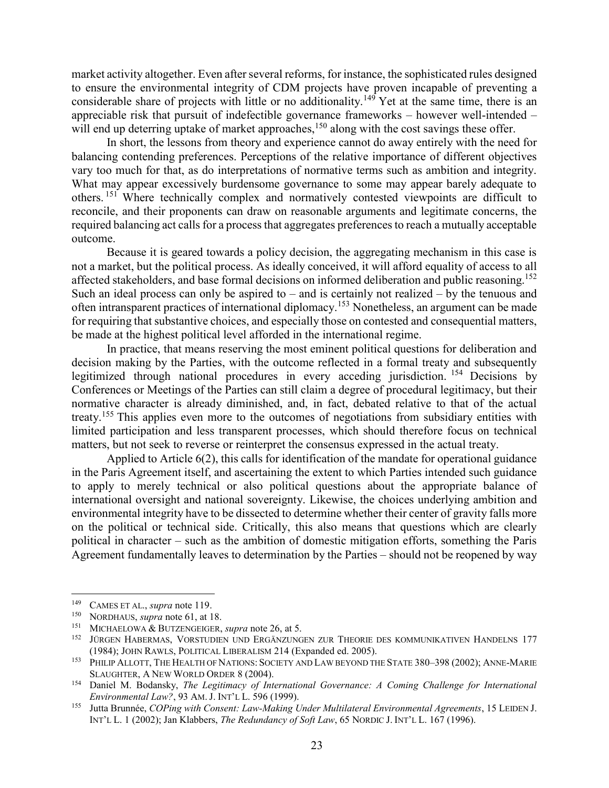market activity altogether. Even after several reforms, for instance, the sophisticated rules designed to ensure the environmental integrity of CDM projects have proven incapable of preventing a considerable share of projects with little or no additionality.<sup>149</sup> Yet at the same time, there is an appreciable risk that pursuit of indefectible governance frameworks – however well-intended – will end up deterring uptake of market approaches,<sup>150</sup> along with the cost savings these offer.

In short, the lessons from theory and experience cannot do away entirely with the need for balancing contending preferences. Perceptions of the relative importance of different objectives vary too much for that, as do interpretations of normative terms such as ambition and integrity. What may appear excessively burdensome governance to some may appear barely adequate to others. <sup>151</sup> Where technically complex and normatively contested viewpoints are difficult to reconcile, and their proponents can draw on reasonable arguments and legitimate concerns, the required balancing act calls for a process that aggregates preferences to reach a mutually acceptable outcome.

Because it is geared towards a policy decision, the aggregating mechanism in this case is not a market, but the political process. As ideally conceived, it will afford equality of access to all affected stakeholders, and base formal decisions on informed deliberation and public reasoning.<sup>152</sup> Such an ideal process can only be aspired to – and is certainly not realized – by the tenuous and often intransparent practices of international diplomacy.<sup>153</sup> Nonetheless, an argument can be made for requiring that substantive choices, and especially those on contested and consequential matters, be made at the highest political level afforded in the international regime.

In practice, that means reserving the most eminent political questions for deliberation and decision making by the Parties, with the outcome reflected in a formal treaty and subsequently legitimized through national procedures in every acceding jurisdiction. <sup>154</sup> Decisions by Conferences or Meetings of the Parties can still claim a degree of procedural legitimacy, but their normative character is already diminished, and, in fact, debated relative to that of the actual treaty.<sup>155</sup> This applies even more to the outcomes of negotiations from subsidiary entities with limited participation and less transparent processes, which should therefore focus on technical matters, but not seek to reverse or reinterpret the consensus expressed in the actual treaty.

Applied to Article 6(2), this calls for identification of the mandate for operational guidance in the Paris Agreement itself, and ascertaining the extent to which Parties intended such guidance to apply to merely technical or also political questions about the appropriate balance of international oversight and national sovereignty. Likewise, the choices underlying ambition and environmental integrity have to be dissected to determine whether their center of gravity falls more on the political or technical side. Critically, this also means that questions which are clearly political in character – such as the ambition of domestic mitigation efforts, something the Paris Agreement fundamentally leaves to determination by the Parties – should not be reopened by way

<sup>&</sup>lt;sup>149</sup> CAMES ET AL., *supra* note 119.

NORDHAUS, *supra* note 61, at 18.

<sup>151</sup> MICHAELOWA & BUTZENGEIGER, *supra* note 26, at 5.

<sup>&</sup>lt;sup>152</sup> JÜRGEN HABERMAS, VORSTUDIEN UND ERGÄNZUNGEN ZUR THEORIE DES KOMMUNIKATIVEN HANDELNS 177 (1984); JOHN RAWLS, POLITICAL LIBERALISM 214 (Expanded ed. 2005).

<sup>153</sup> PHILIP ALLOTT, THE HEALTH OF NATIONS: SOCIETY AND LAW BEYOND THE STATE 380–398 (2002); ANNE-MARIE SLAUGHTER, A NEW WORLD ORDER 8 (2004).

<sup>154</sup> Daniel M. Bodansky, *The Legitimacy of International Governance: A Coming Challenge for International Environmental Law?*, 93 AM. J. INT'L L. 596 (1999).

<sup>155</sup> Jutta Brunnée, *COPing with Consent: Law-Making Under Multilateral Environmental Agreements*, 15 LEIDEN J. INT'L L. 1 (2002); Jan Klabbers, *The Redundancy of Soft Law*, 65 NORDIC J. INT'L L. 167 (1996).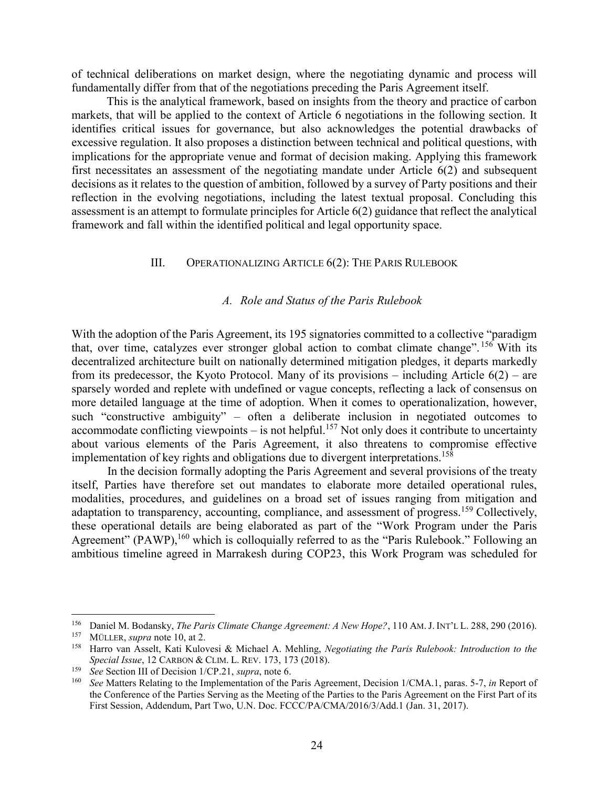of technical deliberations on market design, where the negotiating dynamic and process will fundamentally differ from that of the negotiations preceding the Paris Agreement itself.

This is the analytical framework, based on insights from the theory and practice of carbon markets, that will be applied to the context of Article 6 negotiations in the following section. It identifies critical issues for governance, but also acknowledges the potential drawbacks of excessive regulation. It also proposes a distinction between technical and political questions, with implications for the appropriate venue and format of decision making. Applying this framework first necessitates an assessment of the negotiating mandate under Article 6(2) and subsequent decisions as it relates to the question of ambition, followed by a survey of Party positions and their reflection in the evolving negotiations, including the latest textual proposal. Concluding this assessment is an attempt to formulate principles for Article 6(2) guidance that reflect the analytical framework and fall within the identified political and legal opportunity space.

# <span id="page-23-0"></span>III. OPERATIONALIZING ARTICLE 6(2): THE PARIS RULEBOOK

### *A. Role and Status of the Paris Rulebook*

With the adoption of the Paris Agreement, its 195 signatories committed to a collective "paradigm that, over time, catalyzes ever stronger global action to combat climate change". <sup>156</sup> With its decentralized architecture built on nationally determined mitigation pledges, it departs markedly from its predecessor, the Kyoto Protocol. Many of its provisions – including Article  $6(2)$  – are sparsely worded and replete with undefined or vague concepts, reflecting a lack of consensus on more detailed language at the time of adoption. When it comes to operationalization, however, such "constructive ambiguity" – often a deliberate inclusion in negotiated outcomes to accommodate conflicting viewpoints – is not helpful.<sup>157</sup> Not only does it contribute to uncertainty about various elements of the Paris Agreement, it also threatens to compromise effective implementation of key rights and obligations due to divergent interpretations. 158

In the decision formally adopting the Paris Agreement and several provisions of the treaty itself, Parties have therefore set out mandates to elaborate more detailed operational rules, modalities, procedures, and guidelines on a broad set of issues ranging from mitigation and adaptation to transparency, accounting, compliance, and assessment of progress.<sup>159</sup> Collectively, these operational details are being elaborated as part of the "Work Program under the Paris Agreement" (PAWP),<sup>160</sup> which is colloquially referred to as the "Paris Rulebook." Following an ambitious timeline agreed in Marrakesh during COP23, this Work Program was scheduled for

<sup>156</sup> Daniel M. Bodansky, *The Paris Climate Change Agreement: A New Hope?*, 110 AM.J. INT'L L. 288, 290 (2016). MÜLLER, *supra* note 10, at 2.

<sup>158</sup> Harro van Asselt, Kati Kulovesi & Michael A. Mehling, *Negotiating the Paris Rulebook: Introduction to the Special Issue*, 12 CARBON & CLIM. L. REV. 173, 173 (2018).

<sup>159</sup> *See* Section III of Decision 1/CP.21, *supra*, note [6.](#page-1-0)

<sup>160</sup> *See* Matters Relating to the Implementation of the Paris Agreement, Decision 1/CMA.1, paras. 5-7, *in* Report of the Conference of the Parties Serving as the Meeting of the Parties to the Paris Agreement on the First Part of its First Session, Addendum, Part Two, U.N. Doc. FCCC/PA/CMA/2016/3/Add.1 (Jan. 31, 2017).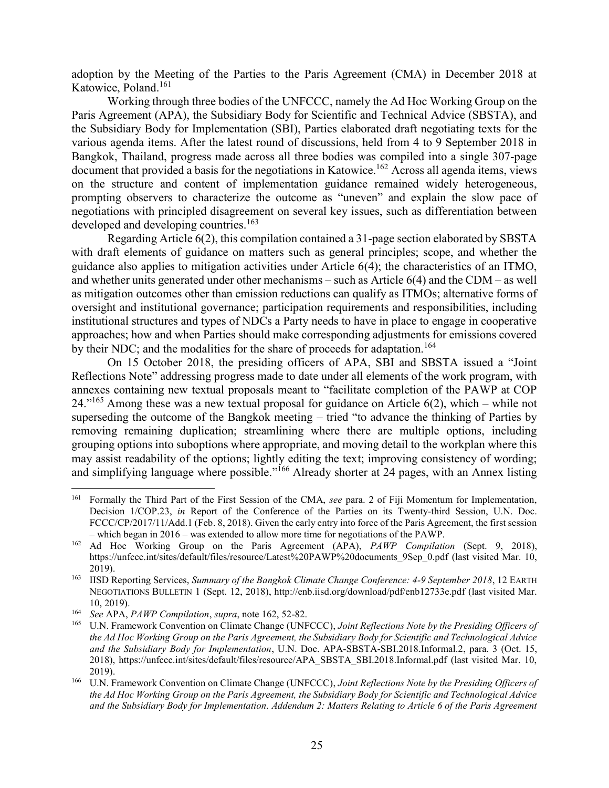adoption by the Meeting of the Parties to the Paris Agreement (CMA) in December 2018 at Katowice, Poland.<sup>161</sup>

<span id="page-24-0"></span>Working through three bodies of the UNFCCC, namely the Ad Hoc Working Group on the Paris Agreement (APA), the Subsidiary Body for Scientific and Technical Advice (SBSTA), and the Subsidiary Body for Implementation (SBI), Parties elaborated draft negotiating texts for the various agenda items. After the latest round of discussions, held from 4 to 9 September 2018 in Bangkok, Thailand, progress made across all three bodies was compiled into a single 307-page document that provided a basis for the negotiations in Katowice.<sup>162</sup> Across all agenda items, views on the structure and content of implementation guidance remained widely heterogeneous, prompting observers to characterize the outcome as "uneven" and explain the slow pace of negotiations with principled disagreement on several key issues, such as differentiation between developed and developing countries.<sup>163</sup>

Regarding Article 6(2), this compilation contained a 31-page section elaborated by SBSTA with draft elements of guidance on matters such as general principles; scope, and whether the guidance also applies to mitigation activities under Article 6(4); the characteristics of an ITMO, and whether units generated under other mechanisms – such as Article 6(4) and the CDM – as well as mitigation outcomes other than emission reductions can qualify as ITMOs; alternative forms of oversight and institutional governance; participation requirements and responsibilities, including institutional structures and types of NDCs a Party needs to have in place to engage in cooperative approaches; how and when Parties should make corresponding adjustments for emissions covered by their NDC; and the modalities for the share of proceeds for adaptation.<sup>164</sup>

On 15 October 2018, the presiding officers of APA, SBI and SBSTA issued a "Joint Reflections Note" addressing progress made to date under all elements of the work program, with annexes containing new textual proposals meant to "facilitate completion of the PAWP at COP  $24.^{"165}$  Among these was a new textual proposal for guidance on Article 6(2), which – while not superseding the outcome of the Bangkok meeting – tried "to advance the thinking of Parties by removing remaining duplication; streamlining where there are multiple options, including grouping options into suboptions where appropriate, and moving detail to the workplan where this may assist readability of the options; lightly editing the text; improving consistency of wording; and simplifying language where possible."<sup>166</sup> Already shorter at 24 pages, with an Annex listing

<span id="page-24-1"></span><sup>161</sup> Formally the Third Part of the First Session of the CMA, *see* para. 2 of Fiji Momentum for Implementation, Decision 1/COP.23, *in* Report of the Conference of the Parties on its Twenty-third Session, U.N. Doc. FCCC/CP/2017/11/Add.1 (Feb. 8, 2018). Given the early entry into force of the Paris Agreement, the first session – which began in 2016 – was extended to allow more time for negotiations of the PAWP.

<sup>162</sup> Ad Hoc Working Group on the Paris Agreement (APA), *PAWP Compilation* (Sept. 9, 2018), https://unfccc.int/sites/default/files/resource/Latest%20PAWP%20documents\_9Sep\_0.pdf (last visited Mar. 10, 2019).

<sup>163</sup> IISD Reporting Services, *Summary of the Bangkok Climate Change Conference: 4-9 September 2018*, 12 EARTH NEGOTIATIONS BULLETIN 1 (Sept. 12, 2018), http://enb.iisd.org/download/pdf/enb12733e.pdf (last visited Mar. 10, 2019).

<sup>164</sup> *See* APA, *PAWP Compilation*, *supra*, note [162,](#page-24-0) 52-82.

<sup>165</sup> U.N. Framework Convention on Climate Change (UNFCCC), *Joint Reflections Note by the Presiding Officers of the Ad Hoc Working Group on the Paris Agreement, the Subsidiary Body for Scientific and Technological Advice and the Subsidiary Body for Implementation*, U.N. Doc. APA-SBSTA-SBI.2018.Informal.2, para. 3 (Oct. 15, 2018), https://unfccc.int/sites/default/files/resource/APA\_SBSTA\_SBI.2018.Informal.pdf (last visited Mar. 10, 2019).

<sup>166</sup> U.N. Framework Convention on Climate Change (UNFCCC), *Joint Reflections Note by the Presiding Officers of the Ad Hoc Working Group on the Paris Agreement, the Subsidiary Body for Scientific and Technological Advice and the Subsidiary Body for Implementation. Addendum 2: Matters Relating to Article 6 of the Paris Agreement*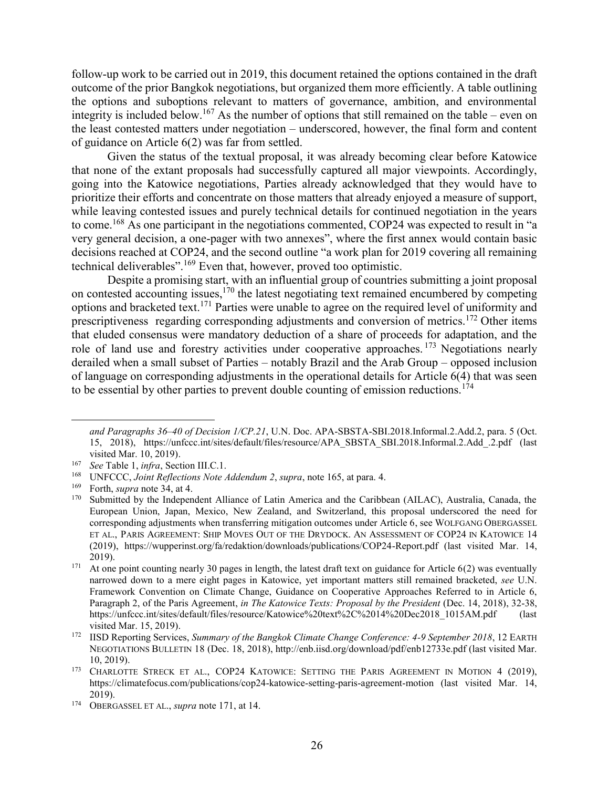follow-up work to be carried out in 2019, this document retained the options contained in the draft outcome of the prior Bangkok negotiations, but organized them more efficiently. A table outlining the options and suboptions relevant to matters of governance, ambition, and environmental integrity is included below.<sup>167</sup> As the number of options that still remained on the table – even on the least contested matters under negotiation – underscored, however, the final form and content of guidance on Article 6(2) was far from settled.

Given the status of the textual proposal, it was already becoming clear before Katowice that none of the extant proposals had successfully captured all major viewpoints. Accordingly, going into the Katowice negotiations, Parties already acknowledged that they would have to prioritize their efforts and concentrate on those matters that already enjoyed a measure of support, while leaving contested issues and purely technical details for continued negotiation in the years to come.<sup>168</sup> As one participant in the negotiations commented, COP24 was expected to result in "a very general decision, a one-pager with two annexes", where the first annex would contain basic decisions reached at COP24, and the second outline "a work plan for 2019 covering all remaining technical deliverables".<sup>169</sup> Even that, however, proved too optimistic.

<span id="page-25-0"></span>Despite a promising start, with an influential group of countries submitting a joint proposal on contested accounting issues,  $170$  the latest negotiating text remained encumbered by competing options and bracketed text. <sup>171</sup> Parties were unable to agree on the required level of uniformity and prescriptiveness regarding corresponding adjustments and conversion of metrics.<sup>172</sup> Other items that eluded consensus were mandatory deduction of a share of proceeds for adaptation, and the role of land use and forestry activities under cooperative approaches.<sup>173</sup> Negotiations nearly derailed when a small subset of Parties – notably Brazil and the Arab Group – opposed inclusion of language on corresponding adjustments in the operational details for Article 6(4) that was seen to be essential by other parties to prevent double counting of emission reductions.<sup>174</sup>

*and Paragraphs 36–40 of Decision 1/CP.21*, U.N. Doc. APA-SBSTA-SBI.2018.Informal.2.Add.2, para. 5 (Oct. 15, 2018), https://unfccc.int/sites/default/files/resource/APA\_SBSTA\_SBI.2018.Informal.2.Add\_.2.pdf (last visited Mar. 10, 2019).

<sup>167</sup> *See* Table 1, *infra*, Sectio[n III.](#page-23-0)[C.](#page-33-0)[1.](#page-33-1)

<sup>&</sup>lt;sup>168</sup> UNFCCC, *Joint Reflections Note Addendum 2*, *supra*, note 165, at para. 4.<br><sup>169</sup> Eorth, *supra* note 34, at 4.

Forth, *supra* note 34, at 4.

<sup>170</sup> Submitted by the Independent Alliance of Latin America and the Caribbean (AILAC), Australia, Canada, the European Union, Japan, Mexico, New Zealand, and Switzerland, this proposal underscored the need for corresponding adjustments when transferring mitigation outcomes under Article 6, see WOLFGANG OBERGASSEL ET AL., PARIS AGREEMENT: SHIP MOVES OUT OF THE DRYDOCK. AN ASSESSMENT OF COP24 IN KATOWICE 14 (2019), https://wupperinst.org/fa/redaktion/downloads/publications/COP24-Report.pdf (last visited Mar. 14, 2019).

<sup>&</sup>lt;sup>171</sup> At one point counting nearly 30 pages in length, the latest draft text on guidance for Article  $6(2)$  was eventually narrowed down to a mere eight pages in Katowice, yet important matters still remained bracketed, *see* U.N. Framework Convention on Climate Change, Guidance on Cooperative Approaches Referred to in Article 6, Paragraph 2, of the Paris Agreement, *in The Katowice Texts: Proposal by the President* (Dec. 14, 2018), 32-38, https://unfccc.int/sites/default/files/resource/Katowice%20text%2C%2014%20Dec2018\_1015AM.pdf (last visited Mar. 15, 2019).

<sup>172</sup> IISD Reporting Services, *Summary of the Bangkok Climate Change Conference: 4-9 September 2018*, 12 EARTH NEGOTIATIONS BULLETIN 18 (Dec. 18, 2018), http://enb.iisd.org/download/pdf/enb12733e.pdf (last visited Mar. 10, 2019).

<sup>&</sup>lt;sup>173</sup> CHARLOTTE STRECK ET AL., COP24 KATOWICE: SETTING THE PARIS AGREEMENT IN MOTION 4 (2019), https://climatefocus.com/publications/cop24-katowice-setting-paris-agreement-motion (last visited Mar. 14, 2019).

<sup>174</sup> OBERGASSEL ET AL., *supra* note 171, at 14.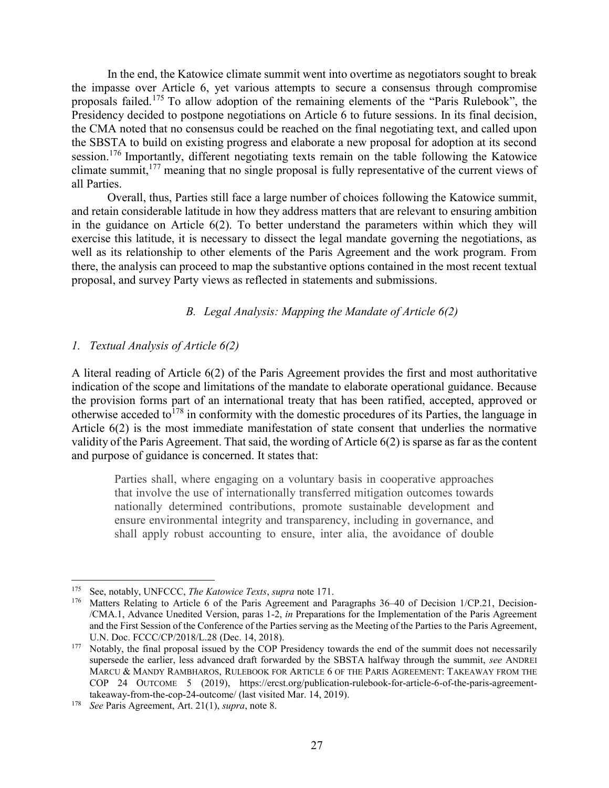In the end, the Katowice climate summit went into overtime as negotiators sought to break the impasse over Article 6, yet various attempts to secure a consensus through compromise proposals failed.<sup>175</sup> To allow adoption of the remaining elements of the "Paris Rulebook", the Presidency decided to postpone negotiations on Article 6 to future sessions. In its final decision, the CMA noted that no consensus could be reached on the final negotiating text, and called upon the SBSTA to build on existing progress and elaborate a new proposal for adoption at its second session.<sup>176</sup> Importantly, different negotiating texts remain on the table following the Katowice climate summit,<sup>177</sup> meaning that no single proposal is fully representative of the current views of all Parties.

Overall, thus, Parties still face a large number of choices following the Katowice summit, and retain considerable latitude in how they address matters that are relevant to ensuring ambition in the guidance on Article 6(2). To better understand the parameters within which they will exercise this latitude, it is necessary to dissect the legal mandate governing the negotiations, as well as its relationship to other elements of the Paris Agreement and the work program. From there, the analysis can proceed to map the substantive options contained in the most recent textual proposal, and survey Party views as reflected in statements and submissions.

# *B. Legal Analysis: Mapping the Mandate of Article 6(2)*

# <span id="page-26-0"></span>*1. Textual Analysis of Article 6(2)*

A literal reading of Article 6(2) of the Paris Agreement provides the first and most authoritative indication of the scope and limitations of the mandate to elaborate operational guidance. Because the provision forms part of an international treaty that has been ratified, accepted, approved or otherwise acceded to  $178$  in conformity with the domestic procedures of its Parties, the language in Article 6(2) is the most immediate manifestation of state consent that underlies the normative validity of the Paris Agreement. That said, the wording of Article 6(2) is sparse as far as the content and purpose of guidance is concerned. It states that:

Parties shall, where engaging on a voluntary basis in cooperative approaches that involve the use of internationally transferred mitigation outcomes towards nationally determined contributions, promote sustainable development and ensure environmental integrity and transparency, including in governance, and shall apply robust accounting to ensure, inter alia, the avoidance of double

<sup>175</sup> See, notably, UNFCCC, *The Katowice Texts*, *supra* note [171.](#page-25-0)

Matters Relating to Article 6 of the Paris Agreement and Paragraphs 36–40 of Decision 1/CP.21, Decision-/CMA.1, Advance Unedited Version, paras 1-2, *in* Preparations for the Implementation of the Paris Agreement and the First Session of the Conference of the Parties serving as the Meeting of the Parties to the Paris Agreement, U.N. Doc. FCCC/CP/2018/L.28 (Dec. 14, 2018).

<sup>&</sup>lt;sup>177</sup> Notably, the final proposal issued by the COP Presidency towards the end of the summit does not necessarily supersede the earlier, less advanced draft forwarded by the SBSTA halfway through the summit, *see* ANDREI MARCU & MANDY RAMBHAROS, RULEBOOK FOR ARTICLE 6 OF THE PARIS AGREEMENT: TAKEAWAY FROM THE COP 24 OUTCOME 5 (2019), https://ercst.org/publication-rulebook-for-article-6-of-the-paris-agreementtakeaway-from-the-cop-24-outcome/ (last visited Mar. 14, 2019).

<sup>178</sup> *See* Paris Agreement, Art. 21(1), *supra*, note [8.](#page-2-1)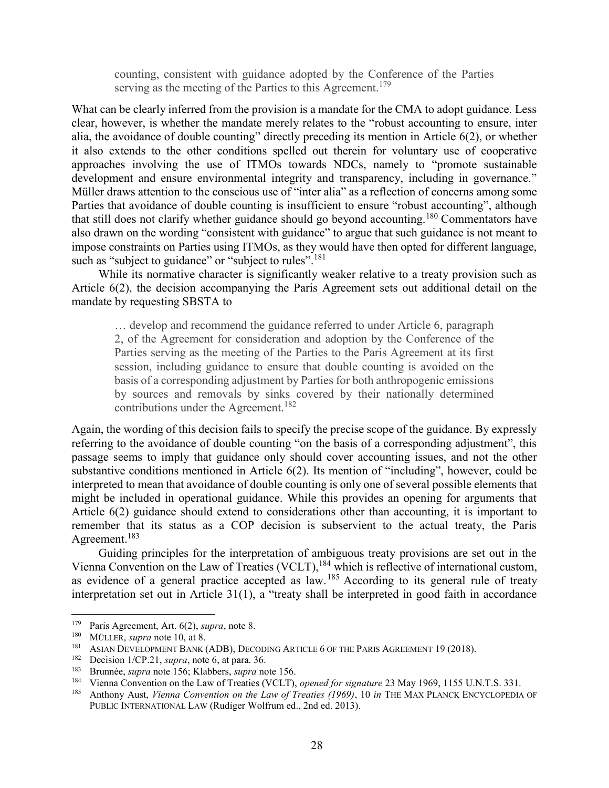counting, consistent with guidance adopted by the Conference of the Parties serving as the meeting of the Parties to this Agreement.<sup>179</sup>

What can be clearly inferred from the provision is a mandate for the CMA to adopt guidance. Less clear, however, is whether the mandate merely relates to the "robust accounting to ensure, inter alia, the avoidance of double counting" directly preceding its mention in Article 6(2), or whether it also extends to the other conditions spelled out therein for voluntary use of cooperative approaches involving the use of ITMOs towards NDCs, namely to "promote sustainable development and ensure environmental integrity and transparency, including in governance." Müller draws attention to the conscious use of "inter alia" as a reflection of concerns among some Parties that avoidance of double counting is insufficient to ensure "robust accounting", although that still does not clarify whether guidance should go beyond accounting.<sup>180</sup> Commentators have also drawn on the wording "consistent with guidance" to argue that such guidance is not meant to impose constraints on Parties using ITMOs, as they would have then opted for different language, such as "subject to guidance" or "subject to rules".<sup>181</sup>

While its normative character is significantly weaker relative to a treaty provision such as Article 6(2), the decision accompanying the Paris Agreement sets out additional detail on the mandate by requesting SBSTA to

… develop and recommend the guidance referred to under Article 6, paragraph 2, of the Agreement for consideration and adoption by the Conference of the Parties serving as the meeting of the Parties to the Paris Agreement at its first session, including guidance to ensure that double counting is avoided on the basis of a corresponding adjustment by Parties for both anthropogenic emissions by sources and removals by sinks covered by their nationally determined contributions under the Agreement.<sup>182</sup>

Again, the wording of this decision fails to specify the precise scope of the guidance. By expressly referring to the avoidance of double counting "on the basis of a corresponding adjustment", this passage seems to imply that guidance only should cover accounting issues, and not the other substantive conditions mentioned in Article 6(2). Its mention of "including", however, could be interpreted to mean that avoidance of double counting is only one of several possible elements that might be included in operational guidance. While this provides an opening for arguments that Article 6(2) guidance should extend to considerations other than accounting, it is important to remember that its status as a COP decision is subservient to the actual treaty, the Paris Agreement.<sup>183</sup>

<span id="page-27-0"></span>Guiding principles for the interpretation of ambiguous treaty provisions are set out in the Vienna Convention on the Law of Treaties (VCLT),  $184$  which is reflective of international custom, as evidence of a general practice accepted as  $law$ .<sup>185</sup> According to its general rule of treaty interpretation set out in Article 31(1), a "treaty shall be interpreted in good faith in accordance

<sup>179</sup> Paris Agreement, Art. 6(2), *supra*, note [8.](#page-2-1)

<sup>180</sup> MÜLLER, *supra* note 10, at 8.

<sup>&</sup>lt;sup>181</sup> ASIAN DEVELOPMENT BANK (ADB), DECODING ARTICLE 6 OF THE PARIS AGREEMENT 19 (2018).

Decision 1/CP.21, *supra*, note [6,](#page-1-0) at para. 36.

<sup>183</sup> Brunnée, *supra* note 156; Klabbers, *supra* note 156.

<sup>184</sup> Vienna Convention on the Law of Treaties (VCLT), *opened for signature* 23 May 1969, 1155 U.N.T.S. 331.<br>185 Anthony Aust. *Vienna Convention on the Law of Treaties (1960)*, 10 in TUE MAY BLANCK ENCYCLOPENA

<sup>185</sup> Anthony Aust, *Vienna Convention on the Law of Treaties (1969)*, 10 *in* THE MAX PLANCK ENCYCLOPEDIA OF PUBLIC INTERNATIONAL LAW (Rudiger Wolfrum ed., 2nd ed. 2013).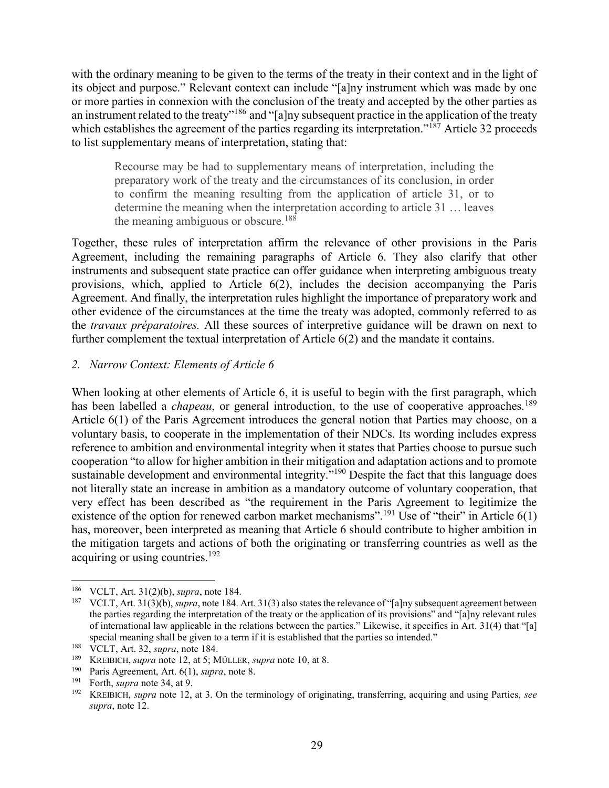with the ordinary meaning to be given to the terms of the treaty in their context and in the light of its object and purpose." Relevant context can include "[a]ny instrument which was made by one or more parties in connexion with the conclusion of the treaty and accepted by the other parties as an instrument related to the treaty"<sup>186</sup> and "[a]ny subsequent practice in the application of the treaty which establishes the agreement of the parties regarding its interpretation."<sup>187</sup> Article 32 proceeds to list supplementary means of interpretation, stating that:

Recourse may be had to supplementary means of interpretation, including the preparatory work of the treaty and the circumstances of its conclusion, in order to confirm the meaning resulting from the application of article 31, or to determine the meaning when the interpretation according to article 31 … leaves the meaning ambiguous or obscure.<sup>188</sup>

Together, these rules of interpretation affirm the relevance of other provisions in the Paris Agreement, including the remaining paragraphs of Article 6. They also clarify that other instruments and subsequent state practice can offer guidance when interpreting ambiguous treaty provisions, which, applied to Article 6(2), includes the decision accompanying the Paris Agreement. And finally, the interpretation rules highlight the importance of preparatory work and other evidence of the circumstances at the time the treaty was adopted, commonly referred to as the *travaux préparatoires.* All these sources of interpretive guidance will be drawn on next to further complement the textual interpretation of Article 6(2) and the mandate it contains.

# *2. Narrow Context: Elements of Article 6*

When looking at other elements of Article 6, it is useful to begin with the first paragraph, which has been labelled a *chapeau*, or general introduction, to the use of cooperative approaches.<sup>189</sup> Article 6(1) of the Paris Agreement introduces the general notion that Parties may choose, on a voluntary basis, to cooperate in the implementation of their NDCs. Its wording includes express reference to ambition and environmental integrity when it states that Parties choose to pursue such cooperation "to allow for higher ambition in their mitigation and adaptation actions and to promote sustainable development and environmental integrity."<sup>190</sup> Despite the fact that this language does not literally state an increase in ambition as a mandatory outcome of voluntary cooperation, that very effect has been described as "the requirement in the Paris Agreement to legitimize the existence of the option for renewed carbon market mechanisms".<sup>191</sup> Use of "their" in Article 6(1) has, moreover, been interpreted as meaning that Article 6 should contribute to higher ambition in the mitigation targets and actions of both the originating or transferring countries as well as the acquiring or using countries.<sup>192</sup>

<sup>&</sup>lt;sup>186</sup> VCLT, Art. 31(2)(b), *supra*, note [184.](#page-27-0)<br><sup>187</sup> VCLT, Art. 31(3)(b), *supra*, note 184.

<sup>187</sup> VCLT, Art. 31(3)(b), *supra*, not[e 184.](#page-27-0) Art. 31(3) also states the relevance of "[a]ny subsequent agreement between the parties regarding the interpretation of the treaty or the application of its provisions" and "[a]ny relevant rules of international law applicable in the relations between the parties." Likewise, it specifies in Art. 31(4) that "[a] special meaning shall be given to a term if it is established that the parties so intended."

<sup>&</sup>lt;sup>188</sup> VCLT, Art. 32, *supra*, note [184.](#page-27-0)

KREIBICH, *supra* note 12, at 5; MÜLLER, *supra* note 10, at 8.

<sup>&</sup>lt;sup>190</sup> Paris Agreement, Art.  $6(1)$ , *supra*, note [8.](#page-2-1)<br><sup>191</sup> Forth, *supra* note 34, at 0.

<sup>&</sup>lt;sup>191</sup> Forth, *supra* note 34, at 9.<br><sup>192</sup> KREIPICU, *supra* note 12

<sup>192</sup> KREIBICH, *supra* note 12, at 3. On the terminology of originating, transferring, acquiring and using Parties, *see supra*, note [12.](#page-3-0)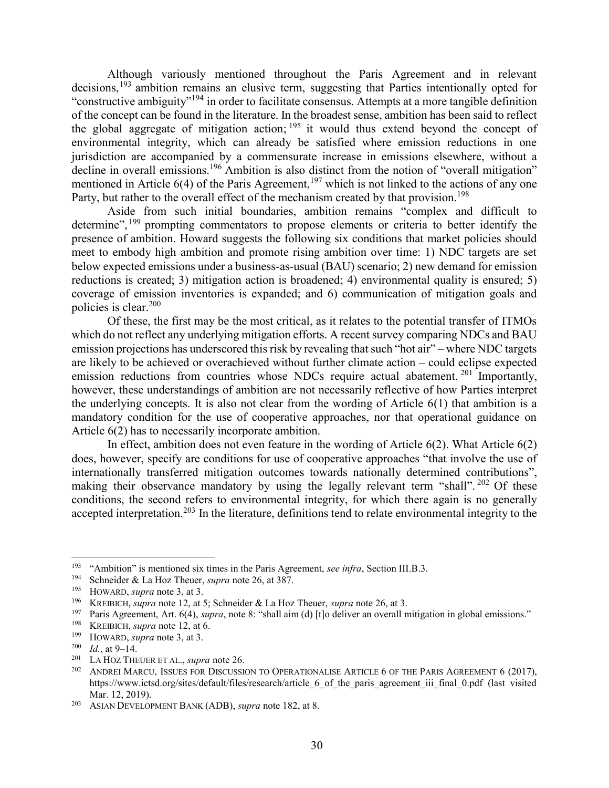Although variously mentioned throughout the Paris Agreement and in relevant decisions,<sup>193</sup> ambition remains an elusive term, suggesting that Parties intentionally opted for "constructive ambiguity"<sup>194</sup> in order to facilitate consensus. Attempts at a more tangible definition of the concept can be found in the literature. In the broadest sense, ambition has been said to reflect the global aggregate of mitigation action;  $195$  it would thus extend beyond the concept of environmental integrity, which can already be satisfied where emission reductions in one jurisdiction are accompanied by a commensurate increase in emissions elsewhere, without a decline in overall emissions.<sup>196</sup> Ambition is also distinct from the notion of "overall mitigation" mentioned in Article  $6(4)$  of the Paris Agreement,<sup>197</sup> which is not linked to the actions of any one Party, but rather to the overall effect of the mechanism created by that provision.<sup>198</sup>

Aside from such initial boundaries, ambition remains "complex and difficult to determine", <sup>199</sup> prompting commentators to propose elements or criteria to better identify the presence of ambition. Howard suggests the following six conditions that market policies should meet to embody high ambition and promote rising ambition over time: 1) NDC targets are set below expected emissions under a business-as-usual (BAU) scenario; 2) new demand for emission reductions is created; 3) mitigation action is broadened; 4) environmental quality is ensured; 5) coverage of emission inventories is expanded; and 6) communication of mitigation goals and policies is clear. 200

Of these, the first may be the most critical, as it relates to the potential transfer of ITMOs which do not reflect any underlying mitigation efforts. A recent survey comparing NDCs and BAU emission projections has underscored this risk by revealing that such "hot air" – where NDC targets are likely to be achieved or overachieved without further climate action – could eclipse expected emission reductions from countries whose NDCs require actual abatement.<sup>201</sup> Importantly, however, these understandings of ambition are not necessarily reflective of how Parties interpret the underlying concepts. It is also not clear from the wording of Article 6(1) that ambition is a mandatory condition for the use of cooperative approaches, nor that operational guidance on Article 6(2) has to necessarily incorporate ambition.

In effect, ambition does not even feature in the wording of Article 6(2). What Article 6(2) does, however, specify are conditions for use of cooperative approaches "that involve the use of internationally transferred mitigation outcomes towards nationally determined contributions", making their observance mandatory by using the legally relevant term "shall". <sup>202</sup> Of these conditions, the second refers to environmental integrity, for which there again is no generally accepted interpretation.<sup>203</sup> In the literature, definitions tend to relate environmental integrity to the

<sup>193</sup> "Ambition" is mentioned six times in the Paris Agreement, *see infra*, Section [III](#page-23-0)[.B](#page-26-0)[.3.](#page-31-0)

<sup>194</sup> Schneider & La Hoz Theuer, *supra* note 26, at 387.

HOWARD, *supra* note 3, at 3.

<sup>&</sup>lt;sup>196</sup> KREIBICH, *supra* note 12, at 5; Schneider & La Hoz Theuer, *supra* note 26, at 3.

<sup>&</sup>lt;sup>197</sup> Paris Agreement, Art. 6(4), *supra*, note [8](#page-2-1): "shall aim (d) [t]o deliver an overall mitigation in global emissions."

KREIBICH, *supra* note 12, at 6.

<sup>&</sup>lt;sup>199</sup> HOWARD, *supra* note 3, at 3.<br><sup>200</sup> *H* at 0, 14

 $\frac{200}{201}$  *Id.*, at 9–14.

LA HOZ THEUER ET AL., *supra* note 26.

<sup>202</sup> ANDREI MARCU, ISSUES FOR DISCUSSION TO OPERATIONALISE ARTICLE 6 OF THE PARIS AGREEMENT 6 (2017), https://www.ictsd.org/sites/default/files/research/article\_6\_of\_the\_paris\_agreement\_iii\_final\_0.pdf (last visited Mar. 12, 2019).

<sup>203</sup> ASIAN DEVELOPMENT BANK (ADB), *supra* note 182, at 8.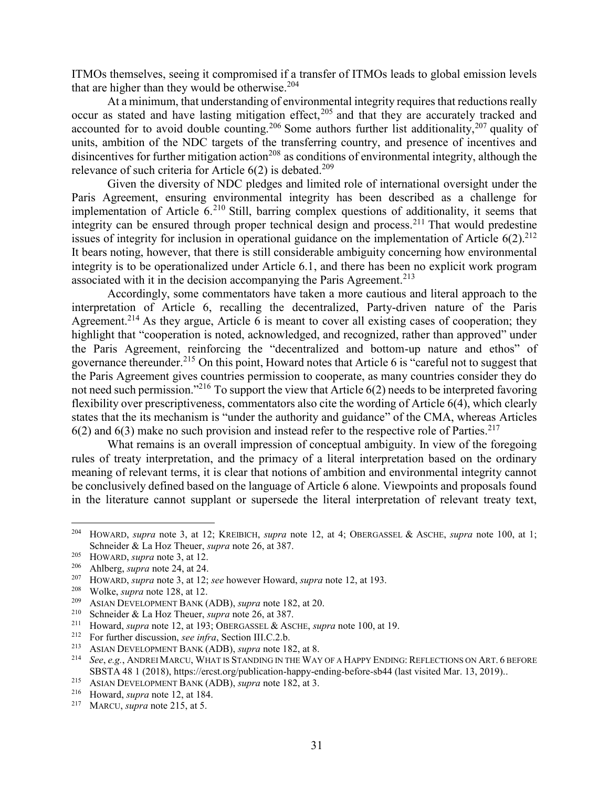ITMOs themselves, seeing it compromised if a transfer of ITMOs leads to global emission levels that are higher than they would be otherwise. 204

At a minimum, that understanding of environmental integrity requires that reductions really occur as stated and have lasting mitigation effect,<sup>205</sup> and that they are accurately tracked and accounted for to avoid double counting.<sup>206</sup> Some authors further list additionality,<sup>207</sup> quality of units, ambition of the NDC targets of the transferring country, and presence of incentives and disincentives for further mitigation action<sup>208</sup> as conditions of environmental integrity, although the relevance of such criteria for Article 6(2) is debated.<sup>209</sup>

Given the diversity of NDC pledges and limited role of international oversight under the Paris Agreement, ensuring environmental integrity has been described as a challenge for implementation of Article 6.<sup>210</sup> Still, barring complex questions of additionality, it seems that integrity can be ensured through proper technical design and process.<sup>211</sup> That would predestine issues of integrity for inclusion in operational guidance on the implementation of Article  $6(2).^{212}$ It bears noting, however, that there is still considerable ambiguity concerning how environmental integrity is to be operationalized under Article 6.1, and there has been no explicit work program associated with it in the decision accompanying the Paris Agreement.<sup>213</sup>

Accordingly, some commentators have taken a more cautious and literal approach to the interpretation of Article 6, recalling the decentralized, Party-driven nature of the Paris Agreement.<sup>214</sup> As they argue, Article 6 is meant to cover all existing cases of cooperation; they highlight that "cooperation is noted, acknowledged, and recognized, rather than approved" under the Paris Agreement, reinforcing the "decentralized and bottom-up nature and ethos" of governance thereunder.<sup>215</sup> On this point, Howard notes that Article 6 is "careful not to suggest that the Paris Agreement gives countries permission to cooperate, as many countries consider they do not need such permission."<sup>216</sup> To support the view that Article 6(2) needs to be interpreted favoring flexibility over prescriptiveness, commentators also cite the wording of Article 6(4), which clearly states that the its mechanism is "under the authority and guidance" of the CMA, whereas Articles  $6(2)$  and  $6(3)$  make no such provision and instead refer to the respective role of Parties.<sup>217</sup>

What remains is an overall impression of conceptual ambiguity. In view of the foregoing rules of treaty interpretation, and the primacy of a literal interpretation based on the ordinary meaning of relevant terms, it is clear that notions of ambition and environmental integrity cannot be conclusively defined based on the language of Article 6 alone. Viewpoints and proposals found in the literature cannot supplant or supersede the literal interpretation of relevant treaty text,

<sup>204</sup> HOWARD, *supra* note 3, at 12; KREIBICH, *supra* note 12, at 4; OBERGASSEL & ASCHE, *supra* note 100, at 1; Schneider & La Hoz Theuer, *supra* note 26, at 387.

<sup>205</sup> HOWARD, *supra* note 3, at 12.

<sup>206</sup> Ahlberg, *supra* note 24, at 24.

<sup>207</sup> HOWARD, *supra* note 3, at 12; *see* however Howard, *supra* note 12, at 193.

<sup>&</sup>lt;sup>208</sup> Wolke, *supra* note 128, at 12.<br><sup>209</sup> ASIAN DEVELON/ENT BANK (

<sup>209</sup> ASIAN DEVELOPMENT BANK (ADB), *supra* note 182, at 20.

<sup>&</sup>lt;sup>210</sup> Schneider & La Hoz Theuer, *supra* note 26, at 387.<br><sup>211</sup> Howard, *supra* note 12, at 193; OBERGASSEL & ASC

<sup>&</sup>lt;sup>211</sup> Howard, *supra* note 12, at 193; OBERGASSEL & ASCHE, *supra* note 100, at 19.<br><sup>212</sup> For further discussion *see infra* Section III C 2 b

<sup>212</sup> For further discussion, *see infra*, Section [III](#page-23-0)[.C](#page-33-0)[.2](#page-36-0)[.b.](#page-37-0)

<sup>213</sup> ASIAN DEVELOPMENT BANK (ADB), *supra* note 182, at 8.

<sup>214</sup> *See*, *e.g.*, ANDREI MARCU, WHAT IS STANDING IN THE WAY OF A HAPPY ENDING: REFLECTIONS ON ART. 6 BEFORE SBSTA 48 1 (2018), https://ercst.org/publication-happy-ending-before-sb44 (last visited Mar. 13, 2019)..

<sup>215</sup> ASIAN DEVELOPMENT BANK (ADB), *supra* note 182, at 3.

<sup>&</sup>lt;sup>216</sup> Howard, *supra* note 12, at 184.<br><sup>217</sup> MARCU *supra* note 215 at 5

MARCU, *supra* note 215, at 5.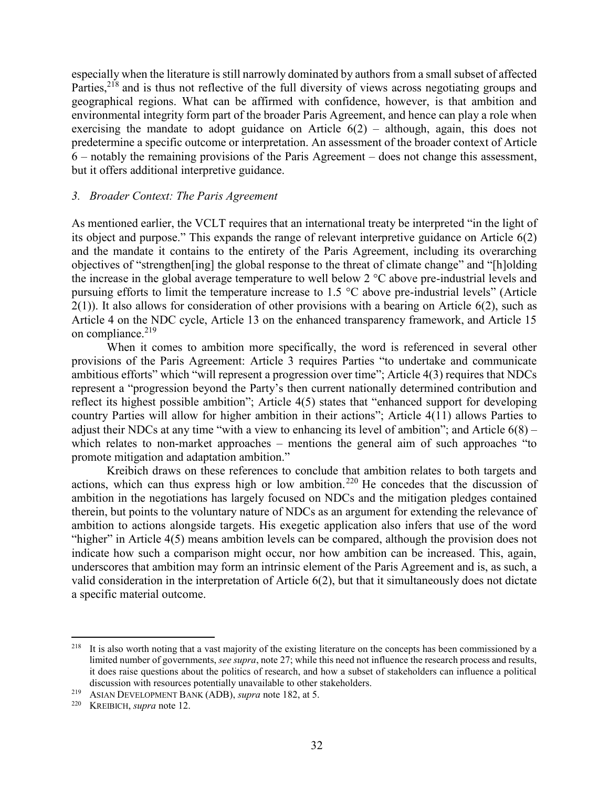especially when the literature is still narrowly dominated by authors from a small subset of affected Parties,<sup>218</sup> and is thus not reflective of the full diversity of views across negotiating groups and geographical regions. What can be affirmed with confidence, however, is that ambition and environmental integrity form part of the broader Paris Agreement, and hence can play a role when exercising the mandate to adopt guidance on Article  $6(2)$  – although, again, this does not predetermine a specific outcome or interpretation. An assessment of the broader context of Article 6 – notably the remaining provisions of the Paris Agreement – does not change this assessment, but it offers additional interpretive guidance.

### <span id="page-31-0"></span>*3. Broader Context: The Paris Agreement*

As mentioned earlier, the VCLT requires that an international treaty be interpreted "in the light of its object and purpose." This expands the range of relevant interpretive guidance on Article 6(2) and the mandate it contains to the entirety of the Paris Agreement, including its overarching objectives of "strengthen[ing] the global response to the threat of climate change" and "[h]olding the increase in the global average temperature to well below 2 °C above pre-industrial levels and pursuing efforts to limit the temperature increase to 1.5 °C above pre-industrial levels" (Article  $2(1)$ ). It also allows for consideration of other provisions with a bearing on Article 6(2), such as Article 4 on the NDC cycle, Article 13 on the enhanced transparency framework, and Article 15 on compliance. $219$ 

When it comes to ambition more specifically, the word is referenced in several other provisions of the Paris Agreement: Article 3 requires Parties "to undertake and communicate ambitious efforts" which "will represent a progression over time"; Article 4(3) requires that NDCs represent a "progression beyond the Party's then current nationally determined contribution and reflect its highest possible ambition"; Article 4(5) states that "enhanced support for developing country Parties will allow for higher ambition in their actions"; Article 4(11) allows Parties to adjust their NDCs at any time "with a view to enhancing its level of ambition"; and Article 6(8) – which relates to non-market approaches – mentions the general aim of such approaches "to promote mitigation and adaptation ambition."

Kreibich draws on these references to conclude that ambition relates to both targets and actions, which can thus express high or low ambition.<sup>220</sup> He concedes that the discussion of ambition in the negotiations has largely focused on NDCs and the mitigation pledges contained therein, but points to the voluntary nature of NDCs as an argument for extending the relevance of ambition to actions alongside targets. His exegetic application also infers that use of the word "higher" in Article 4(5) means ambition levels can be compared, although the provision does not indicate how such a comparison might occur, nor how ambition can be increased. This, again, underscores that ambition may form an intrinsic element of the Paris Agreement and is, as such, a valid consideration in the interpretation of Article 6(2), but that it simultaneously does not dictate a specific material outcome.

<sup>&</sup>lt;sup>218</sup> It is also worth noting that a vast majority of the existing literature on the concepts has been commissioned by a limited number of governments, *see supra*, not[e 27;](#page-5-0) while this need not influence the research process and results, it does raise questions about the politics of research, and how a subset of stakeholders can influence a political discussion with resources potentially unavailable to other stakeholders.

<sup>219</sup> ASIAN DEVELOPMENT BANK (ADB), *supra* note 182, at 5.

<sup>220</sup> KREIBICH, *supra* note 12.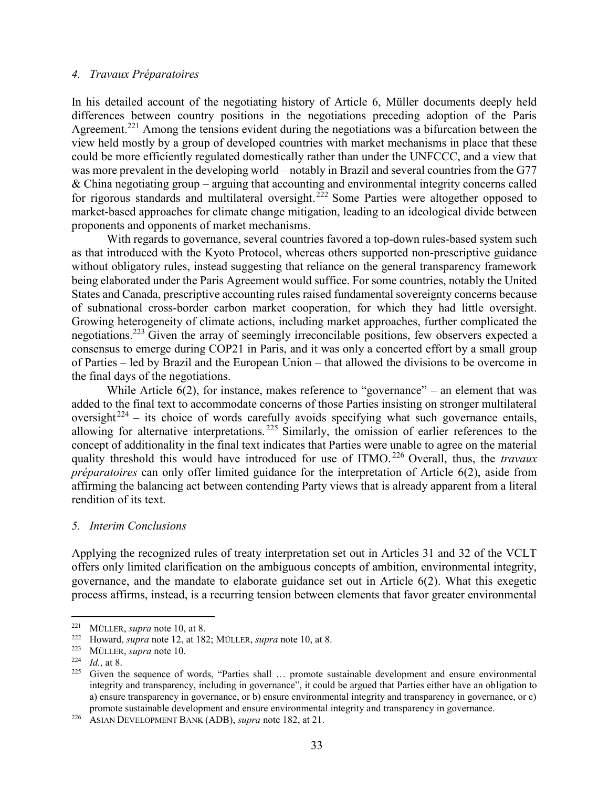### *4. Travaux Préparatoires*

In his detailed account of the negotiating history of Article 6, Müller documents deeply held differences between country positions in the negotiations preceding adoption of the Paris Agreement.<sup>221</sup> Among the tensions evident during the negotiations was a bifurcation between the view held mostly by a group of developed countries with market mechanisms in place that these could be more efficiently regulated domestically rather than under the UNFCCC, and a view that was more prevalent in the developing world – notably in Brazil and several countries from the G77 & China negotiating group – arguing that accounting and environmental integrity concerns called for rigorous standards and multilateral oversight.<sup>222</sup> Some Parties were altogether opposed to market-based approaches for climate change mitigation, leading to an ideological divide between proponents and opponents of market mechanisms.

With regards to governance, several countries favored a top-down rules-based system such as that introduced with the Kyoto Protocol, whereas others supported non-prescriptive guidance without obligatory rules, instead suggesting that reliance on the general transparency framework being elaborated under the Paris Agreement would suffice. For some countries, notably the United States and Canada, prescriptive accounting rules raised fundamental sovereignty concerns because of subnational cross-border carbon market cooperation, for which they had little oversight. Growing heterogeneity of climate actions, including market approaches, further complicated the negotiations.<sup>223</sup> Given the array of seemingly irreconcilable positions, few observers expected a consensus to emerge during COP21 in Paris, and it was only a concerted effort by a small group of Parties – led by Brazil and the European Union – that allowed the divisions to be overcome in the final days of the negotiations.

While Article  $6(2)$ , for instance, makes reference to "governance" – an element that was added to the final text to accommodate concerns of those Parties insisting on stronger multilateral oversight<sup>224</sup> – its choice of words carefully avoids specifying what such governance entails, allowing for alternative interpretations. <sup>225</sup> Similarly, the omission of earlier references to the concept of additionality in the final text indicates that Parties were unable to agree on the material quality threshold this would have introduced for use of ITMO. <sup>226</sup> Overall, thus, the *travaux préparatoires* can only offer limited guidance for the interpretation of Article 6(2), aside from affirming the balancing act between contending Party views that is already apparent from a literal rendition of its text.

### *5. Interim Conclusions*

Applying the recognized rules of treaty interpretation set out in Articles 31 and 32 of the VCLT offers only limited clarification on the ambiguous concepts of ambition, environmental integrity, governance, and the mandate to elaborate guidance set out in Article 6(2). What this exegetic process affirms, instead, is a recurring tension between elements that favor greater environmental

<sup>221</sup> MÜLLER, *supra* note 10, at 8.

 $\frac{222}{222}$  Howard, *supra* note 12, at 182; MÜLLER, *supra* note 10, at 8.

<sup>&</sup>lt;sup>223</sup> MÜLLER, *supra* note 10.<br><sup>224</sup> *Id* at 8

 $\frac{224}{225}$  *Id.*, at 8.

Given the sequence of words, "Parties shall ... promote sustainable development and ensure environmental integrity and transparency, including in governance", it could be argued that Parties either have an obligation to a) ensure transparency in governance, or b) ensure environmental integrity and transparency in governance, or c) promote sustainable development and ensure environmental integrity and transparency in governance.

<sup>226</sup> ASIAN DEVELOPMENT BANK (ADB), *supra* note 182, at 21.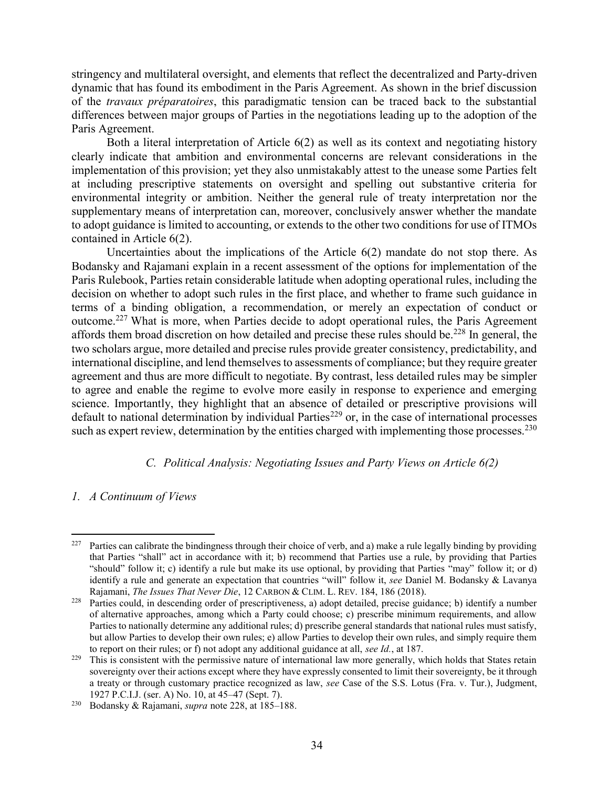stringency and multilateral oversight, and elements that reflect the decentralized and Party-driven dynamic that has found its embodiment in the Paris Agreement. As shown in the brief discussion of the *travaux préparatoires*, this paradigmatic tension can be traced back to the substantial differences between major groups of Parties in the negotiations leading up to the adoption of the Paris Agreement.

Both a literal interpretation of Article 6(2) as well as its context and negotiating history clearly indicate that ambition and environmental concerns are relevant considerations in the implementation of this provision; yet they also unmistakably attest to the unease some Parties felt at including prescriptive statements on oversight and spelling out substantive criteria for environmental integrity or ambition. Neither the general rule of treaty interpretation nor the supplementary means of interpretation can, moreover, conclusively answer whether the mandate to adopt guidance is limited to accounting, or extends to the other two conditions for use of ITMOs contained in Article 6(2).

Uncertainties about the implications of the Article 6(2) mandate do not stop there. As Bodansky and Rajamani explain in a recent assessment of the options for implementation of the Paris Rulebook, Parties retain considerable latitude when adopting operational rules, including the decision on whether to adopt such rules in the first place, and whether to frame such guidance in terms of a binding obligation, a recommendation, or merely an expectation of conduct or outcome.<sup>227</sup> What is more, when Parties decide to adopt operational rules, the Paris Agreement affords them broad discretion on how detailed and precise these rules should be.<sup>228</sup> In general, the two scholars argue, more detailed and precise rules provide greater consistency, predictability, and international discipline, and lend themselves to assessments of compliance; but they require greater agreement and thus are more difficult to negotiate. By contrast, less detailed rules may be simpler to agree and enable the regime to evolve more easily in response to experience and emerging science. Importantly, they highlight that an absence of detailed or prescriptive provisions will default to national determination by individual Parties<sup>229</sup> or, in the case of international processes such as expert review, determination by the entities charged with implementing those processes.<sup>230</sup>

### *C. Political Analysis: Negotiating Issues and Party Views on Article 6(2)*

# <span id="page-33-1"></span><span id="page-33-0"></span>*1. A Continuum of Views*

<sup>227</sup> Parties can calibrate the bindingness through their choice of verb, and a) make a rule legally binding by providing that Parties "shall" act in accordance with it; b) recommend that Parties use a rule, by providing that Parties "should" follow it; c) identify a rule but make its use optional, by providing that Parties "may" follow it; or d) identify a rule and generate an expectation that countries "will" follow it, *see* Daniel M. Bodansky & Lavanya Rajamani, *The Issues That Never Die*, 12 CARBON & CLIM. L. REV. 184, 186 (2018).

<sup>&</sup>lt;sup>228</sup> Parties could, in descending order of prescriptiveness, a) adopt detailed, precise guidance; b) identify a number of alternative approaches, among which a Party could choose; c) prescribe minimum requirements, and allow Parties to nationally determine any additional rules; d) prescribe general standards that national rules must satisfy, but allow Parties to develop their own rules; e) allow Parties to develop their own rules, and simply require them to report on their rules; or f) not adopt any additional guidance at all, *see Id.*, at 187.

<sup>&</sup>lt;sup>229</sup> This is consistent with the permissive nature of international law more generally, which holds that States retain sovereignty over their actions except where they have expressly consented to limit their sovereignty, be it through a treaty or through customary practice recognized as law, *see* Case of the S.S. Lotus (Fra. v. Tur.), Judgment, 1927 P.C.I.J. (ser. A) No. 10, at 45–47 (Sept. 7).

<sup>230</sup> Bodansky & Rajamani, *supra* note 228, at 185–188.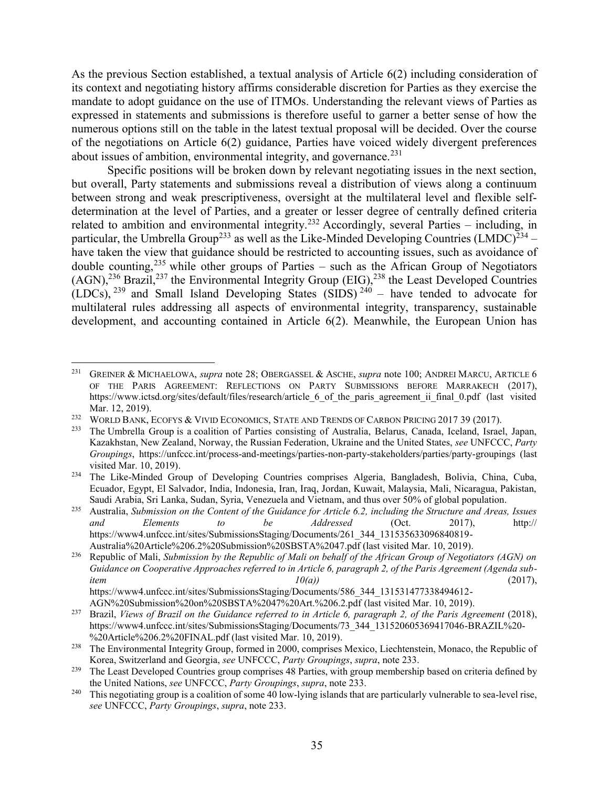As the previous Section established, a textual analysis of Article 6(2) including consideration of its context and negotiating history affirms considerable discretion for Parties as they exercise the mandate to adopt guidance on the use of ITMOs. Understanding the relevant views of Parties as expressed in statements and submissions is therefore useful to garner a better sense of how the numerous options still on the table in the latest textual proposal will be decided. Over the course of the negotiations on Article 6(2) guidance, Parties have voiced widely divergent preferences about issues of ambition, environmental integrity, and governance.<sup>231</sup>

<span id="page-34-0"></span>Specific positions will be broken down by relevant negotiating issues in the next section, but overall, Party statements and submissions reveal a distribution of views along a continuum between strong and weak prescriptiveness, oversight at the multilateral level and flexible selfdetermination at the level of Parties, and a greater or lesser degree of centrally defined criteria related to ambition and environmental integrity.<sup>232</sup> Accordingly, several Parties – including, in particular, the Umbrella Group<sup>233</sup> as well as the Like-Minded Developing Countries (LMDC)<sup>234</sup> – have taken the view that guidance should be restricted to accounting issues, such as avoidance of double counting,  $235$  while other groups of Parties – such as the African Group of Negotiators  $(AGN),^{236}$  Brazil,<sup>237</sup> the Environmental Integrity Group (EIG),<sup>238</sup> the Least Developed Countries (LDCs),  $^{239}$  and Small Island Developing States (SIDS)  $^{240}$  – have tended to advocate for multilateral rules addressing all aspects of environmental integrity, transparency, sustainable development, and accounting contained in Article 6(2). Meanwhile, the European Union has

<span id="page-34-1"></span><sup>231</sup> GREINER & MICHAELOWA, *supra* note 28; OBERGASSEL & ASCHE, *supra* note 100; ANDREI MARCU, ARTICLE 6 OF THE PARIS AGREEMENT: REFLECTIONS ON PARTY SUBMISSIONS BEFORE MARRAKECH (2017), https://www.ictsd.org/sites/default/files/research/article 6 of the paris agreement ii final 0.pdf (last visited Mar. 12, 2019).

<sup>&</sup>lt;sup>232</sup> WORLD BANK, ECOFYS & VIVID ECONOMICS, STATE AND TRENDS OF CARBON PRICING 2017 39 (2017).

<sup>233</sup> The Umbrella Group is a coalition of Parties consisting of Australia, Belarus, Canada, Iceland, Israel, Japan, Kazakhstan, New Zealand, Norway, the Russian Federation, Ukraine and the United States, *see* UNFCCC, *Party Groupings*, https://unfccc.int/process-and-meetings/parties-non-party-stakeholders/parties/party-groupings (last visited Mar. 10, 2019).

<sup>234</sup> The Like-Minded Group of Developing Countries comprises Algeria, Bangladesh, Bolivia, China, Cuba, Ecuador, Egypt, El Salvador, India, Indonesia, Iran, Iraq, Jordan, Kuwait, Malaysia, Mali, Nicaragua, Pakistan, Saudi Arabia, Sri Lanka, Sudan, Syria, Venezuela and Vietnam, and thus over 50% of global population.

<sup>235</sup> Australia, *Submission on the Content of the Guidance for Article 6.2, including the Structure and Areas, Issues and Elements to be Addressed* (Oct. 2017), http:// https://www4.unfccc.int/sites/SubmissionsStaging/Documents/261\_344\_131535633096840819- Australia%20Article%206.2%20Submission%20SBSTA%2047.pdf (last visited Mar. 10, 2019).

<sup>236</sup> Republic of Mali, *Submission by the Republic of Mali on behalf of the African Group of Negotiators (AGN) on Guidance on Cooperative Approaches referred to in Article 6, paragraph 2, of the Paris Agreement (Agenda subitem* (2017), (2017), https://www4.unfccc.int/sites/SubmissionsStaging/Documents/586\_344\_131531477338494612-

AGN%20Submission%20on%20SBSTA%2047%20Art.%206.2.pdf (last visited Mar. 10, 2019).

<sup>237</sup> Brazil, *Views of Brazil on the Guidance referred to in Article 6, paragraph 2, of the Paris Agreement* (2018), https://www4.unfccc.int/sites/SubmissionsStaging/Documents/73\_344\_131520605369417046-BRAZIL%20-%20Article%206.2%20FINAL.pdf (last visited Mar. 10, 2019).

<sup>&</sup>lt;sup>238</sup> The Environmental Integrity Group, formed in 2000, comprises Mexico, Liechtenstein, Monaco, the Republic of Korea, Switzerland and Georgia, *see* UNFCCC, *Party Groupings*, *supra*, note [233.](#page-34-0)

<sup>&</sup>lt;sup>239</sup> The Least Developed Countries group comprises 48 Parties, with group membership based on criteria defined by the United Nations, *see* UNFCCC, *Party Groupings*, *supra*, note [233.](#page-34-0)

<sup>&</sup>lt;sup>240</sup> This negotiating group is a coalition of some  $40$  low-lying islands that are particularly vulnerable to sea-level rise, *see* UNFCCC, *Party Groupings*, *supra*, note [233.](#page-34-0)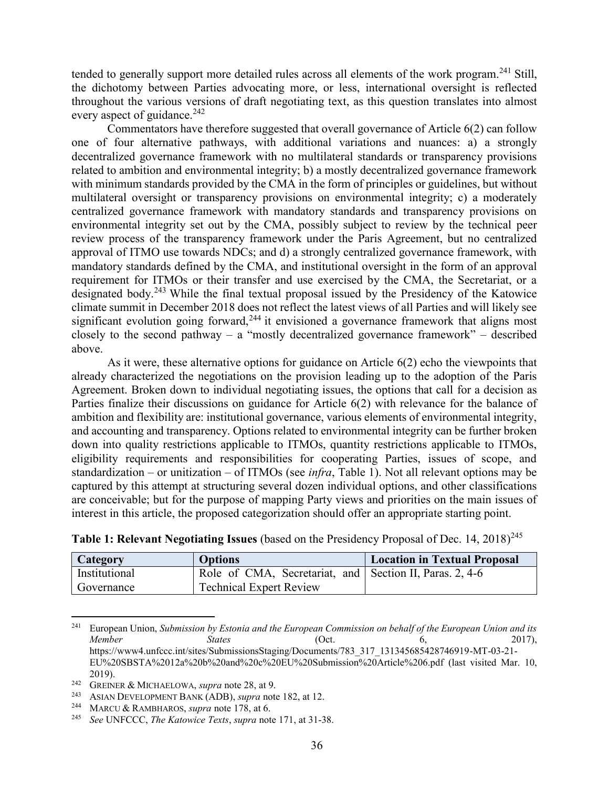tended to generally support more detailed rules across all elements of the work program. <sup>241</sup> Still, the dichotomy between Parties advocating more, or less, international oversight is reflected throughout the various versions of draft negotiating text, as this question translates into almost every aspect of guidance. $242$ 

Commentators have therefore suggested that overall governance of Article 6(2) can follow one of four alternative pathways, with additional variations and nuances: a) a strongly decentralized governance framework with no multilateral standards or transparency provisions related to ambition and environmental integrity; b) a mostly decentralized governance framework with minimum standards provided by the CMA in the form of principles or guidelines, but without multilateral oversight or transparency provisions on environmental integrity; c) a moderately centralized governance framework with mandatory standards and transparency provisions on environmental integrity set out by the CMA, possibly subject to review by the technical peer review process of the transparency framework under the Paris Agreement, but no centralized approval of ITMO use towards NDCs; and d) a strongly centralized governance framework, with mandatory standards defined by the CMA, and institutional oversight in the form of an approval requirement for ITMOs or their transfer and use exercised by the CMA, the Secretariat, or a designated body.<sup>243</sup> While the final textual proposal issued by the Presidency of the Katowice climate summit in December 2018 does not reflect the latest views of all Parties and will likely see significant evolution going forward,<sup>244</sup> it envisioned a governance framework that aligns most closely to the second pathway – a "mostly decentralized governance framework" – described above.

As it were, these alternative options for guidance on Article 6(2) echo the viewpoints that already characterized the negotiations on the provision leading up to the adoption of the Paris Agreement. Broken down to individual negotiating issues, the options that call for a decision as Parties finalize their discussions on guidance for Article 6(2) with relevance for the balance of ambition and flexibility are: institutional governance, various elements of environmental integrity, and accounting and transparency. Options related to environmental integrity can be further broken down into quality restrictions applicable to ITMOs, quantity restrictions applicable to ITMOs, eligibility requirements and responsibilities for cooperating Parties, issues of scope, and standardization – or unitization – of ITMOs (see *infra*, [Table 1\)](#page-35-0). Not all relevant options may be captured by this attempt at structuring several dozen individual options, and other classifications are conceivable; but for the purpose of mapping Party views and priorities on the main issues of interest in this article, the proposed categorization should offer an appropriate starting point.

| Category      | <b>Options</b>                                          | <b>Location in Textual Proposal</b> |
|---------------|---------------------------------------------------------|-------------------------------------|
| Institutional | Role of CMA, Secretariat, and Section II, Paras. 2, 4-6 |                                     |
| Governance    | <b>Technical Expert Review</b>                          |                                     |

<span id="page-35-0"></span>**Table 1: Relevant Negotiating Issues** (based on the Presidency Proposal of Dec. 14, 2018)<sup>245</sup>

<sup>241</sup> European Union, *Submission by Estonia and the European Commission on behalf of the European Union and its Member States* (Oct. 6, 2017), https://www4.unfccc.int/sites/SubmissionsStaging/Documents/783\_317\_131345685428746919-MT-03-21-EU%20SBSTA%2012a%20b%20and%20c%20EU%20Submission%20Article%206.pdf (last visited Mar. 10, 2019).

<sup>242</sup> GREINER & MICHAELOWA, *supra* note 28, at 9.

<sup>243</sup> ASIAN DEVELOPMENT BANK (ADB), *supra* note 182, at 12.

<sup>244</sup> MARCU & RAMBHAROS, *supra* note 178, at 6.

<sup>245</sup> *See* UNFCCC, *The Katowice Texts*, *supra* note [171,](#page-25-0) at 31-38.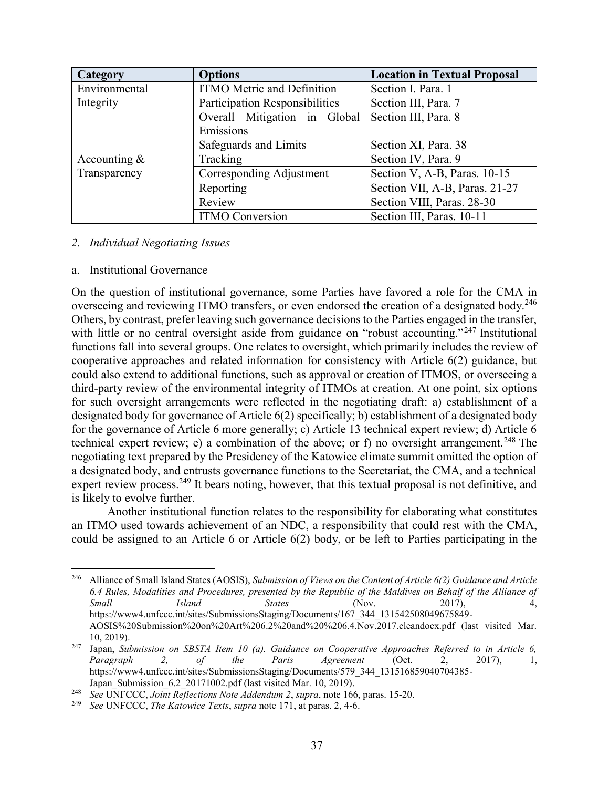| Category       | <b>Options</b>                    | <b>Location in Textual Proposal</b> |
|----------------|-----------------------------------|-------------------------------------|
| Environmental  | <b>ITMO</b> Metric and Definition | Section I. Para. 1                  |
| Integrity      | Participation Responsibilities    | Section III, Para. 7                |
|                | Overall Mitigation in Global      | Section III, Para. 8                |
|                | Emissions                         |                                     |
|                | Safeguards and Limits             | Section XI, Para. 38                |
| Accounting $&$ | Tracking                          | Section IV, Para. 9                 |
| Transparency   | Corresponding Adjustment          | Section V, A-B, Paras. 10-15        |
|                | Reporting                         | Section VII, A-B, Paras. 21-27      |
|                | Review                            | Section VIII, Paras. 28-30          |
|                | <b>ITMO Conversion</b>            | Section III, Paras. 10-11           |

### <span id="page-36-0"></span>*2. Individual Negotiating Issues*

### a. Institutional Governance

On the question of institutional governance, some Parties have favored a role for the CMA in overseeing and reviewing ITMO transfers, or even endorsed the creation of a designated body.<sup>246</sup> Others, by contrast, prefer leaving such governance decisions to the Parties engaged in the transfer, with little or no central oversight aside from guidance on "robust accounting."<sup>247</sup> Institutional functions fall into several groups. One relates to oversight, which primarily includes the review of cooperative approaches and related information for consistency with Article 6(2) guidance, but could also extend to additional functions, such as approval or creation of ITMOS, or overseeing a third-party review of the environmental integrity of ITMOs at creation. At one point, six options for such oversight arrangements were reflected in the negotiating draft: a) establishment of a designated body for governance of Article 6(2) specifically; b) establishment of a designated body for the governance of Article 6 more generally; c) Article 13 technical expert review; d) Article 6 technical expert review; e) a combination of the above; or f) no oversight arrangement.<sup>248</sup> The negotiating text prepared by the Presidency of the Katowice climate summit omitted the option of a designated body, and entrusts governance functions to the Secretariat, the CMA, and a technical expert review process.<sup>249</sup> It bears noting, however, that this textual proposal is not definitive, and is likely to evolve further.

Another institutional function relates to the responsibility for elaborating what constitutes an ITMO used towards achievement of an NDC, a responsibility that could rest with the CMA, could be assigned to an Article 6 or Article 6(2) body, or be left to Parties participating in the

 $\overline{a}$ <sup>246</sup> Alliance of Small Island States (AOSIS), *Submission of Views on the Content of Article 6(2) Guidance and Article 6.4 Rules, Modalities and Procedures, presented by the Republic of the Maldives on Behalf of the Alliance of Small Island States* (Nov. 2017), 4, https://www4.unfccc.int/sites/SubmissionsStaging/Documents/167\_344\_131542508049675849- AOSIS%20Submission%20on%20Art%206.2%20and%20%206.4.Nov.2017.cleandocx.pdf (last visited Mar. 10, 2019).

<sup>247</sup> Japan, *Submission on SBSTA Item 10 (a). Guidance on Cooperative Approaches Referred to in Article 6, Paragraph 2, of the Paris Agreement* (Oct. 2, 2017), 1, https://www4.unfccc.int/sites/SubmissionsStaging/Documents/579\_344\_131516859040704385-Japan\_Submission\_6.2\_20171002.pdf (last visited Mar. 10, 2019).

<sup>248</sup> *See* UNFCCC, *Joint Reflections Note Addendum 2*, *supra*, note [166,](#page-24-1) paras. 15-20.

<sup>249</sup> *See* UNFCCC, *The Katowice Texts*, *supra* note [171,](#page-25-0) at paras. 2, 4-6.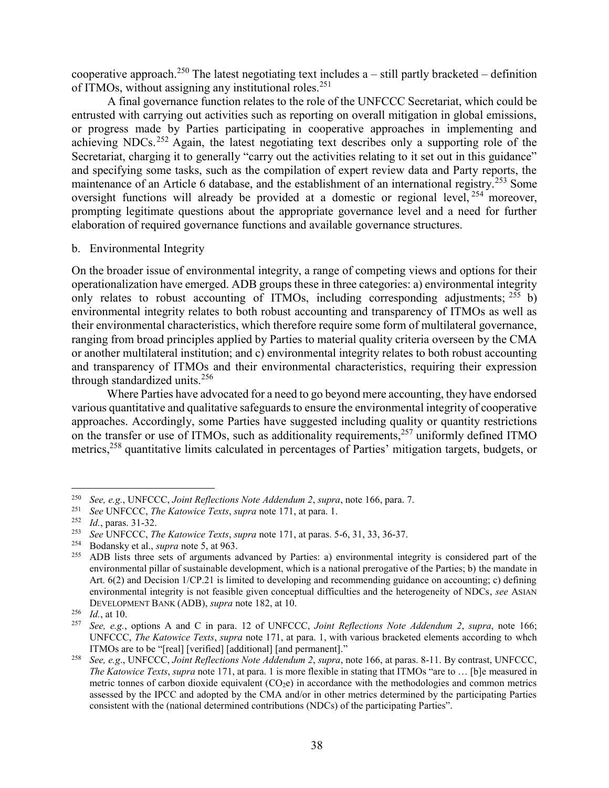cooperative approach.<sup>250</sup> The latest negotiating text includes  $a - \text{still partly bracketed} - \text{definition}$ of ITMOs, without assigning any institutional roles.<sup>251</sup>

A final governance function relates to the role of the UNFCCC Secretariat, which could be entrusted with carrying out activities such as reporting on overall mitigation in global emissions, or progress made by Parties participating in cooperative approaches in implementing and achieving NDCs.<sup>252</sup> Again, the latest negotiating text describes only a supporting role of the Secretariat, charging it to generally "carry out the activities relating to it set out in this guidance" and specifying some tasks, such as the compilation of expert review data and Party reports, the maintenance of an Article 6 database, and the establishment of an international registry.<sup>253</sup> Some oversight functions will already be provided at a domestic or regional level, <sup>254</sup> moreover, prompting legitimate questions about the appropriate governance level and a need for further elaboration of required governance functions and available governance structures.

### <span id="page-37-0"></span>b. Environmental Integrity

On the broader issue of environmental integrity, a range of competing views and options for their operationalization have emerged. ADB groups these in three categories: a) environmental integrity only relates to robust accounting of ITMOs, including corresponding adjustments;  $^{255}$  b) environmental integrity relates to both robust accounting and transparency of ITMOs as well as their environmental characteristics, which therefore require some form of multilateral governance, ranging from broad principles applied by Parties to material quality criteria overseen by the CMA or another multilateral institution; and c) environmental integrity relates to both robust accounting and transparency of ITMOs and their environmental characteristics, requiring their expression through standardized units.<sup>256</sup>

Where Parties have advocated for a need to go beyond mere accounting, they have endorsed various quantitative and qualitative safeguards to ensure the environmental integrity of cooperative approaches. Accordingly, some Parties have suggested including quality or quantity restrictions on the transfer or use of ITMOs, such as additionality requirements,<sup>257</sup> uniformly defined ITMO metrics,<sup>258</sup> quantitative limits calculated in percentages of Parties' mitigation targets, budgets, or

<sup>250</sup> *See, e.g.*, UNFCCC, *Joint Reflections Note Addendum 2*, *supra*, note [166,](#page-24-1) para. 7.

<sup>251</sup> *See* UNFCCC, *The Katowice Texts*, *supra* note [171,](#page-25-0) at para. 1.

<sup>&</sup>lt;sup>252</sup> *Id.*, paras. 31-32.<br><sup>253</sup> *See* UNECCC *Ti* 

<sup>253</sup> *See* UNFCCC, *The Katowice Texts*, *supra* note [171,](#page-25-0) at paras. 5-6, 31, 33, 36-37.

<sup>&</sup>lt;sup>254</sup> Bodansky et al., *supra* note 5, at 963.<br><sup>255</sup> ADB lists three sets of arguments a

ADB lists three sets of arguments advanced by Parties: a) environmental integrity is considered part of the environmental pillar of sustainable development, which is a national prerogative of the Parties; b) the mandate in Art. 6(2) and Decision 1/CP.21 is limited to developing and recommending guidance on accounting; c) defining environmental integrity is not feasible given conceptual difficulties and the heterogeneity of NDCs, *see* ASIAN DEVELOPMENT BANK (ADB), *supra* note 182, at 10.

 $\frac{256}{257}$  *Id.*, at 10.

<sup>257</sup> *See, e.g.*, options A and C in para. 12 of UNFCCC, *Joint Reflections Note Addendum 2*, *supra*, note [166;](#page-24-1) UNFCCC, *The Katowice Texts*, *supra* note [171,](#page-25-0) at para. 1, with various bracketed elements according to whch ITMOs are to be "[real] [verified] [additional] [and permanent]."

<sup>258</sup> *See, e.g*., UNFCCC, *Joint Reflections Note Addendum 2*, *supra*, note [166,](#page-24-1) at paras. 8-11. By contrast, UNFCCC, *The Katowice Texts*, *supra* not[e 171](#page-25-0), at para. 1 is more flexible in stating that ITMOs "are to … [b]e measured in metric tonnes of carbon dioxide equivalent  $(CO<sub>2</sub>e)$  in accordance with the methodologies and common metrics assessed by the IPCC and adopted by the CMA and/or in other metrics determined by the participating Parties consistent with the (national determined contributions (NDCs) of the participating Parties".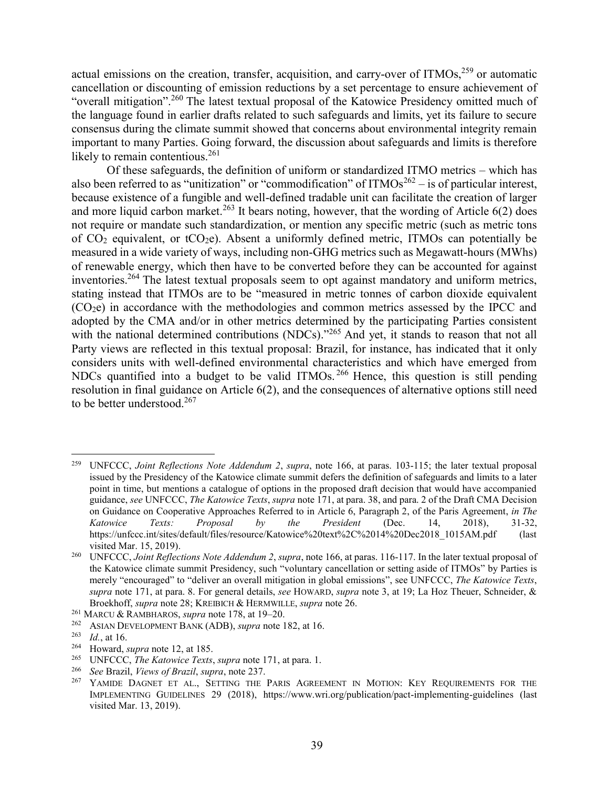actual emissions on the creation, transfer, acquisition, and carry-over of ITMOs,<sup>259</sup> or automatic cancellation or discounting of emission reductions by a set percentage to ensure achievement of "overall mitigation".<sup>260</sup> The latest textual proposal of the Katowice Presidency omitted much of the language found in earlier drafts related to such safeguards and limits, yet its failure to secure consensus during the climate summit showed that concerns about environmental integrity remain important to many Parties. Going forward, the discussion about safeguards and limits is therefore likely to remain contentious. $^{261}$ 

Of these safeguards, the definition of uniform or standardized ITMO metrics – which has also been referred to as "unitization" or "commodification" of  $ITMOs<sup>262</sup> -$  is of particular interest, because existence of a fungible and well-defined tradable unit can facilitate the creation of larger and more liquid carbon market.<sup>263</sup> It bears noting, however, that the wording of Article  $6(2)$  does not require or mandate such standardization, or mention any specific metric (such as metric tons of  $CO<sub>2</sub>$  equivalent, or t $CO<sub>2</sub>e$ ). Absent a uniformly defined metric, ITMOs can potentially be measured in a wide variety of ways, including non-GHG metrics such as Megawatt-hours (MWhs) of renewable energy, which then have to be converted before they can be accounted for against inventories. <sup>264</sup> The latest textual proposals seem to opt against mandatory and uniform metrics, stating instead that ITMOs are to be "measured in metric tonnes of carbon dioxide equivalent (CO2e) in accordance with the methodologies and common metrics assessed by the IPCC and adopted by the CMA and/or in other metrics determined by the participating Parties consistent with the national determined contributions (NDCs)."<sup>265</sup> And yet, it stands to reason that not all Party views are reflected in this textual proposal: Brazil, for instance, has indicated that it only considers units with well-defined environmental characteristics and which have emerged from NDCs quantified into a budget to be valid ITMOs. <sup>266</sup> Hence, this question is still pending resolution in final guidance on Article 6(2), and the consequences of alternative options still need to be better understood.<sup>267</sup>

<sup>259</sup> UNFCCC, *Joint Reflections Note Addendum 2*, *supra*, note [166,](#page-24-1) at paras. 103-115; the later textual proposal issued by the Presidency of the Katowice climate summit defers the definition of safeguards and limits to a later point in time, but mentions a catalogue of options in the proposed draft decision that would have accompanied guidance, *see* UNFCCC, *The Katowice Texts*, *supra* not[e 171,](#page-25-0) at para. 38, and para. 2 of the Draft CMA Decision on Guidance on Cooperative Approaches Referred to in Article 6, Paragraph 2, of the Paris Agreement, *in The Katowice Texts: Proposal by the President* (Dec. 14, 2018), 31-32, https://unfccc.int/sites/default/files/resource/Katowice%20text%2C%2014%20Dec2018\_1015AM.pdf (last visited Mar. 15, 2019).

<sup>260</sup> UNFCCC, *Joint Reflections Note Addendum 2*, *supra*, note [166,](#page-24-1) at paras. 116-117. In the later textual proposal of the Katowice climate summit Presidency, such "voluntary cancellation or setting aside of ITMOs" by Parties is merely "encouraged" to "deliver an overall mitigation in global emissions", see UNFCCC, *The Katowice Texts*, *supra* note [171,](#page-25-0) at para. 8. For general details, *see* HOWARD, *supra* note 3, at 19; La Hoz Theuer, Schneider, & Broekhoff, *supra* note 28; KREIBICH & HERMWILLE, *supra* note 26.

<sup>261</sup> MARCU & RAMBHAROS, *supra* note 178, at 19–20.

<sup>&</sup>lt;sup>262</sup> ASIAN DEVELOPMENT BANK (ADB), *supra* note 182, at 16.<br><sup>263</sup> Id. at 16.

 $\frac{263}{264}$  *Id.*, at 16.

<sup>&</sup>lt;sup>264</sup> Howard, *supra* note 12, at 185.<br><sup>265</sup> LINECCC *The Katowics Texts* 

<sup>265</sup> UNFCCC, *The Katowice Texts*, *supra* note [171,](#page-25-0) at para. 1.

<sup>266</sup> *See* Brazil, *Views of Brazil*, *supra*, note [237.](#page-34-1)

YAMIDE DAGNET ET AL., SETTING THE PARIS AGREEMENT IN MOTION: KEY REQUIREMENTS FOR THE IMPLEMENTING GUIDELINES 29 (2018), https://www.wri.org/publication/pact-implementing-guidelines (last visited Mar. 13, 2019).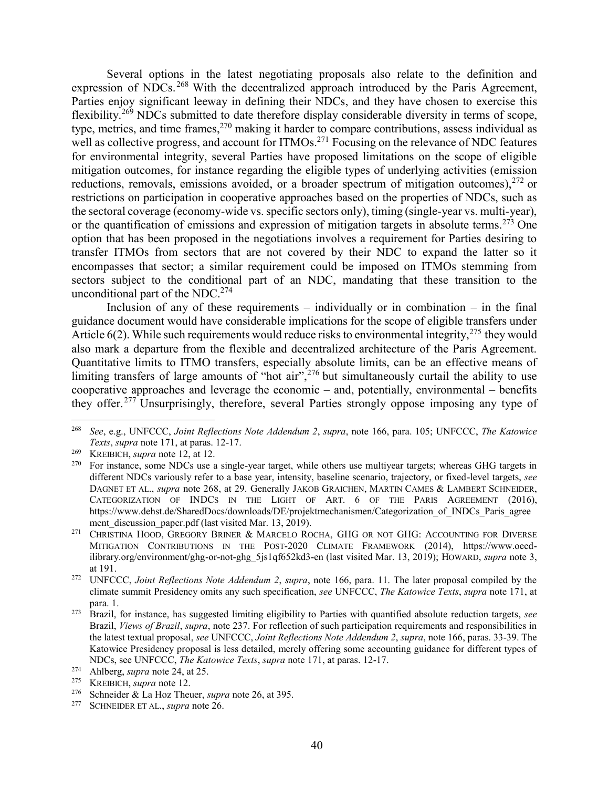Several options in the latest negotiating proposals also relate to the definition and expression of NDCs. <sup>268</sup> With the decentralized approach introduced by the Paris Agreement, Parties enjoy significant leeway in defining their NDCs, and they have chosen to exercise this flexibility.<sup>269</sup> NDCs submitted to date therefore display considerable diversity in terms of scope, type, metrics, and time frames,<sup>270</sup> making it harder to compare contributions, assess individual as well as collective progress, and account for ITMOs.<sup>271</sup> Focusing on the relevance of NDC features for environmental integrity, several Parties have proposed limitations on the scope of eligible mitigation outcomes, for instance regarding the eligible types of underlying activities (emission reductions, removals, emissions avoided, or a broader spectrum of mitigation outcomes),  $^{272}$  or restrictions on participation in cooperative approaches based on the properties of NDCs, such as the sectoral coverage (economy-wide vs. specific sectors only), timing (single-year vs. multi-year), or the quantification of emissions and expression of mitigation targets in absolute terms.<sup>273</sup> One option that has been proposed in the negotiations involves a requirement for Parties desiring to transfer ITMOs from sectors that are not covered by their NDC to expand the latter so it encompasses that sector; a similar requirement could be imposed on ITMOs stemming from sectors subject to the conditional part of an NDC, mandating that these transition to the unconditional part of the NDC.<sup>274</sup>

Inclusion of any of these requirements – individually or in combination – in the final guidance document would have considerable implications for the scope of eligible transfers under Article  $6(2)$ . While such requirements would reduce risks to environmental integrity,  $275$  they would also mark a departure from the flexible and decentralized architecture of the Paris Agreement. Quantitative limits to ITMO transfers, especially absolute limits, can be an effective means of limiting transfers of large amounts of "hot air",<sup>276</sup> but simultaneously curtail the ability to use cooperative approaches and leverage the economic – and, potentially, environmental – benefits they offer.<sup>277</sup> Unsurprisingly, therefore, several Parties strongly oppose imposing any type of

<sup>268</sup> *See*, e.g., UNFCCC, *Joint Reflections Note Addendum 2*, *supra*, note [166,](#page-24-1) para. 105; UNFCCC, *The Katowice Texts*, *supra* note [171,](#page-25-0) at paras. 12-17.

<sup>269</sup> KREIBICH, *supra* note 12, at 12.

<sup>&</sup>lt;sup>270</sup> For instance, some NDCs use a single-year target, while others use multiyear targets; whereas GHG targets in different NDCs variously refer to a base year, intensity, baseline scenario, trajectory, or fixed-level targets, *see* DAGNET ET AL., *supra* note 268, at 29. Generally JAKOB GRAICHEN, MARTIN CAMES & LAMBERT SCHNEIDER, CATEGORIZATION OF INDCS IN THE LIGHT OF ART. 6 OF THE PARIS AGREEMENT (2016), https://www.dehst.de/SharedDocs/downloads/DE/projektmechanismen/Categorization\_of\_INDCs\_Paris\_agree ment discussion paper.pdf (last visited Mar. 13, 2019).

<sup>&</sup>lt;sup>271</sup> CHRISTINA HOOD, GREGORY BRINER & MARCELO ROCHA, GHG OR NOT GHG: ACCOUNTING FOR DIVERSE MITIGATION CONTRIBUTIONS IN THE POST-2020 CLIMATE FRAMEWORK (2014), https://www.oecdilibrary.org/environment/ghg-or-not-ghg\_5js1qf652kd3-en (last visited Mar. 13, 2019); HOWARD, *supra* note 3, at 191.

<sup>272</sup> UNFCCC, *Joint Reflections Note Addendum 2*, *supra*, note [166,](#page-24-1) para. 11. The later proposal compiled by the climate summit Presidency omits any such specification, *see* UNFCCC, *The Katowice Texts*, *supra* note [171,](#page-25-0) at para. 1.

<sup>273</sup> Brazil, for instance, has suggested limiting eligibility to Parties with quantified absolute reduction targets, *see* Brazil, *Views of Brazil*, *supra*, note [237.](#page-34-1) For reflection of such participation requirements and responsibilities in the latest textual proposal, *see* UNFCCC, *Joint Reflections Note Addendum 2*, *supra*, note [166,](#page-24-1) paras. 33-39. The Katowice Presidency proposal is less detailed, merely offering some accounting guidance for different types of NDCs, see UNFCCC, *The Katowice Texts*, *supra* note [171,](#page-25-0) at paras. 12-17.

<sup>&</sup>lt;sup>274</sup> Ahlberg, *supra* note 24, at 25.<br><sup>275</sup> KREWICH *supra* note 12

<sup>&</sup>lt;sup>275</sup> KREIBICH, *supra* note 12.<br><sup>276</sup> Schneider & La Hoz Thei

<sup>&</sup>lt;sup>276</sup> Schneider & La Hoz Theuer, *supra* note 26, at 395.<br><sup>277</sup> SCHNEIDER ET AL *supra* note 26

SCHNEIDER ET AL., *supra* note 26.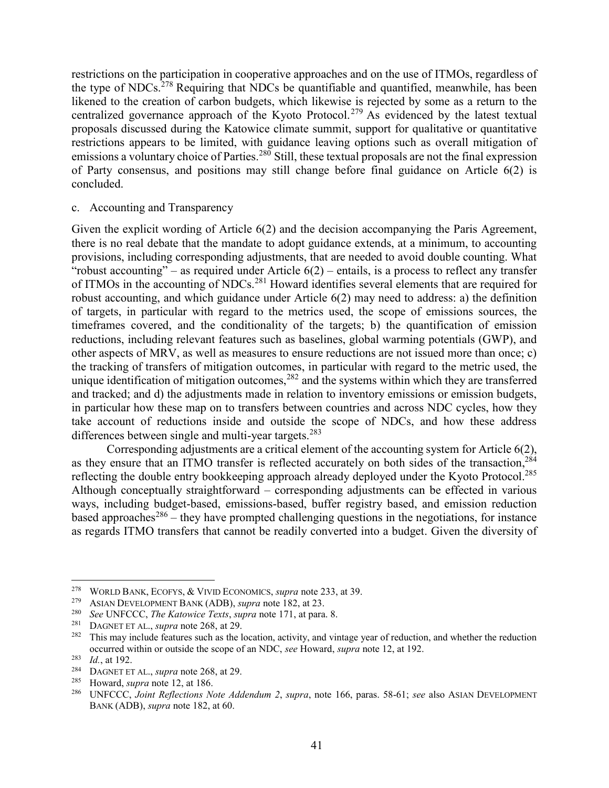restrictions on the participation in cooperative approaches and on the use of ITMOs, regardless of the type of NDCs.<sup>278</sup> Requiring that NDCs be quantifiable and quantified, meanwhile, has been likened to the creation of carbon budgets, which likewise is rejected by some as a return to the centralized governance approach of the Kyoto Protocol.<sup>279</sup> As evidenced by the latest textual proposals discussed during the Katowice climate summit, support for qualitative or quantitative restrictions appears to be limited, with guidance leaving options such as overall mitigation of emissions a voluntary choice of Parties.<sup>280</sup> Still, these textual proposals are not the final expression of Party consensus, and positions may still change before final guidance on Article 6(2) is concluded.

### c. Accounting and Transparency

Given the explicit wording of Article 6(2) and the decision accompanying the Paris Agreement, there is no real debate that the mandate to adopt guidance extends, at a minimum, to accounting provisions, including corresponding adjustments, that are needed to avoid double counting. What "robust accounting" – as required under Article  $6(2)$  – entails, is a process to reflect any transfer of ITMOs in the accounting of NDCs.<sup>281</sup> Howard identifies several elements that are required for robust accounting, and which guidance under Article 6(2) may need to address: a) the definition of targets, in particular with regard to the metrics used, the scope of emissions sources, the timeframes covered, and the conditionality of the targets; b) the quantification of emission reductions, including relevant features such as baselines, global warming potentials (GWP), and other aspects of MRV, as well as measures to ensure reductions are not issued more than once; c) the tracking of transfers of mitigation outcomes, in particular with regard to the metric used, the unique identification of mitigation outcomes,<sup>282</sup> and the systems within which they are transferred and tracked; and d) the adjustments made in relation to inventory emissions or emission budgets, in particular how these map on to transfers between countries and across NDC cycles, how they take account of reductions inside and outside the scope of NDCs, and how these address differences between single and multi-year targets.<sup>283</sup>

Corresponding adjustments are a critical element of the accounting system for Article 6(2), as they ensure that an ITMO transfer is reflected accurately on both sides of the transaction,<sup>284</sup> reflecting the double entry bookkeeping approach already deployed under the Kyoto Protocol.<sup>285</sup> Although conceptually straightforward – corresponding adjustments can be effected in various ways, including budget-based, emissions-based, buffer registry based, and emission reduction based approaches<sup>286</sup> – they have prompted challenging questions in the negotiations, for instance as regards ITMO transfers that cannot be readily converted into a budget. Given the diversity of

<sup>&</sup>lt;sup>278</sup> WORLD BANK, ECOFYS,  $\&$  VIVID ECONOMICS, *supra* note 233, at 39.

<sup>&</sup>lt;sup>279</sup> ASIAN DEVELOPMENT BANK (ADB), *supra* note 182, at 23.

<sup>280</sup> *See* UNFCCC, *The Katowice Texts*, *supra* note [171,](#page-25-0) at para. 8.

DAGNET ET AL., *supra* note 268, at 29.

<sup>&</sup>lt;sup>282</sup> This may include features such as the location, activity, and vintage year of reduction, and whether the reduction occurred within or outside the scope of an NDC, *see* Howard, *supra* note 12, at 192.

<sup>283</sup> *Id.*, at 192.

<sup>&</sup>lt;sup>284</sup> DAGNET ET AL., *supra* note 268, at 29.<br><sup>285</sup> Howard, supra note 12, at 186

<sup>285</sup> Howard, *supra* note 12, at 186.

<sup>286</sup> UNFCCC, *Joint Reflections Note Addendum 2*, *supra*, note [166,](#page-24-1) paras. 58-61; *see* also ASIAN DEVELOPMENT BANK (ADB), *supra* note 182, at 60.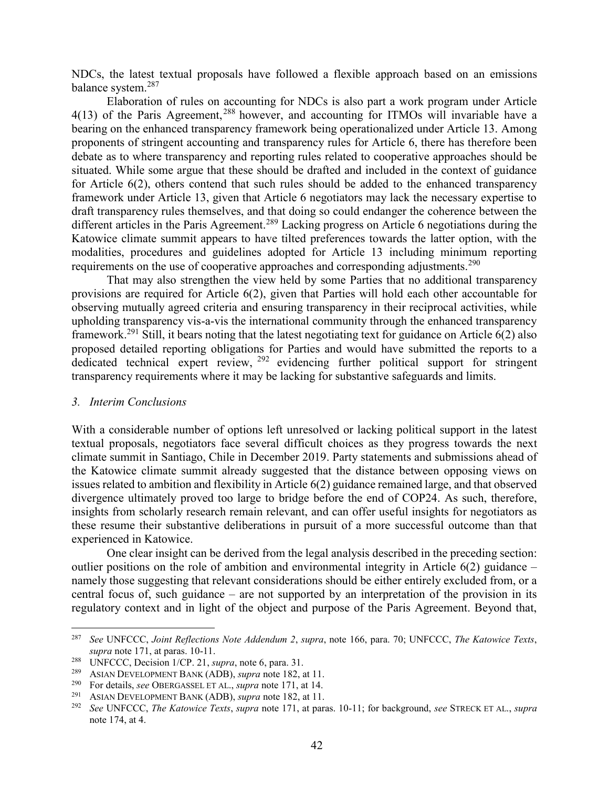NDCs, the latest textual proposals have followed a flexible approach based on an emissions balance system.<sup>287</sup>

Elaboration of rules on accounting for NDCs is also part a work program under Article 4(13) of the Paris Agreement,<sup>288</sup> however, and accounting for ITMOs will invariable have a bearing on the enhanced transparency framework being operationalized under Article 13. Among proponents of stringent accounting and transparency rules for Article 6, there has therefore been debate as to where transparency and reporting rules related to cooperative approaches should be situated. While some argue that these should be drafted and included in the context of guidance for Article 6(2), others contend that such rules should be added to the enhanced transparency framework under Article 13, given that Article 6 negotiators may lack the necessary expertise to draft transparency rules themselves, and that doing so could endanger the coherence between the different articles in the Paris Agreement.<sup>289</sup> Lacking progress on Article 6 negotiations during the Katowice climate summit appears to have tilted preferences towards the latter option, with the modalities, procedures and guidelines adopted for Article 13 including minimum reporting requirements on the use of cooperative approaches and corresponding adjustments.<sup>290</sup>

That may also strengthen the view held by some Parties that no additional transparency provisions are required for Article 6(2), given that Parties will hold each other accountable for observing mutually agreed criteria and ensuring transparency in their reciprocal activities, while upholding transparency vis-a-vis the international community through the enhanced transparency framework.<sup>291</sup> Still, it bears noting that the latest negotiating text for guidance on Article 6(2) also proposed detailed reporting obligations for Parties and would have submitted the reports to a dedicated technical expert review,  $292$  evidencing further political support for stringent transparency requirements where it may be lacking for substantive safeguards and limits.

#### *3. Interim Conclusions*

 $\overline{a}$ 

With a considerable number of options left unresolved or lacking political support in the latest textual proposals, negotiators face several difficult choices as they progress towards the next climate summit in Santiago, Chile in December 2019. Party statements and submissions ahead of the Katowice climate summit already suggested that the distance between opposing views on issues related to ambition and flexibility in Article 6(2) guidance remained large, and that observed divergence ultimately proved too large to bridge before the end of COP24. As such, therefore, insights from scholarly research remain relevant, and can offer useful insights for negotiators as these resume their substantive deliberations in pursuit of a more successful outcome than that experienced in Katowice.

One clear insight can be derived from the legal analysis described in the preceding section: outlier positions on the role of ambition and environmental integrity in Article 6(2) guidance – namely those suggesting that relevant considerations should be either entirely excluded from, or a central focus of, such guidance – are not supported by an interpretation of the provision in its regulatory context and in light of the object and purpose of the Paris Agreement. Beyond that,

<sup>287</sup> *See* UNFCCC, *Joint Reflections Note Addendum 2*, *supra*, note [166,](#page-24-1) para. 70; UNFCCC, *The Katowice Texts*, *supra* note [171,](#page-25-0) at paras. 10-11.

<sup>&</sup>lt;sup>288</sup> UNFCCC, Decision 1/CP. 21, *supra*, not[e 6,](#page-1-0) para. 31.<br><sup>289</sup> ASIAN DEVELOPMENT BANK (ADB), *supra* note 182, a

<sup>289</sup> ASIAN DEVELOPMENT BANK (ADB), *supra* note 182, at 11.

<sup>290</sup> For details, *see* OBERGASSEL ET AL., *supra* note 171, at 14.

<sup>291</sup> ASIAN DEVELOPMENT BANK (ADB), *supra* note 182, at 11.

<sup>292</sup> *See* UNFCCC, *The Katowice Texts*, *supra* note [171,](#page-25-0) at paras. 10-11; for background, *see* STRECK ET AL., *supra* note 174, at 4.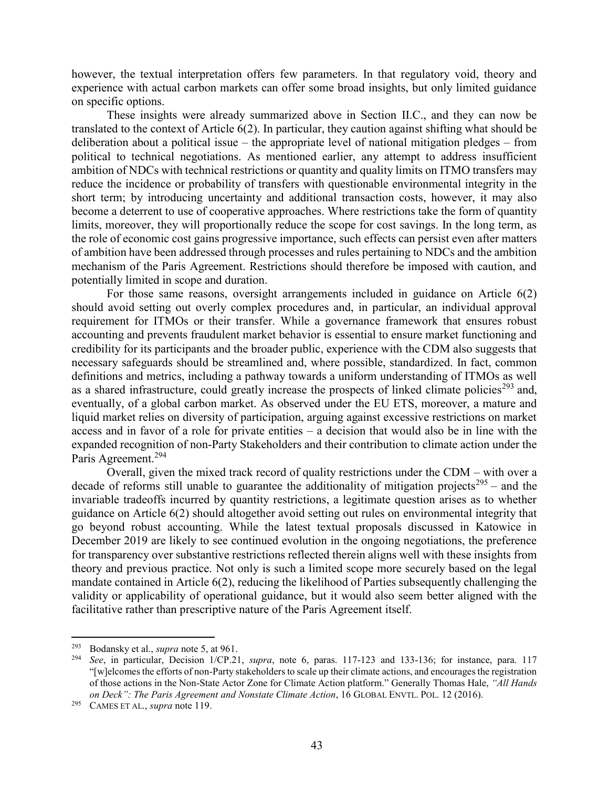however, the textual interpretation offers few parameters. In that regulatory void, theory and experience with actual carbon markets can offer some broad insights, but only limited guidance on specific options.

These insights were already summarized above in Section [II.](#page-6-0)[C.](#page-21-0), and they can now be translated to the context of Article 6(2). In particular, they caution against shifting what should be deliberation about a political issue – the appropriate level of national mitigation pledges – from political to technical negotiations. As mentioned earlier, any attempt to address insufficient ambition of NDCs with technical restrictions or quantity and quality limits on ITMO transfers may reduce the incidence or probability of transfers with questionable environmental integrity in the short term; by introducing uncertainty and additional transaction costs, however, it may also become a deterrent to use of cooperative approaches. Where restrictions take the form of quantity limits, moreover, they will proportionally reduce the scope for cost savings. In the long term, as the role of economic cost gains progressive importance, such effects can persist even after matters of ambition have been addressed through processes and rules pertaining to NDCs and the ambition mechanism of the Paris Agreement. Restrictions should therefore be imposed with caution, and potentially limited in scope and duration.

For those same reasons, oversight arrangements included in guidance on Article 6(2) should avoid setting out overly complex procedures and, in particular, an individual approval requirement for ITMOs or their transfer. While a governance framework that ensures robust accounting and prevents fraudulent market behavior is essential to ensure market functioning and credibility for its participants and the broader public, experience with the CDM also suggests that necessary safeguards should be streamlined and, where possible, standardized. In fact, common definitions and metrics, including a pathway towards a uniform understanding of ITMOs as well as a shared infrastructure, could greatly increase the prospects of linked climate policies<sup>293</sup> and, eventually, of a global carbon market. As observed under the EU ETS, moreover, a mature and liquid market relies on diversity of participation, arguing against excessive restrictions on market access and in favor of a role for private entities – a decision that would also be in line with the expanded recognition of non-Party Stakeholders and their contribution to climate action under the Paris Agreement.<sup>294</sup>

Overall, given the mixed track record of quality restrictions under the CDM – with over a decade of reforms still unable to guarantee the additionality of mitigation projects<sup>295</sup> – and the invariable tradeoffs incurred by quantity restrictions, a legitimate question arises as to whether guidance on Article 6(2) should altogether avoid setting out rules on environmental integrity that go beyond robust accounting. While the latest textual proposals discussed in Katowice in December 2019 are likely to see continued evolution in the ongoing negotiations, the preference for transparency over substantive restrictions reflected therein aligns well with these insights from theory and previous practice. Not only is such a limited scope more securely based on the legal mandate contained in Article 6(2), reducing the likelihood of Parties subsequently challenging the validity or applicability of operational guidance, but it would also seem better aligned with the facilitative rather than prescriptive nature of the Paris Agreement itself.

<sup>&</sup>lt;sup>293</sup> Bodansky et al., *supra* note 5, at 961.<br><sup>294</sup> See in particular Decision  $1/\text{CP } 21$ 

<sup>294</sup> *See*, in particular, Decision 1/CP.21, *supra*, note [6,](#page-1-0) paras. 117-123 and 133-136; for instance, para. 117 "[w]elcomes the efforts of non-Party stakeholders to scale up their climate actions, and encourages the registration of those actions in the Non-State Actor Zone for Climate Action platform." Generally Thomas Hale, *"All Hands on Deck": The Paris Agreement and Nonstate Climate Action*, 16 GLOBAL ENVTL. POL. 12 (2016).

<sup>295</sup> CAMES ET AL., *supra* note 119.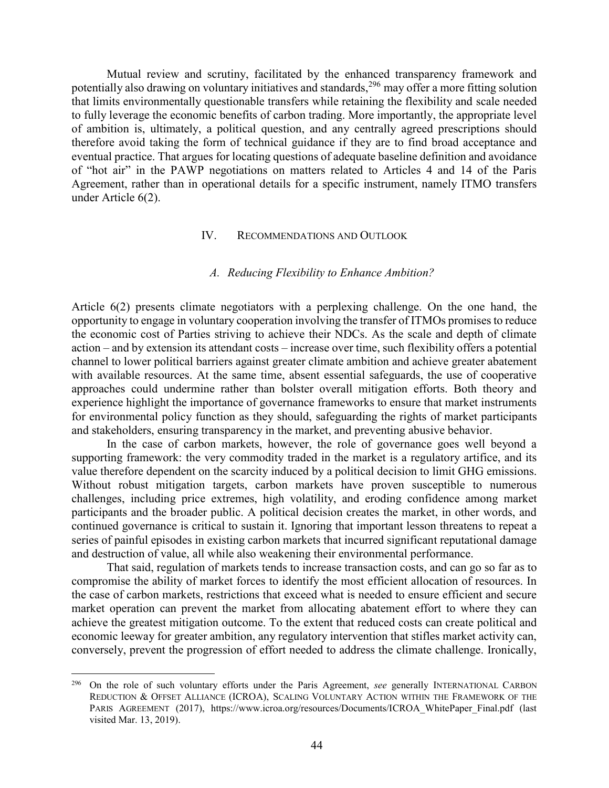Mutual review and scrutiny, facilitated by the enhanced transparency framework and potentially also drawing on voluntary initiatives and standards,<sup>296</sup> may offer a more fitting solution that limits environmentally questionable transfers while retaining the flexibility and scale needed to fully leverage the economic benefits of carbon trading. More importantly, the appropriate level of ambition is, ultimately, a political question, and any centrally agreed prescriptions should therefore avoid taking the form of technical guidance if they are to find broad acceptance and eventual practice. That argues for locating questions of adequate baseline definition and avoidance of "hot air" in the PAWP negotiations on matters related to Articles 4 and 14 of the Paris Agreement, rather than in operational details for a specific instrument, namely ITMO transfers under Article 6(2).

#### IV. RECOMMENDATIONS AND OUTLOOK

# *A. Reducing Flexibility to Enhance Ambition?*

Article 6(2) presents climate negotiators with a perplexing challenge. On the one hand, the opportunity to engage in voluntary cooperation involving the transfer of ITMOs promises to reduce the economic cost of Parties striving to achieve their NDCs. As the scale and depth of climate action – and by extension its attendant costs – increase over time, such flexibility offers a potential channel to lower political barriers against greater climate ambition and achieve greater abatement with available resources. At the same time, absent essential safeguards, the use of cooperative approaches could undermine rather than bolster overall mitigation efforts. Both theory and experience highlight the importance of governance frameworks to ensure that market instruments for environmental policy function as they should, safeguarding the rights of market participants and stakeholders, ensuring transparency in the market, and preventing abusive behavior.

In the case of carbon markets, however, the role of governance goes well beyond a supporting framework: the very commodity traded in the market is a regulatory artifice, and its value therefore dependent on the scarcity induced by a political decision to limit GHG emissions. Without robust mitigation targets, carbon markets have proven susceptible to numerous challenges, including price extremes, high volatility, and eroding confidence among market participants and the broader public. A political decision creates the market, in other words, and continued governance is critical to sustain it. Ignoring that important lesson threatens to repeat a series of painful episodes in existing carbon markets that incurred significant reputational damage and destruction of value, all while also weakening their environmental performance.

That said, regulation of markets tends to increase transaction costs, and can go so far as to compromise the ability of market forces to identify the most efficient allocation of resources. In the case of carbon markets, restrictions that exceed what is needed to ensure efficient and secure market operation can prevent the market from allocating abatement effort to where they can achieve the greatest mitigation outcome. To the extent that reduced costs can create political and economic leeway for greater ambition, any regulatory intervention that stifles market activity can, conversely, prevent the progression of effort needed to address the climate challenge. Ironically,

<sup>296</sup> <sup>296</sup> On the role of such voluntary efforts under the Paris Agreement, *see* generally INTERNATIONAL CARBON REDUCTION & OFFSET ALLIANCE (ICROA), SCALING VOLUNTARY ACTION WITHIN THE FRAMEWORK OF THE PARIS AGREEMENT (2017), https://www.icroa.org/resources/Documents/ICROA WhitePaper Final.pdf (last visited Mar. 13, 2019).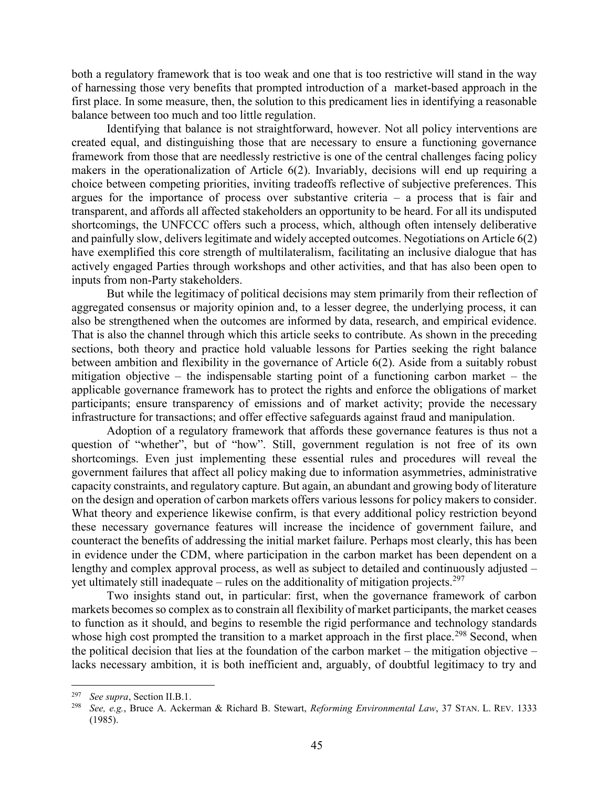both a regulatory framework that is too weak and one that is too restrictive will stand in the way of harnessing those very benefits that prompted introduction of a market-based approach in the first place. In some measure, then, the solution to this predicament lies in identifying a reasonable balance between too much and too little regulation.

Identifying that balance is not straightforward, however. Not all policy interventions are created equal, and distinguishing those that are necessary to ensure a functioning governance framework from those that are needlessly restrictive is one of the central challenges facing policy makers in the operationalization of Article 6(2). Invariably, decisions will end up requiring a choice between competing priorities, inviting tradeoffs reflective of subjective preferences. This argues for the importance of process over substantive criteria  $-$  a process that is fair and transparent, and affords all affected stakeholders an opportunity to be heard. For all its undisputed shortcomings, the UNFCCC offers such a process, which, although often intensely deliberative and painfully slow, delivers legitimate and widely accepted outcomes. Negotiations on Article 6(2) have exemplified this core strength of multilateralism, facilitating an inclusive dialogue that has actively engaged Parties through workshops and other activities, and that has also been open to inputs from non-Party stakeholders.

But while the legitimacy of political decisions may stem primarily from their reflection of aggregated consensus or majority opinion and, to a lesser degree, the underlying process, it can also be strengthened when the outcomes are informed by data, research, and empirical evidence. That is also the channel through which this article seeks to contribute. As shown in the preceding sections, both theory and practice hold valuable lessons for Parties seeking the right balance between ambition and flexibility in the governance of Article 6(2). Aside from a suitably robust mitigation objective – the indispensable starting point of a functioning carbon market – the applicable governance framework has to protect the rights and enforce the obligations of market participants; ensure transparency of emissions and of market activity; provide the necessary infrastructure for transactions; and offer effective safeguards against fraud and manipulation.

Adoption of a regulatory framework that affords these governance features is thus not a question of "whether", but of "how". Still, government regulation is not free of its own shortcomings. Even just implementing these essential rules and procedures will reveal the government failures that affect all policy making due to information asymmetries, administrative capacity constraints, and regulatory capture. But again, an abundant and growing body of literature on the design and operation of carbon markets offers various lessons for policy makers to consider. What theory and experience likewise confirm, is that every additional policy restriction beyond these necessary governance features will increase the incidence of government failure, and counteract the benefits of addressing the initial market failure. Perhaps most clearly, this has been in evidence under the CDM, where participation in the carbon market has been dependent on a lengthy and complex approval process, as well as subject to detailed and continuously adjusted – yet ultimately still inadequate – rules on the additionality of mitigation projects.<sup>297</sup>

Two insights stand out, in particular: first, when the governance framework of carbon markets becomes so complex as to constrain all flexibility of market participants, the market ceases to function as it should, and begins to resemble the rigid performance and technology standards whose high cost prompted the transition to a market approach in the first place.<sup>298</sup> Second, when the political decision that lies at the foundation of the carbon market – the mitigation objective – lacks necessary ambition, it is both inefficient and, arguably, of doubtful legitimacy to try and

<sup>297</sup> *See supra*, Sectio[n II.](#page-6-0)[B.](#page-12-0)[1.](#page-12-1)

<sup>298</sup> *See, e.g.*, Bruce A. Ackerman & Richard B. Stewart, *Reforming Environmental Law*, 37 STAN. L. REV. 1333 (1985).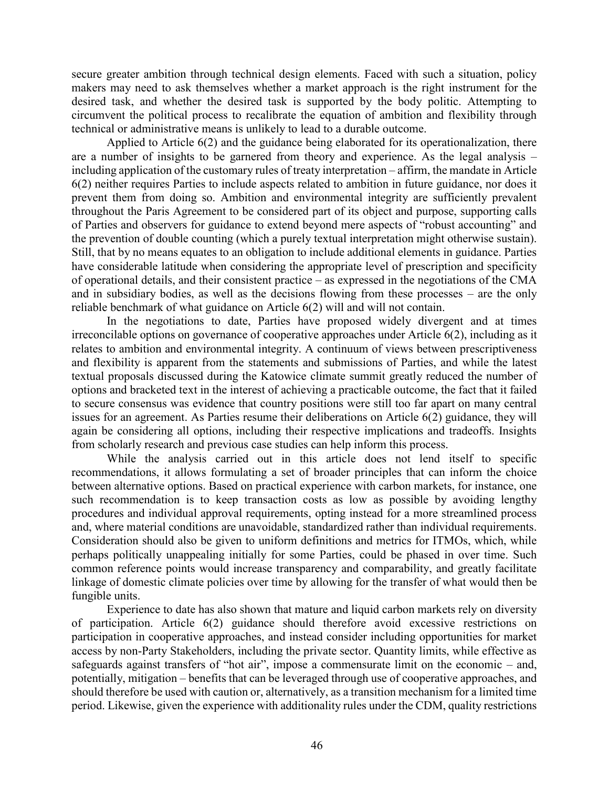secure greater ambition through technical design elements. Faced with such a situation, policy makers may need to ask themselves whether a market approach is the right instrument for the desired task, and whether the desired task is supported by the body politic. Attempting to circumvent the political process to recalibrate the equation of ambition and flexibility through technical or administrative means is unlikely to lead to a durable outcome.

Applied to Article 6(2) and the guidance being elaborated for its operationalization, there are a number of insights to be garnered from theory and experience. As the legal analysis – including application of the customary rules of treaty interpretation – affirm, the mandate in Article 6(2) neither requires Parties to include aspects related to ambition in future guidance, nor does it prevent them from doing so. Ambition and environmental integrity are sufficiently prevalent throughout the Paris Agreement to be considered part of its object and purpose, supporting calls of Parties and observers for guidance to extend beyond mere aspects of "robust accounting" and the prevention of double counting (which a purely textual interpretation might otherwise sustain). Still, that by no means equates to an obligation to include additional elements in guidance. Parties have considerable latitude when considering the appropriate level of prescription and specificity of operational details, and their consistent practice – as expressed in the negotiations of the CMA and in subsidiary bodies, as well as the decisions flowing from these processes – are the only reliable benchmark of what guidance on Article 6(2) will and will not contain.

In the negotiations to date, Parties have proposed widely divergent and at times irreconcilable options on governance of cooperative approaches under Article 6(2), including as it relates to ambition and environmental integrity. A continuum of views between prescriptiveness and flexibility is apparent from the statements and submissions of Parties, and while the latest textual proposals discussed during the Katowice climate summit greatly reduced the number of options and bracketed text in the interest of achieving a practicable outcome, the fact that it failed to secure consensus was evidence that country positions were still too far apart on many central issues for an agreement. As Parties resume their deliberations on Article 6(2) guidance, they will again be considering all options, including their respective implications and tradeoffs. Insights from scholarly research and previous case studies can help inform this process.

While the analysis carried out in this article does not lend itself to specific recommendations, it allows formulating a set of broader principles that can inform the choice between alternative options. Based on practical experience with carbon markets, for instance, one such recommendation is to keep transaction costs as low as possible by avoiding lengthy procedures and individual approval requirements, opting instead for a more streamlined process and, where material conditions are unavoidable, standardized rather than individual requirements. Consideration should also be given to uniform definitions and metrics for ITMOs, which, while perhaps politically unappealing initially for some Parties, could be phased in over time. Such common reference points would increase transparency and comparability, and greatly facilitate linkage of domestic climate policies over time by allowing for the transfer of what would then be fungible units.

Experience to date has also shown that mature and liquid carbon markets rely on diversity of participation. Article 6(2) guidance should therefore avoid excessive restrictions on participation in cooperative approaches, and instead consider including opportunities for market access by non-Party Stakeholders, including the private sector. Quantity limits, while effective as safeguards against transfers of "hot air", impose a commensurate limit on the economic – and, potentially, mitigation – benefits that can be leveraged through use of cooperative approaches, and should therefore be used with caution or, alternatively, as a transition mechanism for a limited time period. Likewise, given the experience with additionality rules under the CDM, quality restrictions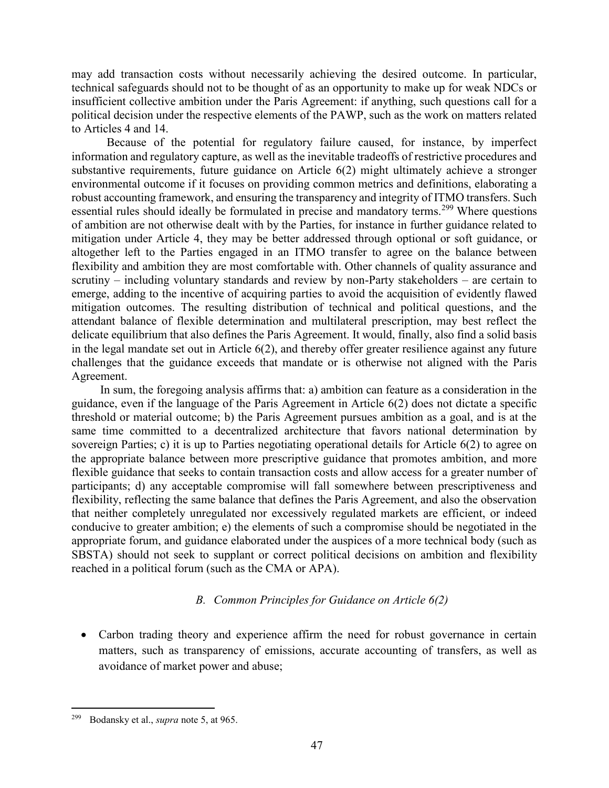may add transaction costs without necessarily achieving the desired outcome. In particular, technical safeguards should not to be thought of as an opportunity to make up for weak NDCs or insufficient collective ambition under the Paris Agreement: if anything, such questions call for a political decision under the respective elements of the PAWP, such as the work on matters related to Articles 4 and 14.

Because of the potential for regulatory failure caused, for instance, by imperfect information and regulatory capture, as well as the inevitable tradeoffs of restrictive procedures and substantive requirements, future guidance on Article 6(2) might ultimately achieve a stronger environmental outcome if it focuses on providing common metrics and definitions, elaborating a robust accounting framework, and ensuring the transparency and integrity of ITMO transfers. Such essential rules should ideally be formulated in precise and mandatory terms.<sup>299</sup> Where questions of ambition are not otherwise dealt with by the Parties, for instance in further guidance related to mitigation under Article 4, they may be better addressed through optional or soft guidance, or altogether left to the Parties engaged in an ITMO transfer to agree on the balance between flexibility and ambition they are most comfortable with. Other channels of quality assurance and scrutiny – including voluntary standards and review by non-Party stakeholders – are certain to emerge, adding to the incentive of acquiring parties to avoid the acquisition of evidently flawed mitigation outcomes. The resulting distribution of technical and political questions, and the attendant balance of flexible determination and multilateral prescription, may best reflect the delicate equilibrium that also defines the Paris Agreement. It would, finally, also find a solid basis in the legal mandate set out in Article 6(2), and thereby offer greater resilience against any future challenges that the guidance exceeds that mandate or is otherwise not aligned with the Paris Agreement.

In sum, the foregoing analysis affirms that: a) ambition can feature as a consideration in the guidance, even if the language of the Paris Agreement in Article 6(2) does not dictate a specific threshold or material outcome; b) the Paris Agreement pursues ambition as a goal, and is at the same time committed to a decentralized architecture that favors national determination by sovereign Parties; c) it is up to Parties negotiating operational details for Article 6(2) to agree on the appropriate balance between more prescriptive guidance that promotes ambition, and more flexible guidance that seeks to contain transaction costs and allow access for a greater number of participants; d) any acceptable compromise will fall somewhere between prescriptiveness and flexibility, reflecting the same balance that defines the Paris Agreement, and also the observation that neither completely unregulated nor excessively regulated markets are efficient, or indeed conducive to greater ambition; e) the elements of such a compromise should be negotiated in the appropriate forum, and guidance elaborated under the auspices of a more technical body (such as SBSTA) should not seek to supplant or correct political decisions on ambition and flexibility reached in a political forum (such as the CMA or APA).

# *B. Common Principles for Guidance on Article 6(2)*

 Carbon trading theory and experience affirm the need for robust governance in certain matters, such as transparency of emissions, accurate accounting of transfers, as well as avoidance of market power and abuse;

<sup>299</sup> Bodansky et al., *supra* note 5, at 965.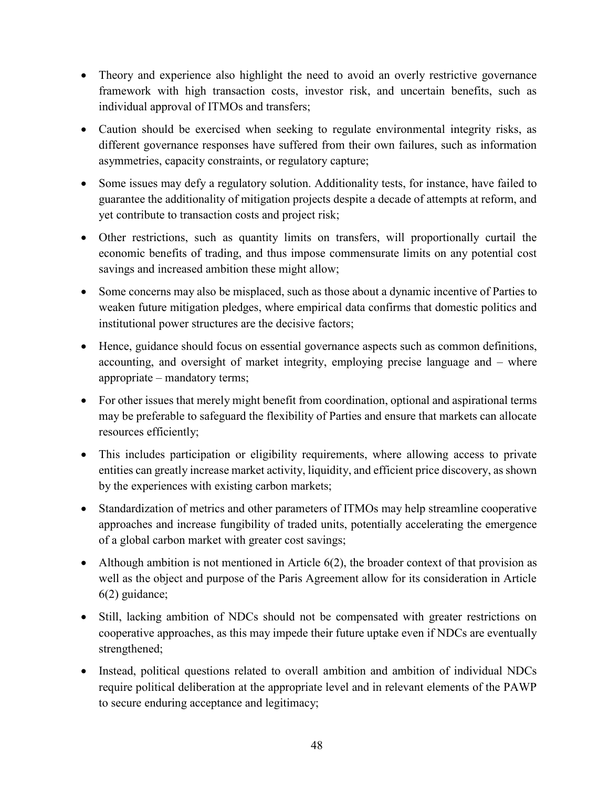- Theory and experience also highlight the need to avoid an overly restrictive governance framework with high transaction costs, investor risk, and uncertain benefits, such as individual approval of ITMOs and transfers;
- Caution should be exercised when seeking to regulate environmental integrity risks, as different governance responses have suffered from their own failures, such as information asymmetries, capacity constraints, or regulatory capture;
- Some issues may defy a regulatory solution. Additionality tests, for instance, have failed to guarantee the additionality of mitigation projects despite a decade of attempts at reform, and yet contribute to transaction costs and project risk;
- Other restrictions, such as quantity limits on transfers, will proportionally curtail the economic benefits of trading, and thus impose commensurate limits on any potential cost savings and increased ambition these might allow;
- Some concerns may also be misplaced, such as those about a dynamic incentive of Parties to weaken future mitigation pledges, where empirical data confirms that domestic politics and institutional power structures are the decisive factors;
- Hence, guidance should focus on essential governance aspects such as common definitions, accounting, and oversight of market integrity, employing precise language and – where appropriate – mandatory terms;
- For other issues that merely might benefit from coordination, optional and aspirational terms may be preferable to safeguard the flexibility of Parties and ensure that markets can allocate resources efficiently;
- This includes participation or eligibility requirements, where allowing access to private entities can greatly increase market activity, liquidity, and efficient price discovery, as shown by the experiences with existing carbon markets;
- Standardization of metrics and other parameters of ITMOs may help streamline cooperative approaches and increase fungibility of traded units, potentially accelerating the emergence of a global carbon market with greater cost savings;
- Although ambition is not mentioned in Article  $6(2)$ , the broader context of that provision as well as the object and purpose of the Paris Agreement allow for its consideration in Article 6(2) guidance;
- Still, lacking ambition of NDCs should not be compensated with greater restrictions on cooperative approaches, as this may impede their future uptake even if NDCs are eventually strengthened;
- Instead, political questions related to overall ambition and ambition of individual NDCs require political deliberation at the appropriate level and in relevant elements of the PAWP to secure enduring acceptance and legitimacy;